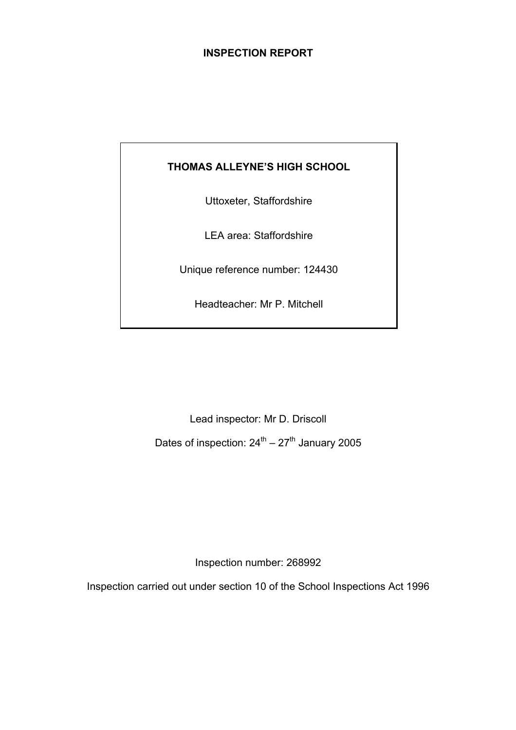# **INSPECTION REPORT**

# **THOMAS ALLEYNE'S HIGH SCHOOL**

Uttoxeter, Staffordshire

LEA area: Staffordshire

Unique reference number: 124430

Headteacher: Mr P. Mitchell

Lead inspector: Mr D. Driscoll

Dates of inspection:  $24^{th} - 27^{th}$  January 2005

Inspection number: 268992

Inspection carried out under section 10 of the School Inspections Act 1996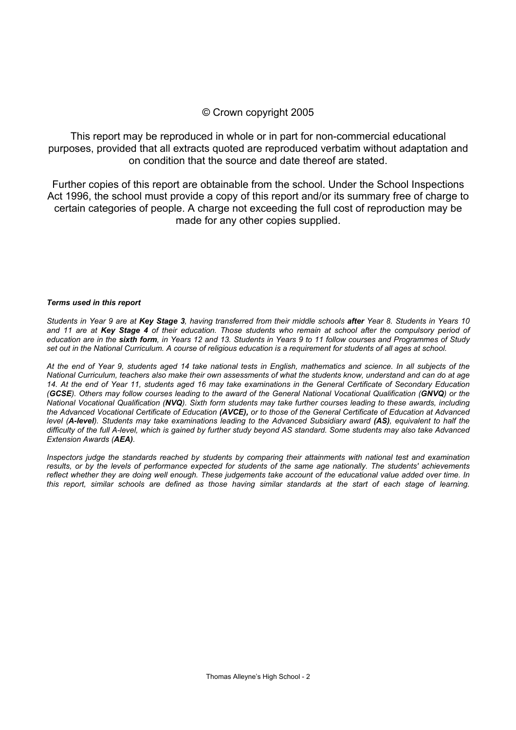# © Crown copyright 2005

This report may be reproduced in whole or in part for non-commercial educational purposes, provided that all extracts quoted are reproduced verbatim without adaptation and on condition that the source and date thereof are stated.

Further copies of this report are obtainable from the school. Under the School Inspections Act 1996, the school must provide a copy of this report and/or its summary free of charge to certain categories of people. A charge not exceeding the full cost of reproduction may be made for any other copies supplied.

#### *Terms used in this report*

*Students in Year 9 are at Key Stage 3, having transferred from their middle schools after Year 8. Students in Years 10 and 11 are at Key Stage 4 of their education. Those students who remain at school after the compulsory period of education are in the sixth form, in Years 12 and 13. Students in Years 9 to 11 follow courses and Programmes of Study set out in the National Curriculum. A course of religious education is a requirement for students of all ages at school.* 

*At the end of Year 9, students aged 14 take national tests in English, mathematics and science. In all subjects of the National Curriculum, teachers also make their own assessments of what the students know, understand and can do at age 14. At the end of Year 11, students aged 16 may take examinations in the General Certificate of Secondary Education (GCSE). Others may follow courses leading to the award of the General National Vocational Qualification (GNVQ) or the National Vocational Qualification (NVQ). Sixth form students may take further courses leading to these awards, including the Advanced Vocational Certificate of Education (AVCE), or to those of the General Certificate of Education at Advanced level (A-level). Students may take examinations leading to the Advanced Subsidiary award (AS), equivalent to half the difficulty of the full A-level, which is gained by further study beyond AS standard. Some students may also take Advanced Extension Awards (AEA).* 

*Inspectors judge the standards reached by students by comparing their attainments with national test and examination results, or by the levels of performance expected for students of the same age nationally. The students' achievements reflect whether they are doing well enough. These judgements take account of the educational value added over time. In this report, similar schools are defined as those having similar standards at the start of each stage of learning.*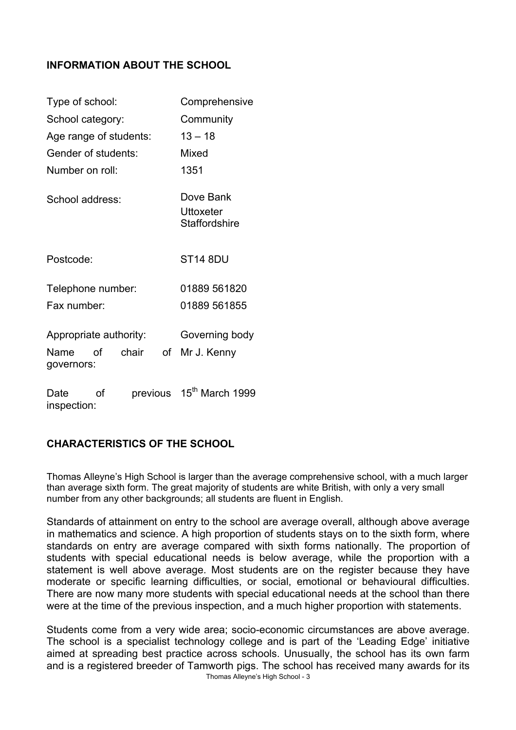# **INFORMATION ABOUT THE SCHOOL**

| Type of school:                         | Comprehensive                           |  |  |
|-----------------------------------------|-----------------------------------------|--|--|
| School category:                        | Community                               |  |  |
| Age range of students:                  | $13 - 18$                               |  |  |
| Gender of students:                     | Mixed                                   |  |  |
| Number on roll:                         | 1351                                    |  |  |
| School address:                         | Dove Bank<br>Uttoxeter<br>Staffordshire |  |  |
| Postcode:                               | ST <sub>14</sub> 8DU                    |  |  |
| Telephone number:                       | 01889 561820                            |  |  |
| Fax number:                             | 01889 561855                            |  |  |
| Appropriate authority:                  | Governing body                          |  |  |
| Ωf<br>chair<br>of<br>Name<br>governors: | Mr J. Kenny                             |  |  |
| Date<br>Ωf<br>inspection:               | previous 15 <sup>th</sup> March 1999    |  |  |

# **CHARACTERISTICS OF THE SCHOOL**

Thomas Alleyne's High School is larger than the average comprehensive school, with a much larger than average sixth form. The great majority of students are white British, with only a very small number from any other backgrounds; all students are fluent in English.

Standards of attainment on entry to the school are average overall, although above average in mathematics and science. A high proportion of students stays on to the sixth form, where standards on entry are average compared with sixth forms nationally. The proportion of students with special educational needs is below average, while the proportion with a statement is well above average. Most students are on the register because they have moderate or specific learning difficulties, or social, emotional or behavioural difficulties. There are now many more students with special educational needs at the school than there were at the time of the previous inspection, and a much higher proportion with statements.

Thomas Alleyne's High School - 3 Students come from a very wide area; socio-economic circumstances are above average. The school is a specialist technology college and is part of the 'Leading Edge' initiative aimed at spreading best practice across schools. Unusually, the school has its own farm and is a registered breeder of Tamworth pigs. The school has received many awards for its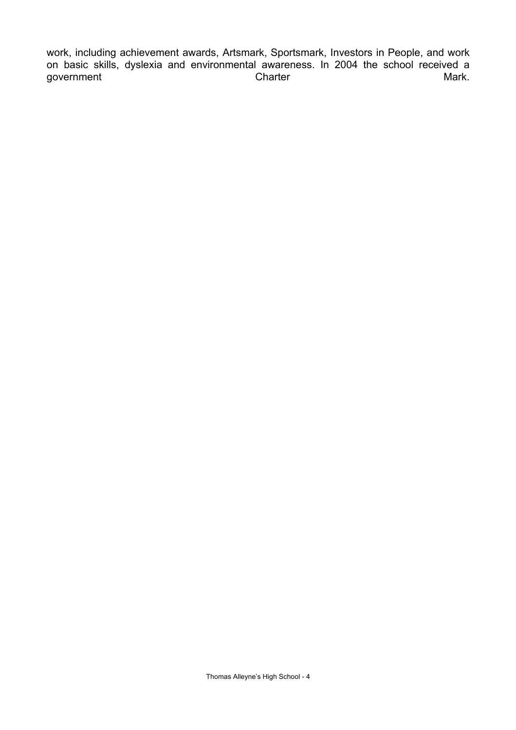work, including achievement awards, Artsmark, Sportsmark, Investors in People, and work on basic skills, dyslexia and environmental awareness. In 2004 the school received a government Charter Charter Charter Mark.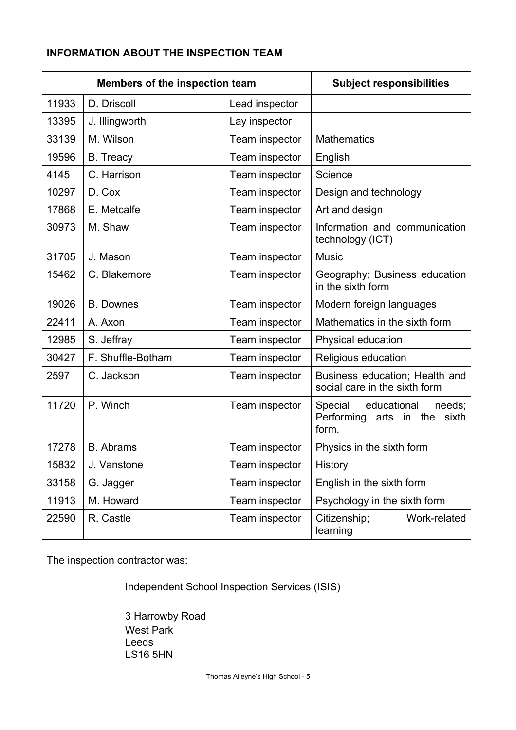# **INFORMATION ABOUT THE INSPECTION TEAM**

| <b>Members of the inspection team</b> |                   | <b>Subject responsibilities</b> |                                                                                 |
|---------------------------------------|-------------------|---------------------------------|---------------------------------------------------------------------------------|
| 11933                                 | D. Driscoll       | Lead inspector                  |                                                                                 |
| 13395                                 | J. Illingworth    | Lay inspector                   |                                                                                 |
| 33139                                 | M. Wilson         | Team inspector                  | <b>Mathematics</b>                                                              |
| 19596                                 | B. Treacy         | Team inspector                  | English                                                                         |
| 4145                                  | C. Harrison       | Team inspector                  | Science                                                                         |
| 10297                                 | D. Cox            | Team inspector                  | Design and technology                                                           |
| 17868                                 | E. Metcalfe       | Team inspector                  | Art and design                                                                  |
| 30973                                 | M. Shaw           | Team inspector                  | Information and communication<br>technology (ICT)                               |
| 31705                                 | J. Mason          | Team inspector                  | <b>Music</b>                                                                    |
| 15462                                 | C. Blakemore      | Team inspector                  | Geography; Business education<br>in the sixth form                              |
| 19026                                 | <b>B.</b> Downes  | Team inspector                  | Modern foreign languages                                                        |
| 22411                                 | A. Axon           | Team inspector                  | Mathematics in the sixth form                                                   |
| 12985                                 | S. Jeffray        | Team inspector                  | Physical education                                                              |
| 30427                                 | F. Shuffle-Botham | Team inspector                  | Religious education                                                             |
| 2597                                  | C. Jackson        | Team inspector                  | Business education; Health and<br>social care in the sixth form                 |
| 11720                                 | P. Winch          | Team inspector                  | educational<br>Special<br>needs;<br>Performing<br>arts in the<br>sixth<br>form. |
| 17278                                 | <b>B.</b> Abrams  | Team inspector                  | Physics in the sixth form                                                       |
| 15832                                 | J. Vanstone       | Team inspector                  | History                                                                         |
| 33158                                 | G. Jagger         | Team inspector                  | English in the sixth form                                                       |
| 11913                                 | M. Howard         | Team inspector                  | Psychology in the sixth form                                                    |
| 22590                                 | R. Castle         | Team inspector                  | Citizenship;<br>Work-related<br>learning                                        |

The inspection contractor was:

Independent School Inspection Services (ISIS)

 3 Harrowby Road West Park Leeds LS16 5HN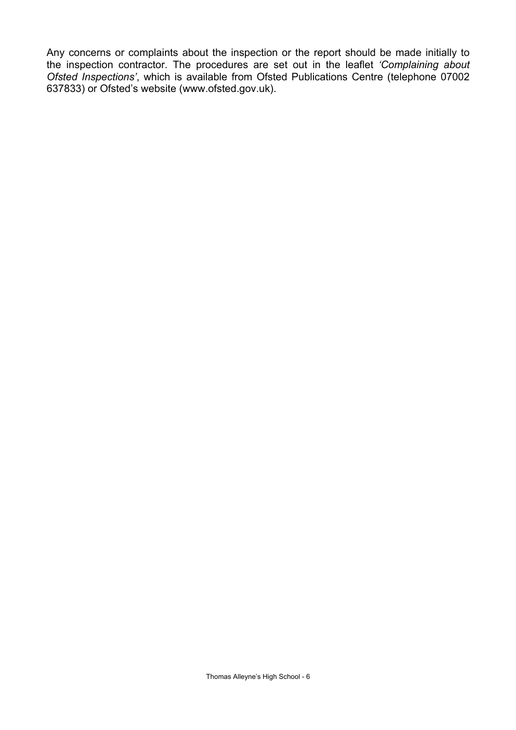Any concerns or complaints about the inspection or the report should be made initially to the inspection contractor. The procedures are set out in the leaflet *'Complaining about Ofsted Inspections'*, which is available from Ofsted Publications Centre (telephone 07002 637833) or Ofsted's website (www.ofsted.gov.uk).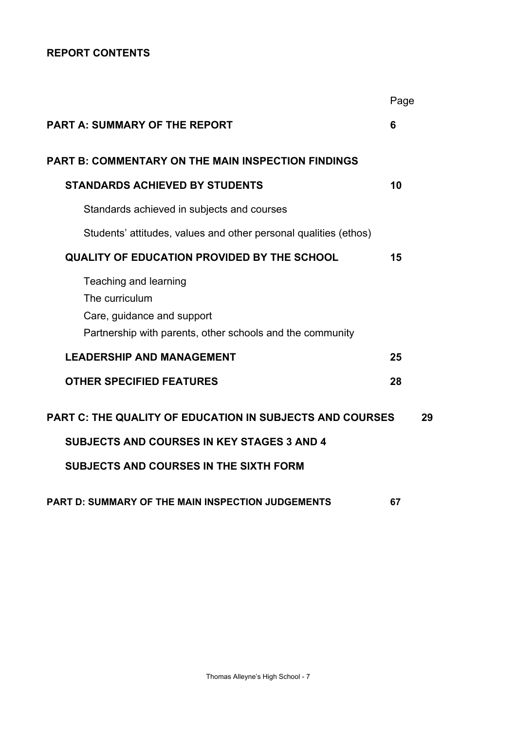# **REPORT CONTENTS**

|                                                                                                                                    | Page |  |
|------------------------------------------------------------------------------------------------------------------------------------|------|--|
| <b>PART A: SUMMARY OF THE REPORT</b>                                                                                               | 6    |  |
| <b>PART B: COMMENTARY ON THE MAIN INSPECTION FINDINGS</b>                                                                          |      |  |
| <b>STANDARDS ACHIEVED BY STUDENTS</b>                                                                                              | 10   |  |
| Standards achieved in subjects and courses                                                                                         |      |  |
| Students' attitudes, values and other personal qualities (ethos)                                                                   |      |  |
| <b>QUALITY OF EDUCATION PROVIDED BY THE SCHOOL</b>                                                                                 | 15   |  |
| Teaching and learning<br>The curriculum<br>Care, guidance and support<br>Partnership with parents, other schools and the community |      |  |
| <b>LEADERSHIP AND MANAGEMENT</b>                                                                                                   | 25   |  |
| <b>OTHER SPECIFIED FEATURES</b>                                                                                                    | 28   |  |
| <b>PART C: THE QUALITY OF EDUCATION IN SUBJECTS AND COURSES</b>                                                                    | 29   |  |
| <b>SUBJECTS AND COURSES IN KEY STAGES 3 AND 4</b>                                                                                  |      |  |
| SUBJECTS AND COURSES IN THE SIXTH FORM                                                                                             |      |  |
| <b>PART D: SUMMARY OF THE MAIN INSPECTION JUDGEMENTS</b>                                                                           | 67   |  |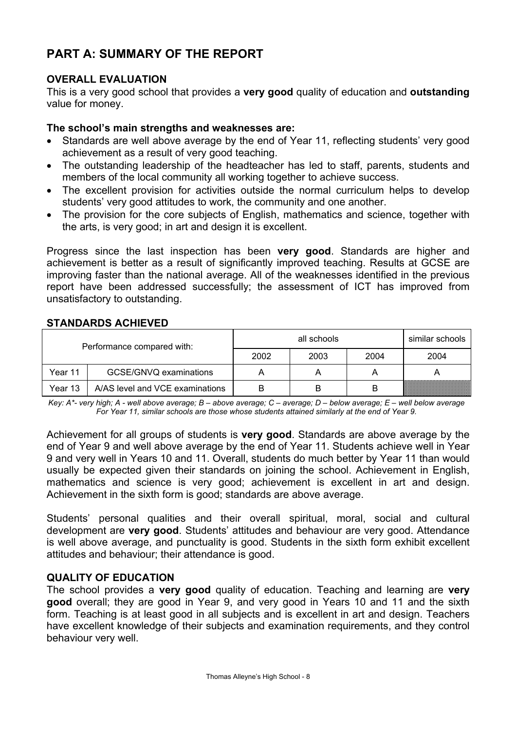# **PART A: SUMMARY OF THE REPORT**

# **OVERALL EVALUATION**

This is a very good school that provides a **very good** quality of education and **outstanding** value for money.

# **The school's main strengths and weaknesses are:**

- Standards are well above average by the end of Year 11, reflecting students' very good achievement as a result of very good teaching.
- The outstanding leadership of the headteacher has led to staff, parents, students and members of the local community all working together to achieve success.
- The excellent provision for activities outside the normal curriculum helps to develop students' very good attitudes to work, the community and one another.
- The provision for the core subjects of English, mathematics and science, together with the arts, is very good; in art and design it is excellent.

Progress since the last inspection has been **very good**. Standards are higher and achievement is better as a result of significantly improved teaching. Results at GCSE are improving faster than the national average. All of the weaknesses identified in the previous report have been addressed successfully; the assessment of ICT has improved from unsatisfactory to outstanding.

# **STANDARDS ACHIEVED**

| Performance compared with: |                                 |                      | similar schools |  |      |
|----------------------------|---------------------------------|----------------------|-----------------|--|------|
|                            |                                 | 2002<br>2003<br>2004 |                 |  | 2004 |
| Year 11                    | GCSE/GNVQ examinations          |                      |                 |  |      |
| Year 13                    | A/AS level and VCE examinations |                      |                 |  |      |

*Key: A\*- very high; A - well above average; B – above average; C – average; D – below average; E – well below average For Year 11, similar schools are those whose students attained similarly at the end of Year 9.* 

Achievement for all groups of students is **very good**. Standards are above average by the end of Year 9 and well above average by the end of Year 11. Students achieve well in Year 9 and very well in Years 10 and 11. Overall, students do much better by Year 11 than would usually be expected given their standards on joining the school. Achievement in English, mathematics and science is very good; achievement is excellent in art and design. Achievement in the sixth form is good; standards are above average.

Students' personal qualities and their overall spiritual, moral, social and cultural development are **very good**. Students' attitudes and behaviour are very good. Attendance is well above average, and punctuality is good. Students in the sixth form exhibit excellent attitudes and behaviour; their attendance is good.

# **QUALITY OF EDUCATION**

The school provides a **very good** quality of education. Teaching and learning are **very good** overall; they are good in Year 9, and very good in Years 10 and 11 and the sixth form. Teaching is at least good in all subjects and is excellent in art and design. Teachers have excellent knowledge of their subjects and examination requirements, and they control behaviour very well.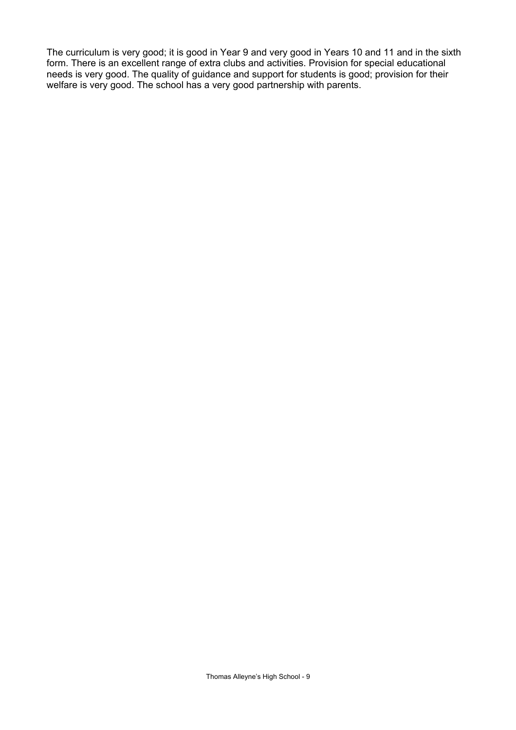The curriculum is very good; it is good in Year 9 and very good in Years 10 and 11 and in the sixth form. There is an excellent range of extra clubs and activities. Provision for special educational needs is very good. The quality of guidance and support for students is good; provision for their welfare is very good. The school has a very good partnership with parents.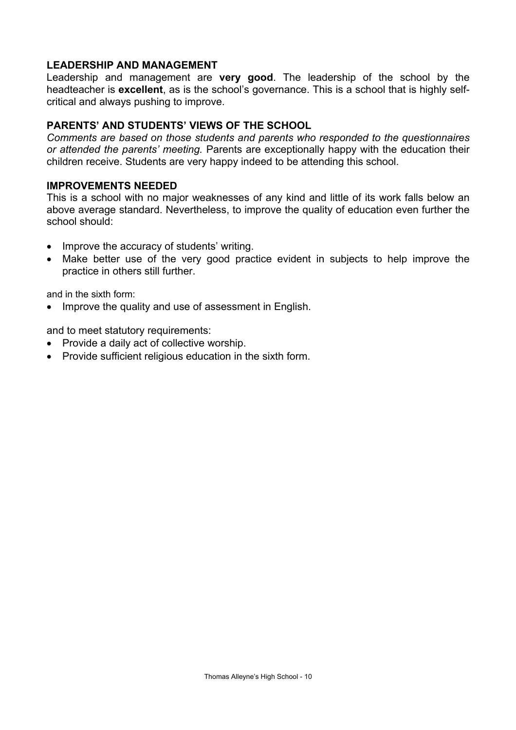# **LEADERSHIP AND MANAGEMENT**

Leadership and management are **very good**. The leadership of the school by the headteacher is **excellent**, as is the school's governance. This is a school that is highly selfcritical and always pushing to improve.

# **PARENTS' AND STUDENTS' VIEWS OF THE SCHOOL**

*Comments are based on those students and parents who responded to the questionnaires or attended the parents' meeting.* Parents are exceptionally happy with the education their children receive. Students are very happy indeed to be attending this school.

# **IMPROVEMENTS NEEDED**

This is a school with no major weaknesses of any kind and little of its work falls below an above average standard. Nevertheless, to improve the quality of education even further the school should:

- Improve the accuracy of students' writing.
- Make better use of the very good practice evident in subjects to help improve the practice in others still further.

and in the sixth form:

• Improve the quality and use of assessment in English.

and to meet statutory requirements:

- Provide a daily act of collective worship.
- Provide sufficient religious education in the sixth form.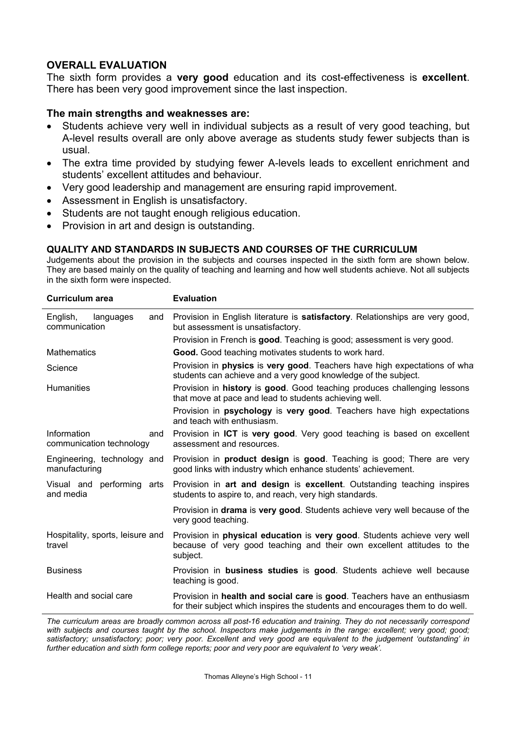# **OVERALL EVALUATION**

The sixth form provides a **very good** education and its cost-effectiveness is **excellent**. There has been very good improvement since the last inspection.

# **The main strengths and weaknesses are:**

- Students achieve very well in individual subjects as a result of very good teaching, but A-level results overall are only above average as students study fewer subjects than is usual.
- The extra time provided by studying fewer A-levels leads to excellent enrichment and students' excellent attitudes and behaviour.
- Very good leadership and management are ensuring rapid improvement.
- Assessment in English is unsatisfactory.
- Students are not taught enough religious education.
- Provision in art and design is outstanding.

#### **QUALITY AND STANDARDS IN SUBJECTS AND COURSES OF THE CURRICULUM**

Judgements about the provision in the subjects and courses inspected in the sixth form are shown below. They are based mainly on the quality of teaching and learning and how well students achieve. Not all subjects in the sixth form were inspected.

| <b>Curriculum area</b>                         | <b>Evaluation</b>                                                                                                                                              |
|------------------------------------------------|----------------------------------------------------------------------------------------------------------------------------------------------------------------|
| English,<br>languages<br>and<br>communication  | Provision in English literature is satisfactory. Relationships are very good,<br>but assessment is unsatisfactory.                                             |
|                                                | Provision in French is good. Teaching is good; assessment is very good.                                                                                        |
| <b>Mathematics</b>                             | <b>Good.</b> Good teaching motivates students to work hard.                                                                                                    |
| Science                                        | Provision in physics is very good. Teachers have high expectations of what<br>students can achieve and a very good knowledge of the subject.                   |
| <b>Humanities</b>                              | Provision in history is good. Good teaching produces challenging lessons<br>that move at pace and lead to students achieving well.                             |
|                                                | Provision in psychology is very good. Teachers have high expectations<br>and teach with enthusiasm.                                                            |
| Information<br>and<br>communication technology | Provision in ICT is very good. Very good teaching is based on excellent<br>assessment and resources.                                                           |
| Engineering, technology and<br>manufacturing   | Provision in <b>product design</b> is good. Teaching is good; There are very<br>good links with industry which enhance students' achievement.                  |
| Visual and performing arts<br>and media        | Provision in art and design is excellent. Outstanding teaching inspires<br>students to aspire to, and reach, very high standards.                              |
|                                                | Provision in drama is very good. Students achieve very well because of the<br>very good teaching.                                                              |
| Hospitality, sports, leisure and<br>travel     | Provision in physical education is very good. Students achieve very well<br>because of very good teaching and their own excellent attitudes to the<br>subject. |
| <b>Business</b>                                | Provision in business studies is good. Students achieve well because<br>teaching is good.                                                                      |
| Health and social care                         | Provision in health and social care is good. Teachers have an enthusiasm<br>for their subject which inspires the students and encourages them to do well.      |

*The curriculum areas are broadly common across all post-16 education and training. They do not necessarily correspond*  with subjects and courses taught by the school. Inspectors make judgements in the range: excellent; very good; good; *satisfactory; unsatisfactory; poor; very poor. Excellent and very good are equivalent to the judgement 'outstanding' in further education and sixth form college reports; poor and very poor are equivalent to 'very weak'.*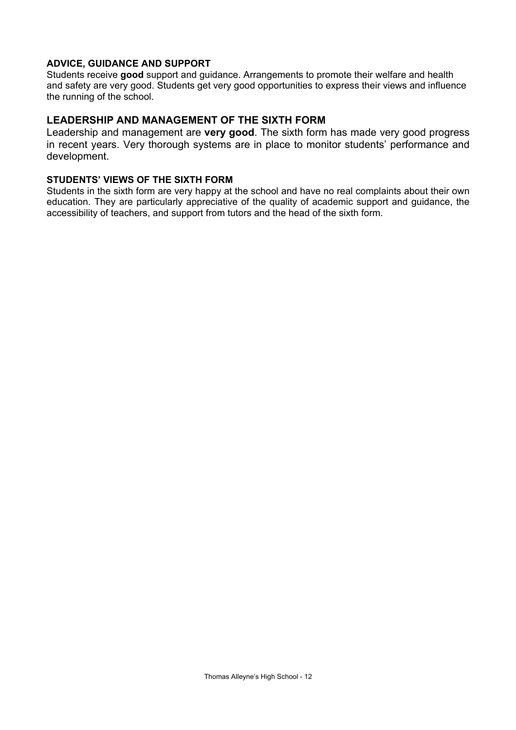### **ADVICE, GUIDANCE AND SUPPORT**

Students receive **good** support and guidance. Arrangements to promote their welfare and health and safety are very good. Students get very good opportunities to express their views and influence the running of the school.

# **LEADERSHIP AND MANAGEMENT OF THE SIXTH FORM**

Leadership and management are **very good**. The sixth form has made very good progress in recent years. Very thorough systems are in place to monitor students' performance and development.

#### **STUDENTS' VIEWS OF THE SIXTH FORM**

Students in the sixth form are very happy at the school and have no real complaints about their own education. They are particularly appreciative of the quality of academic support and guidance, the accessibility of teachers, and support from tutors and the head of the sixth form.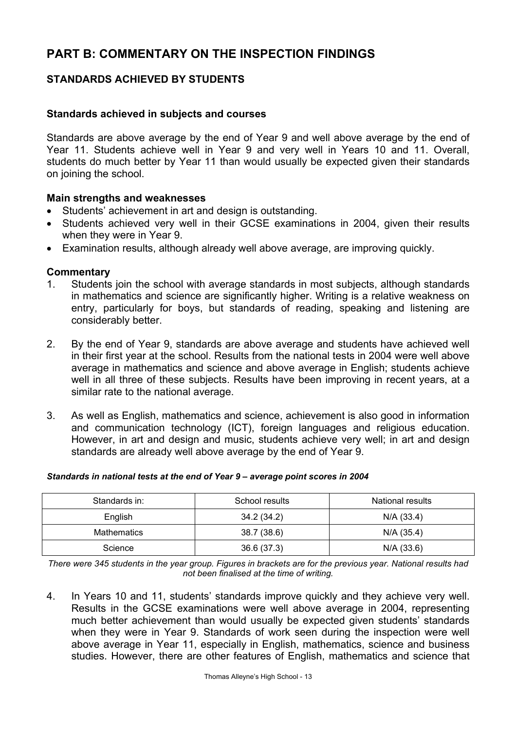# **PART B: COMMENTARY ON THE INSPECTION FINDINGS**

# **STANDARDS ACHIEVED BY STUDENTS**

# **Standards achieved in subjects and courses**

Standards are above average by the end of Year 9 and well above average by the end of Year 11. Students achieve well in Year 9 and very well in Years 10 and 11. Overall, students do much better by Year 11 than would usually be expected given their standards on joining the school.

# **Main strengths and weaknesses**

- Students' achievement in art and design is outstanding.
- Students achieved very well in their GCSE examinations in 2004, given their results when they were in Year 9.
- Examination results, although already well above average, are improving quickly.

# **Commentary**

- 1. Students join the school with average standards in most subjects, although standards in mathematics and science are significantly higher. Writing is a relative weakness on entry, particularly for boys, but standards of reading, speaking and listening are considerably better.
- 2. By the end of Year 9, standards are above average and students have achieved well in their first year at the school. Results from the national tests in 2004 were well above average in mathematics and science and above average in English; students achieve well in all three of these subjects. Results have been improving in recent years, at a similar rate to the national average.
- 3. As well as English, mathematics and science, achievement is also good in information and communication technology (ICT), foreign languages and religious education. However, in art and design and music, students achieve very well; in art and design standards are already well above average by the end of Year 9.

| Standards in: | School results | National results |
|---------------|----------------|------------------|
| English       | 34.2(34.2)     | $N/A$ (33.4)     |
| Mathematics   | 38.7 (38.6)    | N/A (35.4)       |
| Science       | 36.6(37.3)     | N/A (33.6)       |

#### *Standards in national tests at the end of Year 9 – average point scores in 2004*

*There were 345 students in the year group. Figures in brackets are for the previous year. National results had not been finalised at the time of writing.* 

4. In Years 10 and 11, students' standards improve quickly and they achieve very well. Results in the GCSE examinations were well above average in 2004, representing much better achievement than would usually be expected given students' standards when they were in Year 9. Standards of work seen during the inspection were well above average in Year 11, especially in English, mathematics, science and business studies. However, there are other features of English, mathematics and science that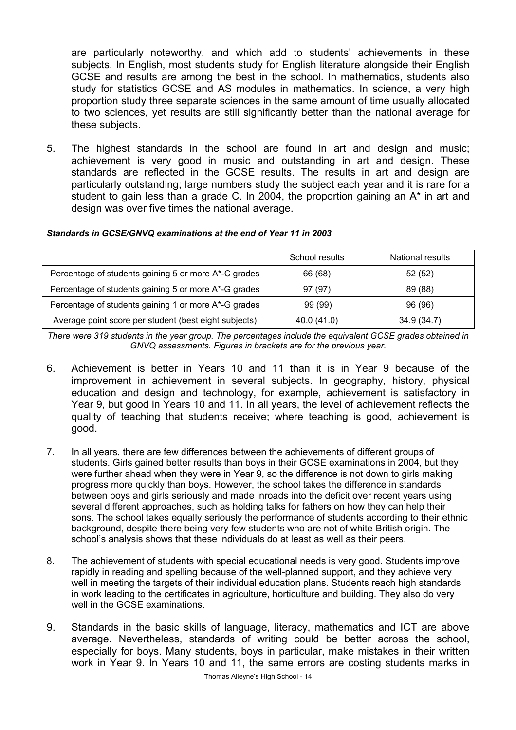are particularly noteworthy, and which add to students' achievements in these subjects. In English, most students study for English literature alongside their English GCSE and results are among the best in the school. In mathematics, students also study for statistics GCSE and AS modules in mathematics. In science, a very high proportion study three separate sciences in the same amount of time usually allocated to two sciences, yet results are still significantly better than the national average for these subjects.

5. The highest standards in the school are found in art and design and music; achievement is very good in music and outstanding in art and design. These standards are reflected in the GCSE results. The results in art and design are particularly outstanding; large numbers study the subject each year and it is rare for a student to gain less than a grade C. In 2004, the proportion gaining an A\* in art and design was over five times the national average.

#### *Standards in GCSE/GNVQ examinations at the end of Year 11 in 2003*

|                                                       | School results | National results |
|-------------------------------------------------------|----------------|------------------|
| Percentage of students gaining 5 or more A*-C grades  | 66 (68)        | 52 (52)          |
| Percentage of students gaining 5 or more A*-G grades  | 97 (97)        | 89 (88)          |
| Percentage of students gaining 1 or more A*-G grades  | 99 (99)        | 96 (96)          |
| Average point score per student (best eight subjects) | 40.0 (41.0)    | 34.9 (34.7)      |

*There were 319 students in the year group. The percentages include the equivalent GCSE grades obtained in GNVQ assessments. Figures in brackets are for the previous year.* 

- 6. Achievement is better in Years 10 and 11 than it is in Year 9 because of the improvement in achievement in several subjects. In geography, history, physical education and design and technology, for example, achievement is satisfactory in Year 9, but good in Years 10 and 11. In all years, the level of achievement reflects the quality of teaching that students receive; where teaching is good, achievement is good.
- 7. In all years, there are few differences between the achievements of different groups of students. Girls gained better results than boys in their GCSE examinations in 2004, but they were further ahead when they were in Year 9, so the difference is not down to girls making progress more quickly than boys. However, the school takes the difference in standards between boys and girls seriously and made inroads into the deficit over recent years using several different approaches, such as holding talks for fathers on how they can help their sons. The school takes equally seriously the performance of students according to their ethnic background, despite there being very few students who are not of white-British origin. The school's analysis shows that these individuals do at least as well as their peers.
- 8. The achievement of students with special educational needs is very good. Students improve rapidly in reading and spelling because of the well-planned support, and they achieve very well in meeting the targets of their individual education plans. Students reach high standards in work leading to the certificates in agriculture, horticulture and building. They also do very well in the GCSE examinations.
- 9. Standards in the basic skills of language, literacy, mathematics and ICT are above average. Nevertheless, standards of writing could be better across the school, especially for boys. Many students, boys in particular, make mistakes in their written work in Year 9. In Years 10 and 11, the same errors are costing students marks in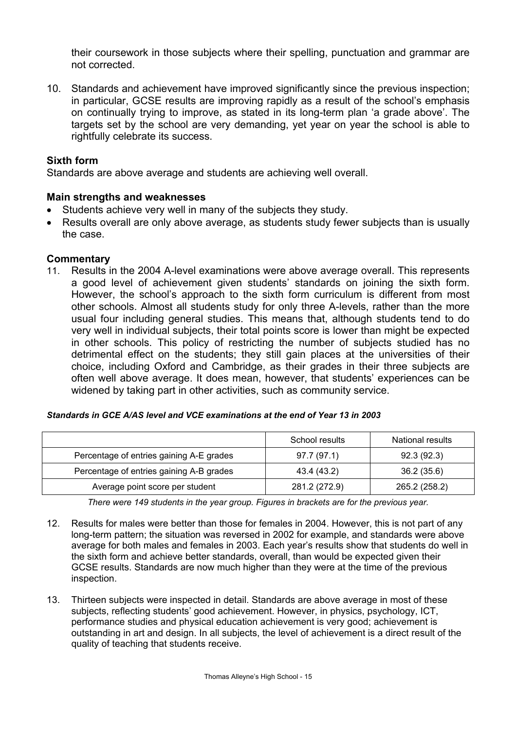their coursework in those subjects where their spelling, punctuation and grammar are not corrected.

10. Standards and achievement have improved significantly since the previous inspection; in particular, GCSE results are improving rapidly as a result of the school's emphasis on continually trying to improve, as stated in its long-term plan 'a grade above'. The targets set by the school are very demanding, yet year on year the school is able to rightfully celebrate its success.

# **Sixth form**

Standards are above average and students are achieving well overall.

# **Main strengths and weaknesses**

- Students achieve very well in many of the subjects they study.
- Results overall are only above average, as students study fewer subjects than is usually the case.

# **Commentary**

11. Results in the 2004 A-level examinations were above average overall. This represents a good level of achievement given students' standards on joining the sixth form. However, the school's approach to the sixth form curriculum is different from most other schools. Almost all students study for only three A-levels, rather than the more usual four including general studies. This means that, although students tend to do very well in individual subjects, their total points score is lower than might be expected in other schools. This policy of restricting the number of subjects studied has no detrimental effect on the students; they still gain places at the universities of their choice, including Oxford and Cambridge, as their grades in their three subjects are often well above average. It does mean, however, that students' experiences can be widened by taking part in other activities, such as community service.

|                                          | School results | <b>National results</b> |
|------------------------------------------|----------------|-------------------------|
| Percentage of entries gaining A-E grades | 97.7 (97.1)    | 92.3(92.3)              |
| Percentage of entries gaining A-B grades | 43.4 (43.2)    | 36.2 (35.6)             |
| Average point score per student          | 281.2 (272.9)  | 265.2 (258.2)           |

#### *Standards in GCE A/AS level and VCE examinations at the end of Year 13 in 2003*

*There were 149 students in the year group. Figures in brackets are for the previous year.* 

- 12. Results for males were better than those for females in 2004. However, this is not part of any long-term pattern; the situation was reversed in 2002 for example, and standards were above average for both males and females in 2003. Each year's results show that students do well in the sixth form and achieve better standards, overall, than would be expected given their GCSE results. Standards are now much higher than they were at the time of the previous inspection.
- 13. Thirteen subjects were inspected in detail. Standards are above average in most of these subjects, reflecting students' good achievement. However, in physics, psychology, ICT, performance studies and physical education achievement is very good; achievement is outstanding in art and design. In all subjects, the level of achievement is a direct result of the quality of teaching that students receive.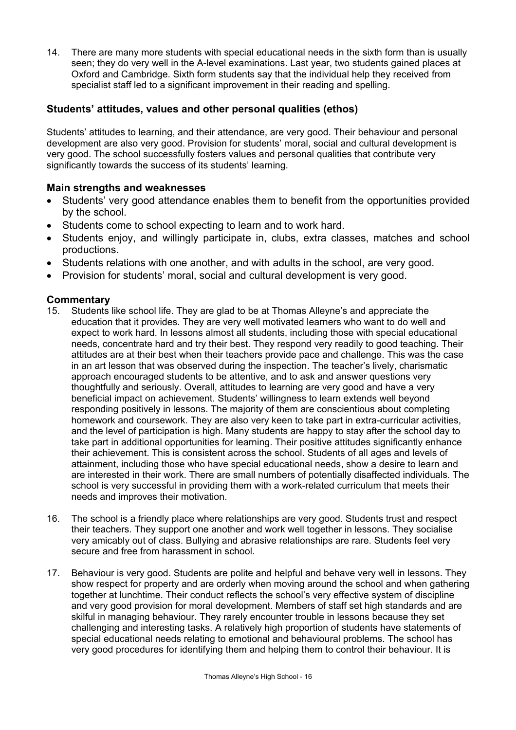14. There are many more students with special educational needs in the sixth form than is usually seen; they do very well in the A-level examinations. Last year, two students gained places at Oxford and Cambridge. Sixth form students say that the individual help they received from specialist staff led to a significant improvement in their reading and spelling.

# **Students' attitudes, values and other personal qualities (ethos)**

Students' attitudes to learning, and their attendance, are very good. Their behaviour and personal development are also very good. Provision for students' moral, social and cultural development is very good. The school successfully fosters values and personal qualities that contribute very significantly towards the success of its students' learning.

# **Main strengths and weaknesses**

- Students' very good attendance enables them to benefit from the opportunities provided by the school.
- Students come to school expecting to learn and to work hard.
- Students enjoy, and willingly participate in, clubs, extra classes, matches and school productions.
- Students relations with one another, and with adults in the school, are very good.
- Provision for students' moral, social and cultural development is very good.

- 15. Students like school life. They are glad to be at Thomas Alleyne's and appreciate the education that it provides. They are very well motivated learners who want to do well and expect to work hard. In lessons almost all students, including those with special educational needs, concentrate hard and try their best. They respond very readily to good teaching. Their attitudes are at their best when their teachers provide pace and challenge. This was the case in an art lesson that was observed during the inspection. The teacher's lively, charismatic approach encouraged students to be attentive, and to ask and answer questions very thoughtfully and seriously. Overall, attitudes to learning are very good and have a very beneficial impact on achievement. Students' willingness to learn extends well beyond responding positively in lessons. The majority of them are conscientious about completing homework and coursework. They are also very keen to take part in extra-curricular activities, and the level of participation is high. Many students are happy to stay after the school day to take part in additional opportunities for learning. Their positive attitudes significantly enhance their achievement. This is consistent across the school. Students of all ages and levels of attainment, including those who have special educational needs, show a desire to learn and are interested in their work. There are small numbers of potentially disaffected individuals. The school is very successful in providing them with a work-related curriculum that meets their needs and improves their motivation.
- 16. The school is a friendly place where relationships are very good. Students trust and respect their teachers. They support one another and work well together in lessons. They socialise very amicably out of class. Bullying and abrasive relationships are rare. Students feel very secure and free from harassment in school.
- 17. Behaviour is very good. Students are polite and helpful and behave very well in lessons. They show respect for property and are orderly when moving around the school and when gathering together at lunchtime. Their conduct reflects the school's very effective system of discipline and very good provision for moral development. Members of staff set high standards and are skilful in managing behaviour. They rarely encounter trouble in lessons because they set challenging and interesting tasks. A relatively high proportion of students have statements of special educational needs relating to emotional and behavioural problems. The school has very good procedures for identifying them and helping them to control their behaviour. It is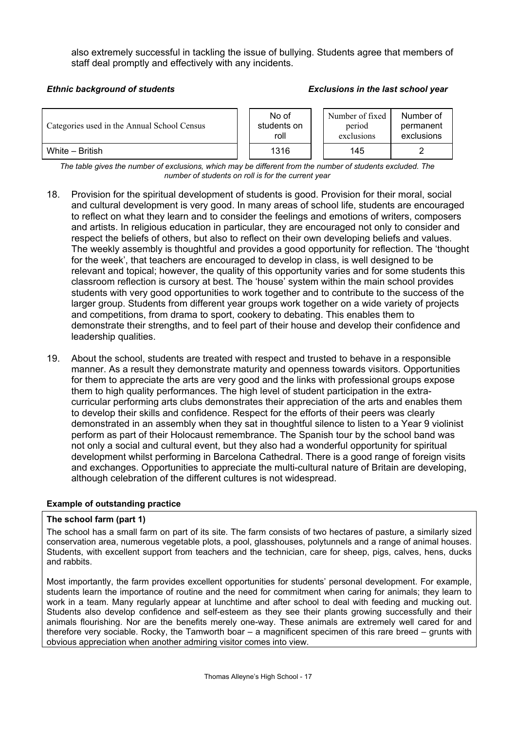also extremely successful in tackling the issue of bullying. Students agree that members of staff deal promptly and effectively with any incidents.

#### *Ethnic background of students Exclusions in the last school year*

| Categories used in the Annual School Census |  | No of<br>students on<br>roll | Number of fixed<br>period<br>exclusions | Number of<br>permanent<br>exclusions |
|---------------------------------------------|--|------------------------------|-----------------------------------------|--------------------------------------|
| White – British                             |  | 1316                         | 145                                     |                                      |

*The table gives the number of exclusions, which may be different from the number of students excluded. The number of students on roll is for the current year*

- 18. Provision for the spiritual development of students is good. Provision for their moral, social and cultural development is very good. In many areas of school life, students are encouraged to reflect on what they learn and to consider the feelings and emotions of writers, composers and artists. In religious education in particular, they are encouraged not only to consider and respect the beliefs of others, but also to reflect on their own developing beliefs and values. The weekly assembly is thoughtful and provides a good opportunity for reflection. The 'thought for the week', that teachers are encouraged to develop in class, is well designed to be relevant and topical; however, the quality of this opportunity varies and for some students this classroom reflection is cursory at best. The 'house' system within the main school provides students with very good opportunities to work together and to contribute to the success of the larger group. Students from different year groups work together on a wide variety of projects and competitions, from drama to sport, cookery to debating. This enables them to demonstrate their strengths, and to feel part of their house and develop their confidence and leadership qualities.
- 19. About the school, students are treated with respect and trusted to behave in a responsible manner. As a result they demonstrate maturity and openness towards visitors. Opportunities for them to appreciate the arts are very good and the links with professional groups expose them to high quality performances. The high level of student participation in the extracurricular performing arts clubs demonstrates their appreciation of the arts and enables them to develop their skills and confidence. Respect for the efforts of their peers was clearly demonstrated in an assembly when they sat in thoughtful silence to listen to a Year 9 violinist perform as part of their Holocaust remembrance. The Spanish tour by the school band was not only a social and cultural event, but they also had a wonderful opportunity for spiritual development whilst performing in Barcelona Cathedral. There is a good range of foreign visits and exchanges. Opportunities to appreciate the multi-cultural nature of Britain are developing, although celebration of the different cultures is not widespread.

#### **Example of outstanding practice**

#### **The school farm (part 1)**

The school has a small farm on part of its site. The farm consists of two hectares of pasture, a similarly sized conservation area, numerous vegetable plots, a pool, glasshouses, polytunnels and a range of animal houses. Students, with excellent support from teachers and the technician, care for sheep, pigs, calves, hens, ducks and rabbits.

Most importantly, the farm provides excellent opportunities for students' personal development. For example, students learn the importance of routine and the need for commitment when caring for animals; they learn to work in a team. Many regularly appear at lunchtime and after school to deal with feeding and mucking out. Students also develop confidence and self-esteem as they see their plants growing successfully and their animals flourishing. Nor are the benefits merely one-way. These animals are extremely well cared for and therefore very sociable. Rocky, the Tamworth boar – a magnificent specimen of this rare breed – grunts with obvious appreciation when another admiring visitor comes into view.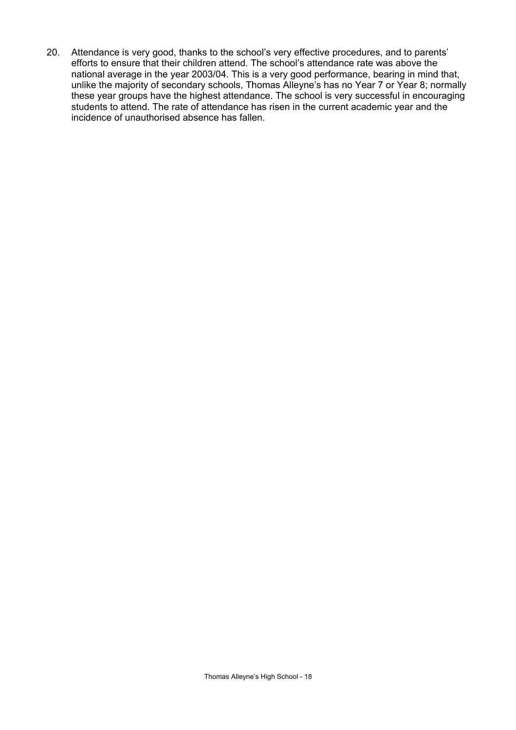20. Attendance is very good, thanks to the school's very effective procedures, and to parents' efforts to ensure that their children attend. The school's attendance rate was above the national average in the year 2003/04. This is a very good performance, bearing in mind that, unlike the majority of secondary schools, Thomas Alleyne's has no Year 7 or Year 8; normally these year groups have the highest attendance. The school is very successful in encouraging students to attend. The rate of attendance has risen in the current academic year and the incidence of unauthorised absence has fallen.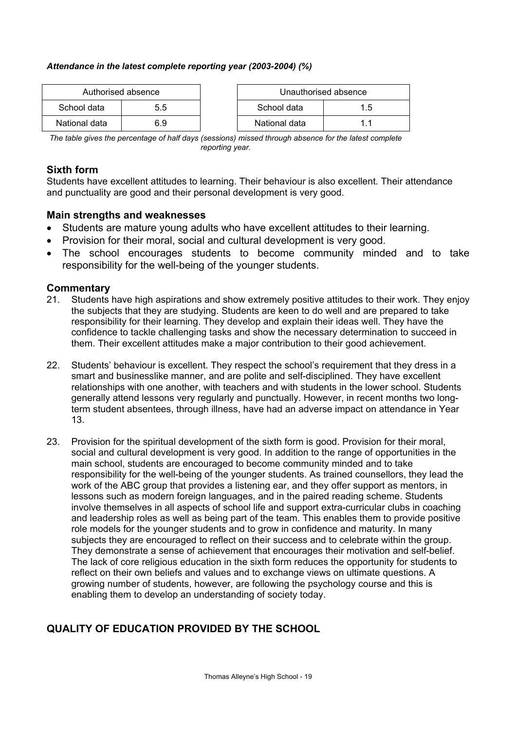#### *Attendance in the latest complete reporting year (2003-2004) (%)*

| Authorised absence |     |                    | Unauthorised absence |
|--------------------|-----|--------------------|----------------------|
| School data        | 5.5 | School data<br>1.5 |                      |
| National data      | 6.9 | National data      |                      |

*The table gives the percentage of half days (sessions) missed through absence for the latest complete reporting year.*

### **Sixth form**

Students have excellent attitudes to learning. Their behaviour is also excellent. Their attendance and punctuality are good and their personal development is very good.

#### **Main strengths and weaknesses**

- Students are mature young adults who have excellent attitudes to their learning.
- Provision for their moral, social and cultural development is very good.
- The school encourages students to become community minded and to take responsibility for the well-being of the younger students.

# **Commentary**

- 21. Students have high aspirations and show extremely positive attitudes to their work. They enjoy the subjects that they are studying. Students are keen to do well and are prepared to take responsibility for their learning. They develop and explain their ideas well. They have the confidence to tackle challenging tasks and show the necessary determination to succeed in them. Their excellent attitudes make a major contribution to their good achievement.
- 22. Students' behaviour is excellent. They respect the school's requirement that they dress in a smart and businesslike manner, and are polite and self-disciplined. They have excellent relationships with one another, with teachers and with students in the lower school. Students generally attend lessons very regularly and punctually. However, in recent months two longterm student absentees, through illness, have had an adverse impact on attendance in Year 13.
- 23. Provision for the spiritual development of the sixth form is good. Provision for their moral, social and cultural development is very good. In addition to the range of opportunities in the main school, students are encouraged to become community minded and to take responsibility for the well-being of the younger students. As trained counsellors, they lead the work of the ABC group that provides a listening ear, and they offer support as mentors, in lessons such as modern foreign languages, and in the paired reading scheme. Students involve themselves in all aspects of school life and support extra-curricular clubs in coaching and leadership roles as well as being part of the team. This enables them to provide positive role models for the younger students and to grow in confidence and maturity. In many subjects they are encouraged to reflect on their success and to celebrate within the group. They demonstrate a sense of achievement that encourages their motivation and self-belief. The lack of core religious education in the sixth form reduces the opportunity for students to reflect on their own beliefs and values and to exchange views on ultimate questions. A growing number of students, however, are following the psychology course and this is enabling them to develop an understanding of society today.

# **QUALITY OF EDUCATION PROVIDED BY THE SCHOOL**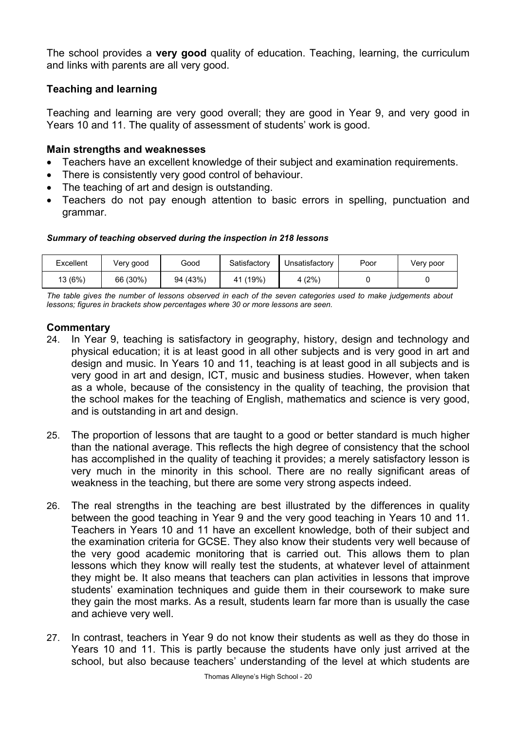The school provides a **very good** quality of education. Teaching, learning, the curriculum and links with parents are all very good.

# **Teaching and learning**

Teaching and learning are very good overall; they are good in Year 9, and very good in Years 10 and 11. The quality of assessment of students' work is good.

# **Main strengths and weaknesses**

- Teachers have an excellent knowledge of their subject and examination requirements.
- There is consistently very good control of behaviour.
- The teaching of art and design is outstanding.
- Teachers do not pay enough attention to basic errors in spelling, punctuation and grammar.

# *Summary of teaching observed during the inspection in 218 lessons*

| Excellent | Very good | Good     | Satisfactory | Unsatisfactory | Poor | Very poor |
|-----------|-----------|----------|--------------|----------------|------|-----------|
| 13 (6%)   | 66 (30%)  | 94 (43%) | (19%)<br>41  | 4 (2%)         |      |           |

*The table gives the number of lessons observed in each of the seven categories used to make judgements about lessons; figures in brackets show percentages where 30 or more lessons are seen.* 

- 24. In Year 9, teaching is satisfactory in geography, history, design and technology and physical education; it is at least good in all other subjects and is very good in art and design and music. In Years 10 and 11, teaching is at least good in all subjects and is very good in art and design, ICT, music and business studies. However, when taken as a whole, because of the consistency in the quality of teaching, the provision that the school makes for the teaching of English, mathematics and science is very good, and is outstanding in art and design.
- 25. The proportion of lessons that are taught to a good or better standard is much higher than the national average. This reflects the high degree of consistency that the school has accomplished in the quality of teaching it provides; a merely satisfactory lesson is very much in the minority in this school. There are no really significant areas of weakness in the teaching, but there are some very strong aspects indeed.
- 26. The real strengths in the teaching are best illustrated by the differences in quality between the good teaching in Year 9 and the very good teaching in Years 10 and 11. Teachers in Years 10 and 11 have an excellent knowledge, both of their subject and the examination criteria for GCSE. They also know their students very well because of the very good academic monitoring that is carried out. This allows them to plan lessons which they know will really test the students, at whatever level of attainment they might be. It also means that teachers can plan activities in lessons that improve students' examination techniques and guide them in their coursework to make sure they gain the most marks. As a result, students learn far more than is usually the case and achieve very well.
- 27. In contrast, teachers in Year 9 do not know their students as well as they do those in Years 10 and 11. This is partly because the students have only just arrived at the school, but also because teachers' understanding of the level at which students are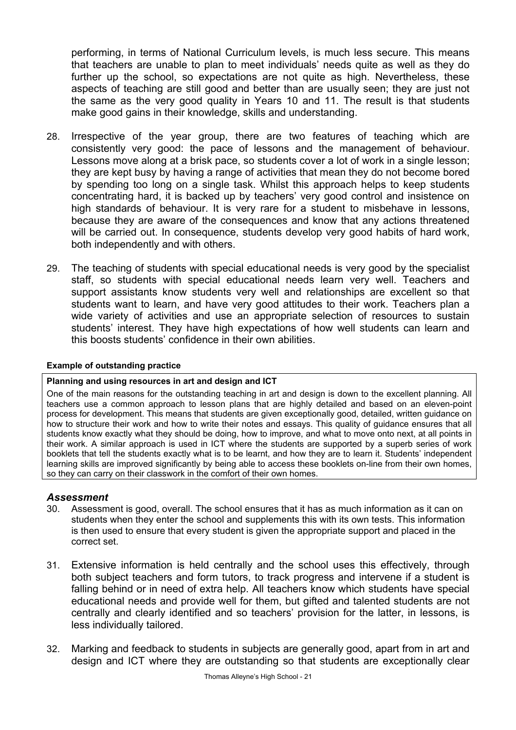performing, in terms of National Curriculum levels, is much less secure. This means that teachers are unable to plan to meet individuals' needs quite as well as they do further up the school, so expectations are not quite as high. Nevertheless, these aspects of teaching are still good and better than are usually seen; they are just not the same as the very good quality in Years 10 and 11. The result is that students make good gains in their knowledge, skills and understanding.

- 28. Irrespective of the year group, there are two features of teaching which are consistently very good: the pace of lessons and the management of behaviour. Lessons move along at a brisk pace, so students cover a lot of work in a single lesson; they are kept busy by having a range of activities that mean they do not become bored by spending too long on a single task. Whilst this approach helps to keep students concentrating hard, it is backed up by teachers' very good control and insistence on high standards of behaviour. It is very rare for a student to misbehave in lessons, because they are aware of the consequences and know that any actions threatened will be carried out. In consequence, students develop very good habits of hard work, both independently and with others.
- 29. The teaching of students with special educational needs is very good by the specialist staff, so students with special educational needs learn very well. Teachers and support assistants know students very well and relationships are excellent so that students want to learn, and have very good attitudes to their work. Teachers plan a wide variety of activities and use an appropriate selection of resources to sustain students' interest. They have high expectations of how well students can learn and this boosts students' confidence in their own abilities.

#### **Example of outstanding practice**

#### **Planning and using resources in art and design and ICT**

One of the main reasons for the outstanding teaching in art and design is down to the excellent planning. All teachers use a common approach to lesson plans that are highly detailed and based on an eleven-point process for development. This means that students are given exceptionally good, detailed, written guidance on how to structure their work and how to write their notes and essays. This quality of guidance ensures that all students know exactly what they should be doing, how to improve, and what to move onto next, at all points in their work. A similar approach is used in ICT where the students are supported by a superb series of work booklets that tell the students exactly what is to be learnt, and how they are to learn it. Students' independent learning skills are improved significantly by being able to access these booklets on-line from their own homes, so they can carry on their classwork in the comfort of their own homes.

#### *Assessment*

- 30. Assessment is good, overall. The school ensures that it has as much information as it can on students when they enter the school and supplements this with its own tests. This information is then used to ensure that every student is given the appropriate support and placed in the correct set.
- 31. Extensive information is held centrally and the school uses this effectively, through both subject teachers and form tutors, to track progress and intervene if a student is falling behind or in need of extra help. All teachers know which students have special educational needs and provide well for them, but gifted and talented students are not centrally and clearly identified and so teachers' provision for the latter, in lessons, is less individually tailored.
- 32. Marking and feedback to students in subjects are generally good, apart from in art and design and ICT where they are outstanding so that students are exceptionally clear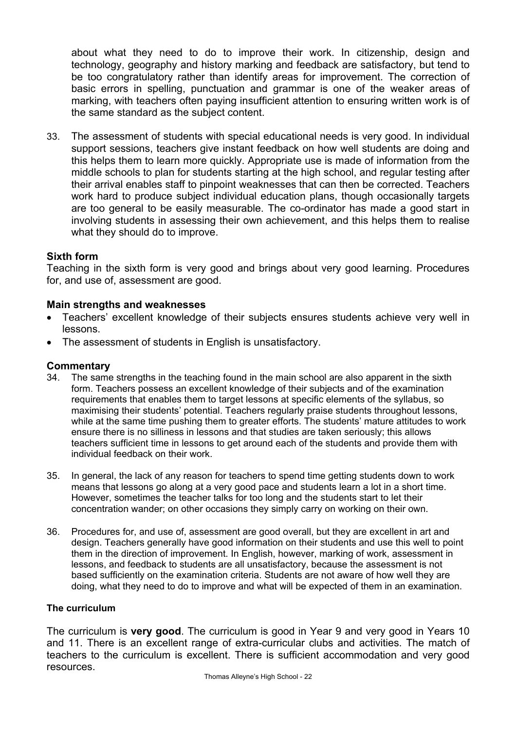about what they need to do to improve their work. In citizenship, design and technology, geography and history marking and feedback are satisfactory, but tend to be too congratulatory rather than identify areas for improvement. The correction of basic errors in spelling, punctuation and grammar is one of the weaker areas of marking, with teachers often paying insufficient attention to ensuring written work is of the same standard as the subject content.

33. The assessment of students with special educational needs is very good. In individual support sessions, teachers give instant feedback on how well students are doing and this helps them to learn more quickly. Appropriate use is made of information from the middle schools to plan for students starting at the high school, and regular testing after their arrival enables staff to pinpoint weaknesses that can then be corrected. Teachers work hard to produce subject individual education plans, though occasionally targets are too general to be easily measurable. The co-ordinator has made a good start in involving students in assessing their own achievement, and this helps them to realise what they should do to improve.

# **Sixth form**

Teaching in the sixth form is very good and brings about very good learning. Procedures for, and use of, assessment are good.

# **Main strengths and weaknesses**

- Teachers' excellent knowledge of their subjects ensures students achieve very well in lessons.
- The assessment of students in English is unsatisfactory.

# **Commentary**

- 34. The same strengths in the teaching found in the main school are also apparent in the sixth form. Teachers possess an excellent knowledge of their subjects and of the examination requirements that enables them to target lessons at specific elements of the syllabus, so maximising their students' potential. Teachers regularly praise students throughout lessons, while at the same time pushing them to greater efforts. The students' mature attitudes to work ensure there is no silliness in lessons and that studies are taken seriously; this allows teachers sufficient time in lessons to get around each of the students and provide them with individual feedback on their work.
- 35. In general, the lack of any reason for teachers to spend time getting students down to work means that lessons go along at a very good pace and students learn a lot in a short time. However, sometimes the teacher talks for too long and the students start to let their concentration wander; on other occasions they simply carry on working on their own.
- 36. Procedures for, and use of, assessment are good overall, but they are excellent in art and design. Teachers generally have good information on their students and use this well to point them in the direction of improvement. In English, however, marking of work, assessment in lessons, and feedback to students are all unsatisfactory, because the assessment is not based sufficiently on the examination criteria. Students are not aware of how well they are doing, what they need to do to improve and what will be expected of them in an examination.

# **The curriculum**

The curriculum is **very good**. The curriculum is good in Year 9 and very good in Years 10 and 11. There is an excellent range of extra-curricular clubs and activities. The match of teachers to the curriculum is excellent. There is sufficient accommodation and very good resources.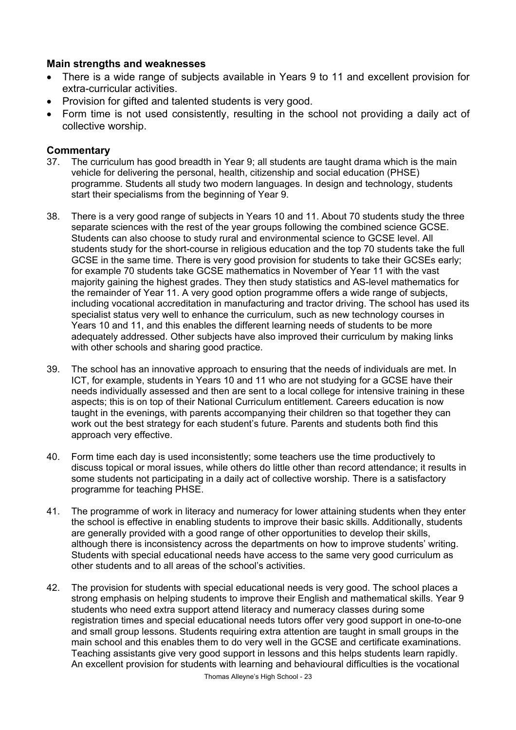# **Main strengths and weaknesses**

- There is a wide range of subjects available in Years 9 to 11 and excellent provision for extra-curricular activities.
- Provision for gifted and talented students is very good.
- Form time is not used consistently, resulting in the school not providing a daily act of collective worship.

- 37. The curriculum has good breadth in Year 9; all students are taught drama which is the main vehicle for delivering the personal, health, citizenship and social education (PHSE) programme. Students all study two modern languages. In design and technology, students start their specialisms from the beginning of Year 9.
- 38. There is a very good range of subjects in Years 10 and 11. About 70 students study the three separate sciences with the rest of the year groups following the combined science GCSE. Students can also choose to study rural and environmental science to GCSE level. All students study for the short-course in religious education and the top 70 students take the full GCSE in the same time. There is very good provision for students to take their GCSEs early; for example 70 students take GCSE mathematics in November of Year 11 with the vast majority gaining the highest grades. They then study statistics and AS-level mathematics for the remainder of Year 11. A very good option programme offers a wide range of subjects, including vocational accreditation in manufacturing and tractor driving. The school has used its specialist status very well to enhance the curriculum, such as new technology courses in Years 10 and 11, and this enables the different learning needs of students to be more adequately addressed. Other subjects have also improved their curriculum by making links with other schools and sharing good practice.
- 39. The school has an innovative approach to ensuring that the needs of individuals are met. In ICT, for example, students in Years 10 and 11 who are not studying for a GCSE have their needs individually assessed and then are sent to a local college for intensive training in these aspects; this is on top of their National Curriculum entitlement. Careers education is now taught in the evenings, with parents accompanying their children so that together they can work out the best strategy for each student's future. Parents and students both find this approach very effective.
- 40. Form time each day is used inconsistently; some teachers use the time productively to discuss topical or moral issues, while others do little other than record attendance; it results in some students not participating in a daily act of collective worship. There is a satisfactory programme for teaching PHSE.
- 41. The programme of work in literacy and numeracy for lower attaining students when they enter the school is effective in enabling students to improve their basic skills. Additionally, students are generally provided with a good range of other opportunities to develop their skills, although there is inconsistency across the departments on how to improve students' writing. Students with special educational needs have access to the same very good curriculum as other students and to all areas of the school's activities.
- 42. The provision for students with special educational needs is very good. The school places a strong emphasis on helping students to improve their English and mathematical skills. Year 9 students who need extra support attend literacy and numeracy classes during some registration times and special educational needs tutors offer very good support in one-to-one and small group lessons. Students requiring extra attention are taught in small groups in the main school and this enables them to do very well in the GCSE and certificate examinations. Teaching assistants give very good support in lessons and this helps students learn rapidly. An excellent provision for students with learning and behavioural difficulties is the vocational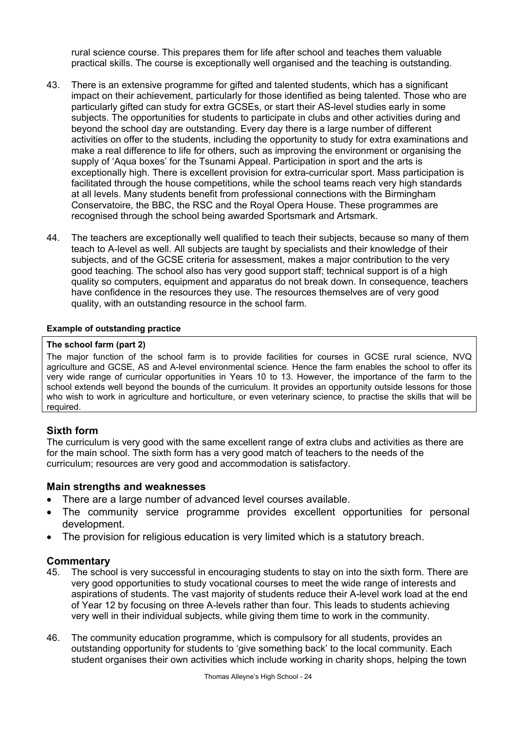rural science course. This prepares them for life after school and teaches them valuable practical skills. The course is exceptionally well organised and the teaching is outstanding.

- 43. There is an extensive programme for gifted and talented students, which has a significant impact on their achievement, particularly for those identified as being talented. Those who are particularly gifted can study for extra GCSEs, or start their AS-level studies early in some subjects. The opportunities for students to participate in clubs and other activities during and beyond the school day are outstanding. Every day there is a large number of different activities on offer to the students, including the opportunity to study for extra examinations and make a real difference to life for others, such as improving the environment or organising the supply of 'Aqua boxes' for the Tsunami Appeal. Participation in sport and the arts is exceptionally high. There is excellent provision for extra-curricular sport. Mass participation is facilitated through the house competitions, while the school teams reach very high standards at all levels. Many students benefit from professional connections with the Birmingham Conservatoire, the BBC, the RSC and the Royal Opera House. These programmes are recognised through the school being awarded Sportsmark and Artsmark.
- 44. The teachers are exceptionally well qualified to teach their subjects, because so many of them teach to A-level as well. All subjects are taught by specialists and their knowledge of their subjects, and of the GCSE criteria for assessment, makes a major contribution to the very good teaching. The school also has very good support staff; technical support is of a high quality so computers, equipment and apparatus do not break down. In consequence, teachers have confidence in the resources they use. The resources themselves are of very good quality, with an outstanding resource in the school farm.

#### **Example of outstanding practice**

#### **The school farm (part 2)**

The major function of the school farm is to provide facilities for courses in GCSE rural science, NVQ agriculture and GCSE, AS and A-level environmental science. Hence the farm enables the school to offer its very wide range of curricular opportunities in Years 10 to 13. However, the importance of the farm to the school extends well beyond the bounds of the curriculum. It provides an opportunity outside lessons for those who wish to work in agriculture and horticulture, or even veterinary science, to practise the skills that will be required.

# **Sixth form**

The curriculum is very good with the same excellent range of extra clubs and activities as there are for the main school. The sixth form has a very good match of teachers to the needs of the curriculum; resources are very good and accommodation is satisfactory.

#### **Main strengths and weaknesses**

- There are a large number of advanced level courses available.
- The community service programme provides excellent opportunities for personal development.
- The provision for religious education is very limited which is a statutory breach.

- 45. The school is very successful in encouraging students to stay on into the sixth form. There are very good opportunities to study vocational courses to meet the wide range of interests and aspirations of students. The vast majority of students reduce their A-level work load at the end of Year 12 by focusing on three A-levels rather than four. This leads to students achieving very well in their individual subjects, while giving them time to work in the community.
- 46. The community education programme, which is compulsory for all students, provides an outstanding opportunity for students to 'give something back' to the local community. Each student organises their own activities which include working in charity shops, helping the town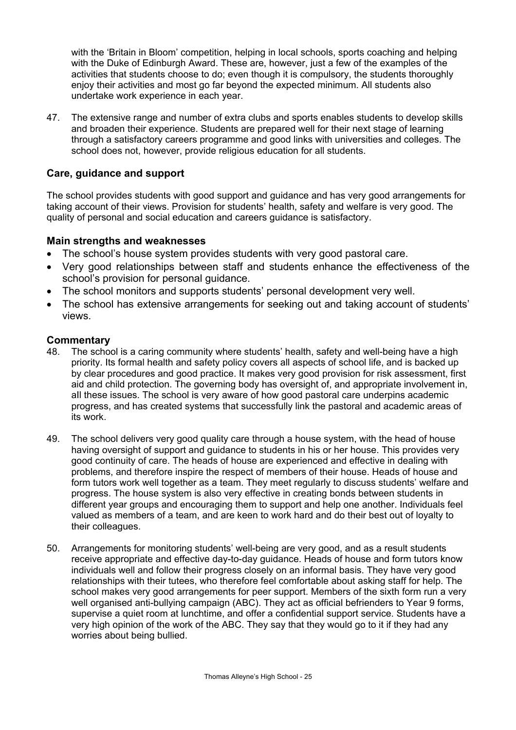with the 'Britain in Bloom' competition, helping in local schools, sports coaching and helping with the Duke of Edinburgh Award. These are, however, just a few of the examples of the activities that students choose to do; even though it is compulsory, the students thoroughly enjoy their activities and most go far beyond the expected minimum. All students also undertake work experience in each year.

47. The extensive range and number of extra clubs and sports enables students to develop skills and broaden their experience. Students are prepared well for their next stage of learning through a satisfactory careers programme and good links with universities and colleges. The school does not, however, provide religious education for all students.

# **Care, guidance and support**

The school provides students with good support and guidance and has very good arrangements for taking account of their views. Provision for students' health, safety and welfare is very good. The quality of personal and social education and careers guidance is satisfactory.

# **Main strengths and weaknesses**

- The school's house system provides students with very good pastoral care.
- Very good relationships between staff and students enhance the effectiveness of the school's provision for personal guidance.
- The school monitors and supports students' personal development very well.
- The school has extensive arrangements for seeking out and taking account of students' views.

- 48. The school is a caring community where students' health, safety and well-being have a high priority. Its formal health and safety policy covers all aspects of school life, and is backed up by clear procedures and good practice. It makes very good provision for risk assessment, first aid and child protection. The governing body has oversight of, and appropriate involvement in, aIl these issues. The school is very aware of how good pastoral care underpins academic progress, and has created systems that successfully link the pastoral and academic areas of its work.
- 49. The school delivers very good quality care through a house system, with the head of house having oversight of support and guidance to students in his or her house. This provides very good continuity of care. The heads of house are experienced and effective in dealing with problems, and therefore inspire the respect of members of their house. Heads of house and form tutors work well together as a team. They meet regularly to discuss students' welfare and progress. The house system is also very effective in creating bonds between students in different year groups and encouraging them to support and help one another. Individuals feel valued as members of a team, and are keen to work hard and do their best out of loyalty to their colleagues.
- 50. Arrangements for monitoring students' well-being are very good, and as a result students receive appropriate and effective day-to-day guidance. Heads of house and form tutors know individuals well and follow their progress closely on an informal basis. They have very good relationships with their tutees, who therefore feel comfortable about asking staff for help. The school makes very good arrangements for peer support. Members of the sixth form run a very well organised anti-bullying campaign (ABC). They act as official befrienders to Year 9 forms, supervise a quiet room at lunchtime, and offer a confidential support service. Students have a very high opinion of the work of the ABC. They say that they would go to it if they had any worries about being bullied.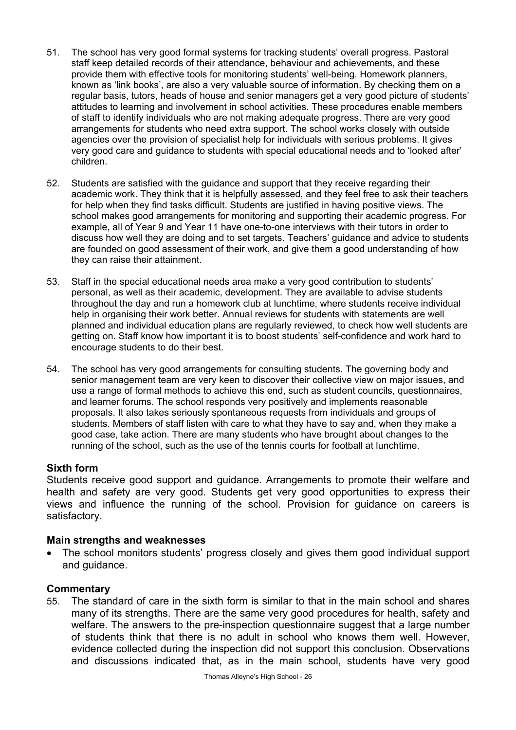- 51. The school has very good formal systems for tracking students' overall progress. Pastoral staff keep detailed records of their attendance, behaviour and achievements, and these provide them with effective tools for monitoring students' well-being. Homework planners, known as 'link books', are also a very valuable source of information. By checking them on a regular basis, tutors, heads of house and senior managers get a very good picture of students' attitudes to learning and involvement in school activities. These procedures enable members of staff to identify individuals who are not making adequate progress. There are very good arrangements for students who need extra support. The school works closely with outside agencies over the provision of specialist help for individuals with serious problems. It gives very good care and guidance to students with special educational needs and to 'looked after' children.
- 52. Students are satisfied with the guidance and support that they receive regarding their academic work. They think that it is helpfully assessed, and they feel free to ask their teachers for help when they find tasks difficult. Students are justified in having positive views. The school makes good arrangements for monitoring and supporting their academic progress. For example, all of Year 9 and Year 11 have one-to-one interviews with their tutors in order to discuss how well they are doing and to set targets. Teachers' guidance and advice to students are founded on good assessment of their work, and give them a good understanding of how they can raise their attainment.
- 53. Staff in the special educational needs area make a very good contribution to students' personal, as well as their academic, development. They are available to advise students throughout the day and run a homework club at lunchtime, where students receive individual help in organising their work better. Annual reviews for students with statements are well planned and individual education plans are regularly reviewed, to check how well students are getting on. Staff know how important it is to boost students' self-confidence and work hard to encourage students to do their best.
- 54. The school has very good arrangements for consulting students. The governing body and senior management team are very keen to discover their collective view on major issues, and use a range of formal methods to achieve this end, such as student councils, questionnaires, and learner forums. The school responds very positively and implements reasonable proposals. It also takes seriously spontaneous requests from individuals and groups of students. Members of staff listen with care to what they have to say and, when they make a good case, take action. There are many students who have brought about changes to the running of the school, such as the use of the tennis courts for football at lunchtime.

# **Sixth form**

Students receive good support and guidance. Arrangements to promote their welfare and health and safety are very good. Students get very good opportunities to express their views and influence the running of the school. Provision for guidance on careers is satisfactory.

#### **Main strengths and weaknesses**

The school monitors students' progress closely and gives them good individual support and guidance.

#### **Commentary**

55. The standard of care in the sixth form is similar to that in the main school and shares many of its strengths. There are the same very good procedures for health, safety and welfare. The answers to the pre-inspection questionnaire suggest that a large number of students think that there is no adult in school who knows them well. However, evidence collected during the inspection did not support this conclusion. Observations and discussions indicated that, as in the main school, students have very good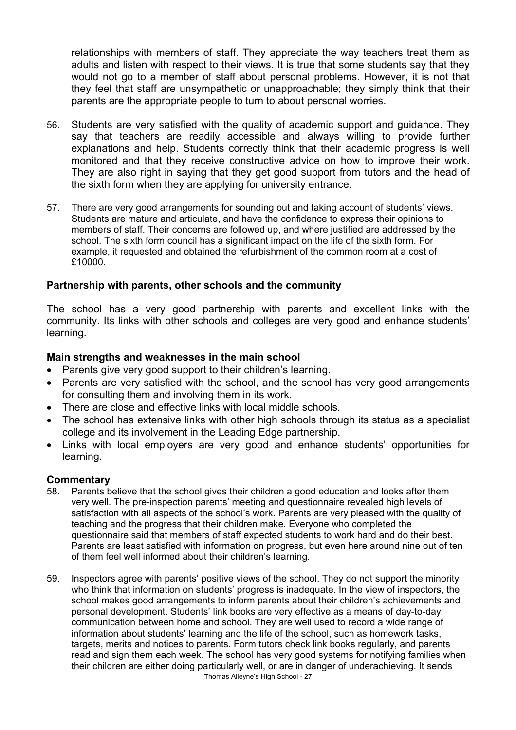relationships with members of staff. They appreciate the way teachers treat them as adults and listen with respect to their views. It is true that some students say that they would not go to a member of staff about personal problems. However, it is not that they feel that staff are unsympathetic or unapproachable; they simply think that their parents are the appropriate people to turn to about personal worries.

- 56. Students are very satisfied with the quality of academic support and guidance. They say that teachers are readily accessible and always willing to provide further explanations and help. Students correctly think that their academic progress is well monitored and that they receive constructive advice on how to improve their work. They are also right in saying that they get good support from tutors and the head of the sixth form when they are applying for university entrance.
- 57. There are very good arrangements for sounding out and taking account of students' views. Students are mature and articulate, and have the confidence to express their opinions to members of staff. Their concerns are followed up, and where justified are addressed by the school. The sixth form council has a significant impact on the life of the sixth form. For example, it requested and obtained the refurbishment of the common room at a cost of £10000.

# **Partnership with parents, other schools and the community**

The school has a very good partnership with parents and excellent links with the community. Its links with other schools and colleges are very good and enhance students' learning.

# **Main strengths and weaknesses in the main school**

- Parents give very good support to their children's learning.
- Parents are very satisfied with the school, and the school has very good arrangements for consulting them and involving them in its work.
- There are close and effective links with local middle schools.
- The school has extensive links with other high schools through its status as a specialist college and its involvement in the Leading Edge partnership.
- Links with local employers are very good and enhance students' opportunities for learning.

- 58. Parents believe that the school gives their children a good education and looks after them very well. The pre-inspection parents' meeting and questionnaire revealed high levels of satisfaction with all aspects of the school's work. Parents are very pleased with the quality of teaching and the progress that their children make. Everyone who completed the questionnaire said that members of staff expected students to work hard and do their best. Parents are least satisfied with information on progress, but even here around nine out of ten of them feel well informed about their children's learning.
- Thomas Alleyne's High School 27 59. Inspectors agree with parents' positive views of the school. They do not support the minority who think that information on students' progress is inadequate. In the view of inspectors, the school makes good arrangements to inform parents about their children's achievements and personal development. Students' link books are very effective as a means of day-to-day communication between home and school. They are well used to record a wide range of information about students' learning and the life of the school, such as homework tasks, targets, merits and notices to parents. Form tutors check link books regularly, and parents read and sign them each week. The school has very good systems for notifying families when their children are either doing particularly well, or are in danger of underachieving. It sends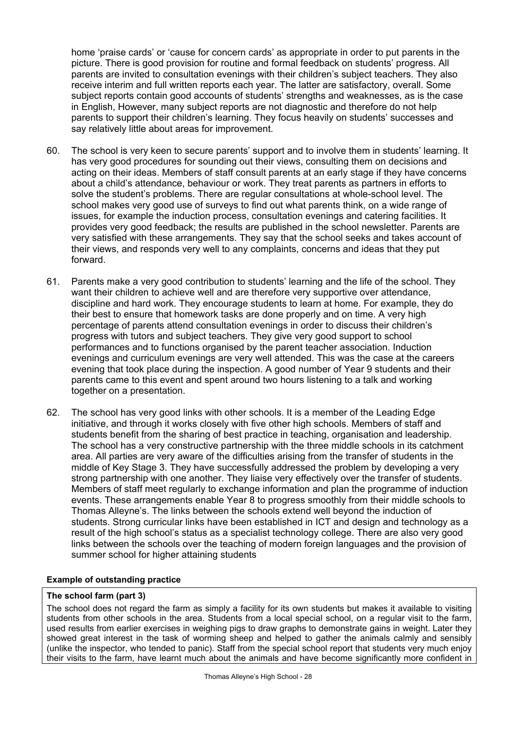home 'praise cards' or 'cause for concern cards' as appropriate in order to put parents in the picture. There is good provision for routine and formal feedback on students' progress. All parents are invited to consultation evenings with their children's subject teachers. They also receive interim and full written reports each year. The latter are satisfactory, overall. Some subject reports contain good accounts of students' strengths and weaknesses, as is the case in English, However, many subject reports are not diagnostic and therefore do not help parents to support their children's learning. They focus heavily on students' successes and say relatively little about areas for improvement.

- 60. The school is very keen to secure parents' support and to involve them in students' learning. It has very good procedures for sounding out their views, consulting them on decisions and acting on their ideas. Members of staff consult parents at an early stage if they have concerns about a child's attendance, behaviour or work. They treat parents as partners in efforts to solve the student's problems. There are regular consultations at whole-school level. The school makes very good use of surveys to find out what parents think, on a wide range of issues, for example the induction process, consultation evenings and catering facilities. It provides very good feedback; the results are published in the school newsletter. Parents are very satisfied with these arrangements. They say that the school seeks and takes account of their views, and responds very well to any complaints, concerns and ideas that they put forward.
- 61. Parents make a very good contribution to students' learning and the life of the school. They want their children to achieve well and are therefore very supportive over attendance, discipline and hard work. They encourage students to learn at home. For example, they do their best to ensure that homework tasks are done properly and on time. A very high percentage of parents attend consultation evenings in order to discuss their children's progress with tutors and subject teachers. They give very good support to school performances and to functions organised by the parent teacher association. Induction evenings and curriculum evenings are very well attended. This was the case at the careers evening that took place during the inspection. A good number of Year 9 students and their parents came to this event and spent around two hours listening to a talk and working together on a presentation.
- 62. The school has very good links with other schools. It is a member of the Leading Edge initiative, and through it works closely with five other high schools. Members of staff and students benefit from the sharing of best practice in teaching, organisation and leadership. The school has a very constructive partnership with the three middle schools in its catchment area. All parties are very aware of the difficulties arising from the transfer of students in the middle of Key Stage 3. They have successfully addressed the problem by developing a very strong partnership with one another. They liaise very effectively over the transfer of students. Members of staff meet regularly to exchange information and plan the programme of induction events. These arrangements enable Year 8 to progress smoothly from their middle schools to Thomas Alleyne's. The links between the schools extend well beyond the induction of students. Strong curricular links have been established in ICT and design and technology as a result of the high school's status as a specialist technology college. There are also very good links between the schools over the teaching of modern foreign languages and the provision of summer school for higher attaining students

#### **Example of outstanding practice**

#### **The school farm (part 3)**

The school does not regard the farm as simply a facility for its own students but makes it available to visiting students from other schools in the area. Students from a local special school, on a regular visit to the farm, used results from earlier exercises in weighing pigs to draw graphs to demonstrate gains in weight. Later they showed great interest in the task of worming sheep and helped to gather the animals calmly and sensibly (unlike the inspector, who tended to panic). Staff from the special school report that students very much enjoy their visits to the farm, have learnt much about the animals and have become significantly more confident in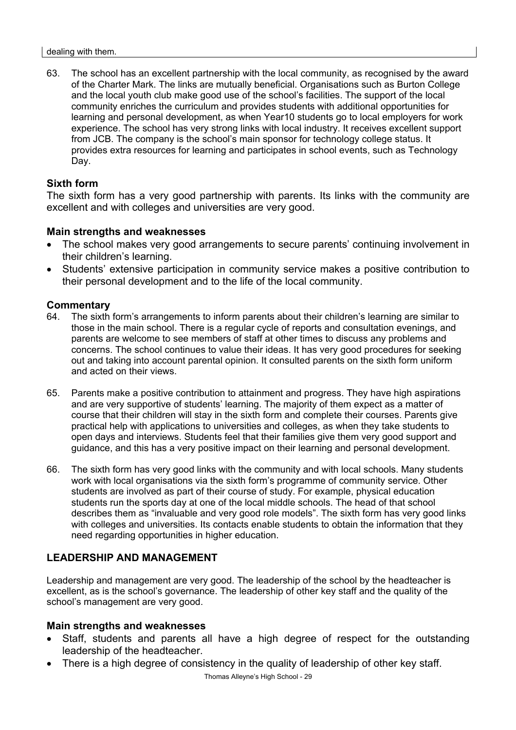#### dealing with them.

63. The school has an excellent partnership with the local community, as recognised by the award of the Charter Mark. The links are mutually beneficial. Organisations such as Burton College and the local youth club make good use of the school's facilities. The support of the local community enriches the curriculum and provides students with additional opportunities for learning and personal development, as when Year10 students go to local employers for work experience. The school has very strong links with local industry. It receives excellent support from JCB. The company is the school's main sponsor for technology college status. It provides extra resources for learning and participates in school events, such as Technology Day.

# **Sixth form**

The sixth form has a very good partnership with parents. Its links with the community are excellent and with colleges and universities are very good.

# **Main strengths and weaknesses**

- The school makes very good arrangements to secure parents' continuing involvement in their children's learning.
- Students' extensive participation in community service makes a positive contribution to their personal development and to the life of the local community.

# **Commentary**

- 64. The sixth form's arrangements to inform parents about their children's learning are similar to those in the main school. There is a regular cycle of reports and consultation evenings, and parents are welcome to see members of staff at other times to discuss any problems and concerns. The school continues to value their ideas. It has very good procedures for seeking out and taking into account parental opinion. It consulted parents on the sixth form uniform and acted on their views.
- 65. Parents make a positive contribution to attainment and progress. They have high aspirations and are very supportive of students' learning. The majority of them expect as a matter of course that their children will stay in the sixth form and complete their courses. Parents give practical help with applications to universities and colleges, as when they take students to open days and interviews. Students feel that their families give them very good support and guidance, and this has a very positive impact on their learning and personal development.
- 66. The sixth form has very good links with the community and with local schools. Many students work with local organisations via the sixth form's programme of community service. Other students are involved as part of their course of study. For example, physical education students run the sports day at one of the local middle schools. The head of that school describes them as "invaluable and very good role models". The sixth form has very good links with colleges and universities. Its contacts enable students to obtain the information that they need regarding opportunities in higher education.

# **LEADERSHIP AND MANAGEMENT**

Leadership and management are very good. The leadership of the school by the headteacher is excellent, as is the school's governance. The leadership of other key staff and the quality of the school's management are very good.

# **Main strengths and weaknesses**

- Staff, students and parents all have a high degree of respect for the outstanding leadership of the headteacher.
- There is a high degree of consistency in the quality of leadership of other key staff.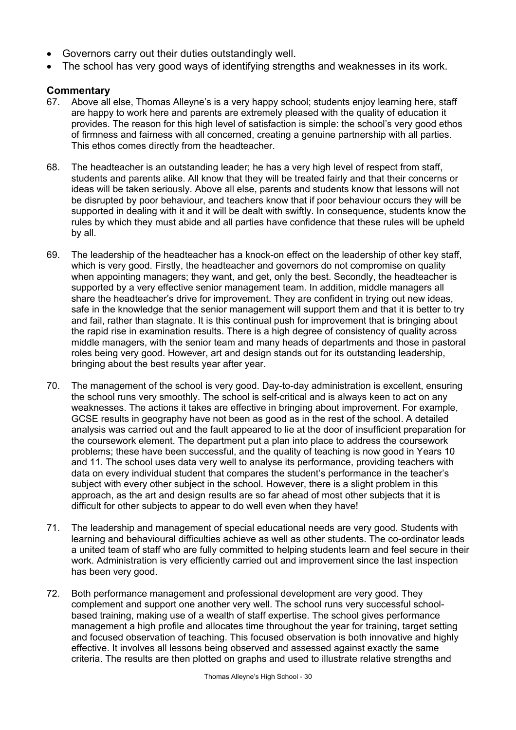- Governors carry out their duties outstandingly well.
- The school has very good ways of identifying strengths and weaknesses in its work.

- 67. Above all else, Thomas Alleyne's is a very happy school; students enjoy learning here, staff are happy to work here and parents are extremely pleased with the quality of education it provides. The reason for this high level of satisfaction is simple: the school's very good ethos of firmness and fairness with all concerned, creating a genuine partnership with all parties. This ethos comes directly from the headteacher.
- 68. The headteacher is an outstanding leader; he has a very high level of respect from staff, students and parents alike. All know that they will be treated fairly and that their concerns or ideas will be taken seriously. Above all else, parents and students know that lessons will not be disrupted by poor behaviour, and teachers know that if poor behaviour occurs they will be supported in dealing with it and it will be dealt with swiftly. In consequence, students know the rules by which they must abide and all parties have confidence that these rules will be upheld by all.
- 69. The leadership of the headteacher has a knock-on effect on the leadership of other key staff, which is very good. Firstly, the headteacher and governors do not compromise on quality when appointing managers; they want, and get, only the best. Secondly, the headteacher is supported by a very effective senior management team. In addition, middle managers all share the headteacher's drive for improvement. They are confident in trying out new ideas, safe in the knowledge that the senior management will support them and that it is better to try and fail, rather than stagnate. It is this continual push for improvement that is bringing about the rapid rise in examination results. There is a high degree of consistency of quality across middle managers, with the senior team and many heads of departments and those in pastoral roles being very good. However, art and design stands out for its outstanding leadership, bringing about the best results year after year.
- 70. The management of the school is very good. Day-to-day administration is excellent, ensuring the school runs very smoothly. The school is self-critical and is always keen to act on any weaknesses. The actions it takes are effective in bringing about improvement. For example, GCSE results in geography have not been as good as in the rest of the school. A detailed analysis was carried out and the fault appeared to lie at the door of insufficient preparation for the coursework element. The department put a plan into place to address the coursework problems; these have been successful, and the quality of teaching is now good in Years 10 and 11. The school uses data very well to analyse its performance, providing teachers with data on every individual student that compares the student's performance in the teacher's subject with every other subject in the school. However, there is a slight problem in this approach, as the art and design results are so far ahead of most other subjects that it is difficult for other subjects to appear to do well even when they have!
- 71. The leadership and management of special educational needs are very good. Students with learning and behavioural difficulties achieve as well as other students. The co-ordinator leads a united team of staff who are fully committed to helping students learn and feel secure in their work. Administration is very efficiently carried out and improvement since the last inspection has been very good.
- 72. Both performance management and professional development are very good. They complement and support one another very well. The school runs very successful schoolbased training, making use of a wealth of staff expertise. The school gives performance management a high profile and allocates time throughout the year for training, target setting and focused observation of teaching. This focused observation is both innovative and highly effective. It involves all lessons being observed and assessed against exactly the same criteria. The results are then plotted on graphs and used to illustrate relative strengths and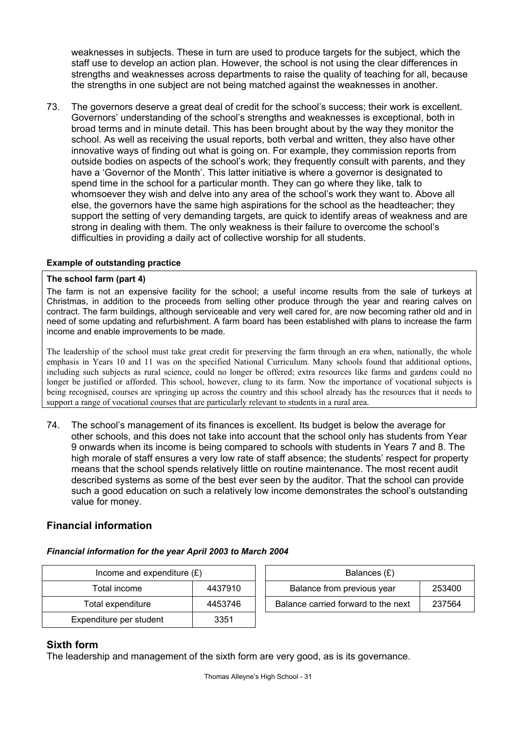weaknesses in subjects. These in turn are used to produce targets for the subject, which the staff use to develop an action plan. However, the school is not using the clear differences in strengths and weaknesses across departments to raise the quality of teaching for all, because the strengths in one subject are not being matched against the weaknesses in another.

73. The governors deserve a great deal of credit for the school's success; their work is excellent. Governors' understanding of the school's strengths and weaknesses is exceptional, both in broad terms and in minute detail. This has been brought about by the way they monitor the school. As well as receiving the usual reports, both verbal and written, they also have other innovative ways of finding out what is going on. For example, they commission reports from outside bodies on aspects of the school's work; they frequently consult with parents, and they have a 'Governor of the Month'. This latter initiative is where a governor is designated to spend time in the school for a particular month. They can go where they like, talk to whomsoever they wish and delve into any area of the school's work they want to. Above all else, the governors have the same high aspirations for the school as the headteacher; they support the setting of very demanding targets, are quick to identify areas of weakness and are strong in dealing with them. The only weakness is their failure to overcome the school's difficulties in providing a daily act of collective worship for all students.

#### **Example of outstanding practice**

#### **The school farm (part 4)**

The farm is not an expensive facility for the school; a useful income results from the sale of turkeys at Christmas, in addition to the proceeds from selling other produce through the year and rearing calves on contract. The farm buildings, although serviceable and very well cared for, are now becoming rather old and in need of some updating and refurbishment. A farm board has been established with plans to increase the farm income and enable improvements to be made.

The leadership of the school must take great credit for preserving the farm through an era when, nationally, the whole emphasis in Years 10 and 11 was on the specified National Curriculum. Many schools found that additional options, including such subjects as rural science, could no longer be offered; extra resources like farms and gardens could no longer be justified or afforded. This school, however, clung to its farm. Now the importance of vocational subjects is being recognised, courses are springing up across the country and this school already has the resources that it needs to support a range of vocational courses that are particularly relevant to students in a rural area.

74. The school's management of its finances is excellent. Its budget is below the average for other schools, and this does not take into account that the school only has students from Year 9 onwards when its income is being compared to schools with students in Years 7 and 8. The high morale of staff ensures a very low rate of staff absence; the students' respect for property means that the school spends relatively little on routine maintenance. The most recent audit described systems as some of the best ever seen by the auditor. That the school can provide such a good education on such a relatively low income demonstrates the school's outstanding value for money.

# **Financial information**

#### *Financial information for the year April 2003 to March 2004*

| Income and expenditure $(E)$ |         | Balances (£)                        |        |
|------------------------------|---------|-------------------------------------|--------|
| Total income                 | 4437910 | Balance from previous year          | 253400 |
| Total expenditure            | 4453746 | Balance carried forward to the next | 237564 |
| Expenditure per student      | 3351    |                                     |        |

# **Sixth form**

The leadership and management of the sixth form are very good, as is its governance.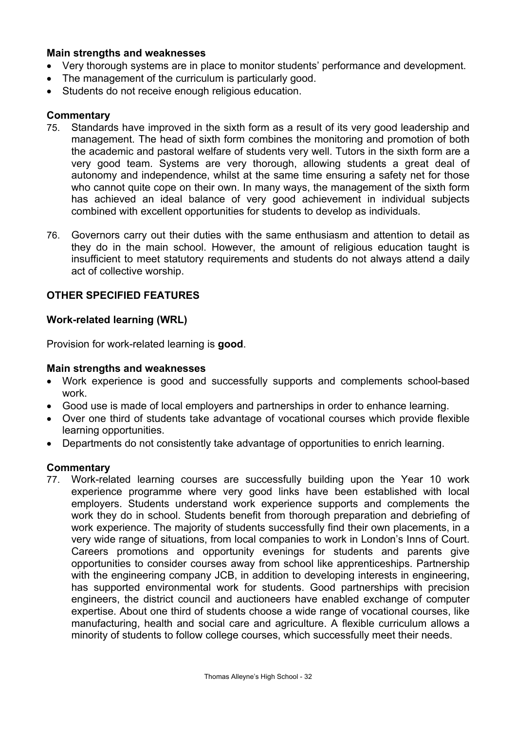# **Main strengths and weaknesses**

- Very thorough systems are in place to monitor students' performance and development.
- The management of the curriculum is particularly good.
- Students do not receive enough religious education.

# **Commentary**

- 75. Standards have improved in the sixth form as a result of its very good leadership and management. The head of sixth form combines the monitoring and promotion of both the academic and pastoral welfare of students very well. Tutors in the sixth form are a very good team. Systems are very thorough, allowing students a great deal of autonomy and independence, whilst at the same time ensuring a safety net for those who cannot quite cope on their own. In many ways, the management of the sixth form has achieved an ideal balance of very good achievement in individual subjects combined with excellent opportunities for students to develop as individuals.
- 76. Governors carry out their duties with the same enthusiasm and attention to detail as they do in the main school. However, the amount of religious education taught is insufficient to meet statutory requirements and students do not always attend a daily act of collective worship.

# **OTHER SPECIFIED FEATURES**

# **Work-related learning (WRL)**

Provision for work-related learning is **good**.

# **Main strengths and weaknesses**

- Work experience is good and successfully supports and complements school-based work.
- Good use is made of local employers and partnerships in order to enhance learning.
- Over one third of students take advantage of vocational courses which provide flexible learning opportunities.
- Departments do not consistently take advantage of opportunities to enrich learning.

# **Commentary**

77. Work-related learning courses are successfully building upon the Year 10 work experience programme where very good links have been established with local employers. Students understand work experience supports and complements the work they do in school. Students benefit from thorough preparation and debriefing of work experience. The majority of students successfully find their own placements, in a very wide range of situations, from local companies to work in London's Inns of Court. Careers promotions and opportunity evenings for students and parents give opportunities to consider courses away from school like apprenticeships. Partnership with the engineering company JCB, in addition to developing interests in engineering, has supported environmental work for students. Good partnerships with precision engineers, the district council and auctioneers have enabled exchange of computer expertise. About one third of students choose a wide range of vocational courses, like manufacturing, health and social care and agriculture. A flexible curriculum allows a minority of students to follow college courses, which successfully meet their needs.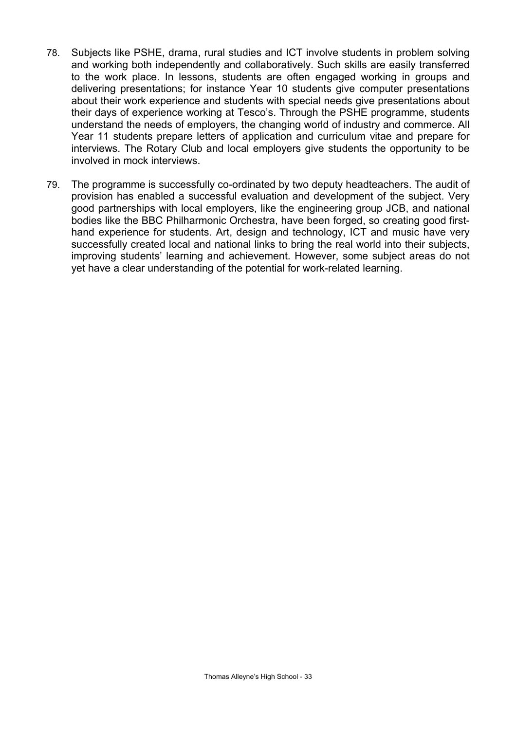- 78. Subjects like PSHE, drama, rural studies and ICT involve students in problem solving and working both independently and collaboratively. Such skills are easily transferred to the work place. In lessons, students are often engaged working in groups and delivering presentations; for instance Year 10 students give computer presentations about their work experience and students with special needs give presentations about their days of experience working at Tesco's. Through the PSHE programme, students understand the needs of employers, the changing world of industry and commerce. All Year 11 students prepare letters of application and curriculum vitae and prepare for interviews. The Rotary Club and local employers give students the opportunity to be involved in mock interviews.
- 79. The programme is successfully co-ordinated by two deputy headteachers. The audit of provision has enabled a successful evaluation and development of the subject. Very good partnerships with local employers, like the engineering group JCB, and national bodies like the BBC Philharmonic Orchestra, have been forged, so creating good firsthand experience for students. Art, design and technology, ICT and music have very successfully created local and national links to bring the real world into their subjects, improving students' learning and achievement. However, some subject areas do not yet have a clear understanding of the potential for work-related learning.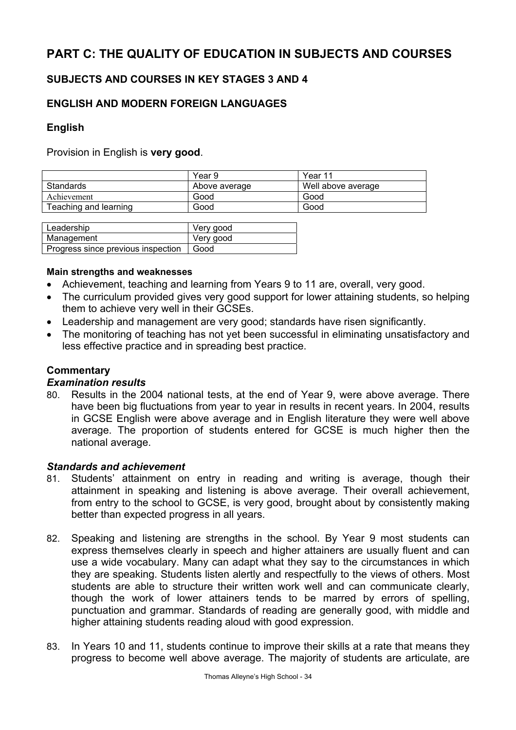# **PART C: THE QUALITY OF EDUCATION IN SUBJECTS AND COURSES**

# **SUBJECTS AND COURSES IN KEY STAGES 3 AND 4**

# **ENGLISH AND MODERN FOREIGN LANGUAGES**

# **English**

Provision in English is **very good**.

|                       | Year 9        | Year 11            |
|-----------------------|---------------|--------------------|
| Standards             | Above average | Well above average |
| Achievement           | Good          | Good               |
| Teaching and learning | Good          | Good               |

| Leadership                         | Very good |
|------------------------------------|-----------|
| Management                         | Very good |
| Progress since previous inspection | l Good    |

#### **Main strengths and weaknesses**

- Achievement, teaching and learning from Years 9 to 11 are, overall, very good.
- The curriculum provided gives very good support for lower attaining students, so helping them to achieve very well in their GCSEs.
- Leadership and management are very good; standards have risen significantly.
- The monitoring of teaching has not yet been successful in eliminating unsatisfactory and less effective practice and in spreading best practice.

# **Commentary**

# *Examination results*

80. Results in the 2004 national tests, at the end of Year 9, were above average. There have been big fluctuations from year to year in results in recent years. In 2004, results in GCSE English were above average and in English literature they were well above average. The proportion of students entered for GCSE is much higher then the national average.

# *Standards and achievement*

- 81. Students' attainment on entry in reading and writing is average, though their attainment in speaking and listening is above average. Their overall achievement, from entry to the school to GCSE, is very good, brought about by consistently making better than expected progress in all years.
- 82. Speaking and listening are strengths in the school. By Year 9 most students can express themselves clearly in speech and higher attainers are usually fluent and can use a wide vocabulary. Many can adapt what they say to the circumstances in which they are speaking. Students listen alertly and respectfully to the views of others. Most students are able to structure their written work well and can communicate clearly, though the work of lower attainers tends to be marred by errors of spelling, punctuation and grammar. Standards of reading are generally good, with middle and higher attaining students reading aloud with good expression.
- 83. In Years 10 and 11, students continue to improve their skills at a rate that means they progress to become well above average. The majority of students are articulate, are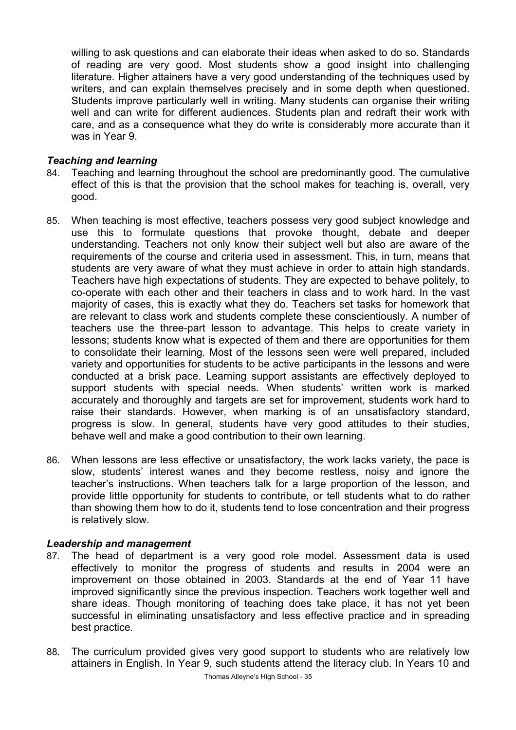willing to ask questions and can elaborate their ideas when asked to do so. Standards of reading are very good. Most students show a good insight into challenging literature. Higher attainers have a very good understanding of the techniques used by writers, and can explain themselves precisely and in some depth when questioned. Students improve particularly well in writing. Many students can organise their writing well and can write for different audiences. Students plan and redraft their work with care, and as a consequence what they do write is considerably more accurate than it was in Year 9.

# *Teaching and learning*

- 84. Teaching and learning throughout the school are predominantly good. The cumulative effect of this is that the provision that the school makes for teaching is, overall, very good.
- 85. When teaching is most effective, teachers possess very good subject knowledge and use this to formulate questions that provoke thought, debate and deeper understanding. Teachers not only know their subject well but also are aware of the requirements of the course and criteria used in assessment. This, in turn, means that students are very aware of what they must achieve in order to attain high standards. Teachers have high expectations of students. They are expected to behave politely, to co-operate with each other and their teachers in class and to work hard. In the vast majority of cases, this is exactly what they do. Teachers set tasks for homework that are relevant to class work and students complete these conscientiously. A number of teachers use the three-part lesson to advantage. This helps to create variety in lessons; students know what is expected of them and there are opportunities for them to consolidate their learning. Most of the lessons seen were well prepared, included variety and opportunities for students to be active participants in the lessons and were conducted at a brisk pace. Learning support assistants are effectively deployed to support students with special needs. When students' written work is marked accurately and thoroughly and targets are set for improvement, students work hard to raise their standards. However, when marking is of an unsatisfactory standard, progress is slow. In general, students have very good attitudes to their studies, behave well and make a good contribution to their own learning.
- 86. When lessons are less effective or unsatisfactory, the work lacks variety, the pace is slow, students' interest wanes and they become restless, noisy and ignore the teacher's instructions. When teachers talk for a large proportion of the lesson, and provide little opportunity for students to contribute, or tell students what to do rather than showing them how to do it, students tend to lose concentration and their progress is relatively slow.

# *Leadership and management*

- 87. The head of department is a very good role model. Assessment data is used effectively to monitor the progress of students and results in 2004 were an improvement on those obtained in 2003. Standards at the end of Year 11 have improved significantly since the previous inspection. Teachers work together well and share ideas. Though monitoring of teaching does take place, it has not yet been successful in eliminating unsatisfactory and less effective practice and in spreading best practice*.*
- 88. The curriculum provided gives very good support to students who are relatively low attainers in English. In Year 9, such students attend the literacy club. In Years 10 and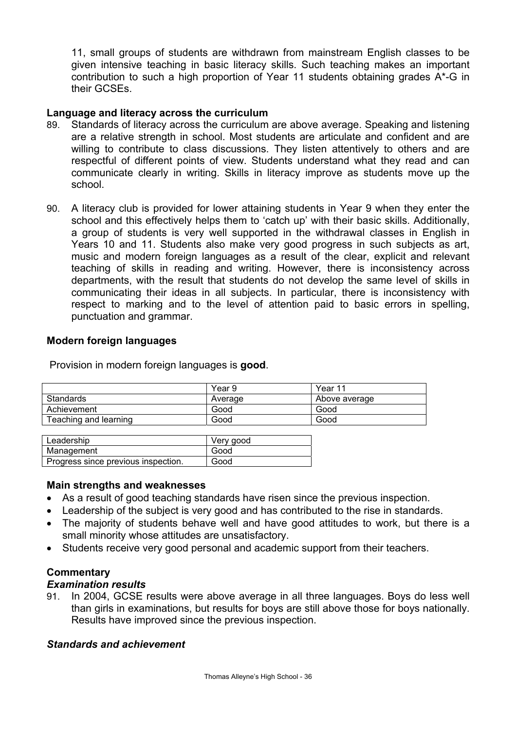11, small groups of students are withdrawn from mainstream English classes to be given intensive teaching in basic literacy skills. Such teaching makes an important contribution to such a high proportion of Year 11 students obtaining grades A\*-G in their GCSEs.

# **Language and literacy across the curriculum**

- 89. Standards of literacy across the curriculum are above average. Speaking and listening are a relative strength in school. Most students are articulate and confident and are willing to contribute to class discussions. They listen attentively to others and are respectful of different points of view. Students understand what they read and can communicate clearly in writing. Skills in literacy improve as students move up the school.
- 90. A literacy club is provided for lower attaining students in Year 9 when they enter the school and this effectively helps them to 'catch up' with their basic skills. Additionally, a group of students is very well supported in the withdrawal classes in English in Years 10 and 11. Students also make very good progress in such subjects as art, music and modern foreign languages as a result of the clear, explicit and relevant teaching of skills in reading and writing. However, there is inconsistency across departments, with the result that students do not develop the same level of skills in communicating their ideas in all subjects. In particular, there is inconsistency with respect to marking and to the level of attention paid to basic errors in spelling, punctuation and grammar.

# **Modern foreign languages**

| Year 9  | Year 11       |
|---------|---------------|
| Average | Above average |
| Good    | Good          |
| Good    | Good          |
|         |               |

Provision in modern foreign languages is **good**.

| Leadership                          | Very good |
|-------------------------------------|-----------|
| Management                          | Good      |
| Progress since previous inspection. | Good      |

#### **Main strengths and weaknesses**

- As a result of good teaching standards have risen since the previous inspection.
- Leadership of the subject is very good and has contributed to the rise in standards.
- The majority of students behave well and have good attitudes to work, but there is a small minority whose attitudes are unsatisfactory.
- Students receive very good personal and academic support from their teachers.

# **Commentary**

# *Examination results*

91. In 2004, GCSE results were above average in all three languages. Boys do less well than girls in examinations, but results for boys are still above those for boys nationally. Results have improved since the previous inspection.

# *Standards and achievement*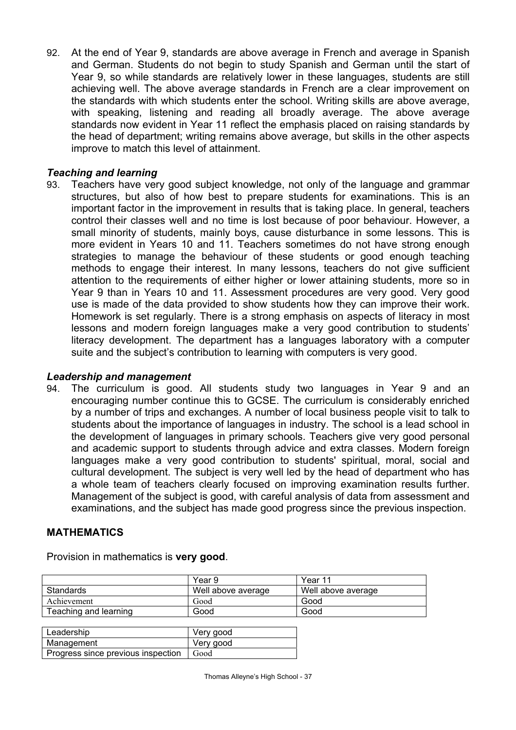92. At the end of Year 9, standards are above average in French and average in Spanish and German. Students do not begin to study Spanish and German until the start of Year 9, so while standards are relatively lower in these languages, students are still achieving well. The above average standards in French are a clear improvement on the standards with which students enter the school. Writing skills are above average, with speaking, listening and reading all broadly average. The above average standards now evident in Year 11 reflect the emphasis placed on raising standards by the head of department; writing remains above average, but skills in the other aspects improve to match this level of attainment.

## *Teaching and learning*

93. Teachers have very good subject knowledge, not only of the language and grammar structures, but also of how best to prepare students for examinations. This is an important factor in the improvement in results that is taking place. In general, teachers control their classes well and no time is lost because of poor behaviour. However, a small minority of students, mainly boys, cause disturbance in some lessons. This is more evident in Years 10 and 11. Teachers sometimes do not have strong enough strategies to manage the behaviour of these students or good enough teaching methods to engage their interest. In many lessons, teachers do not give sufficient attention to the requirements of either higher or lower attaining students, more so in Year 9 than in Years 10 and 11. Assessment procedures are very good. Very good use is made of the data provided to show students how they can improve their work. Homework is set regularly. There is a strong emphasis on aspects of literacy in most lessons and modern foreign languages make a very good contribution to students' literacy development. The department has a languages laboratory with a computer suite and the subject's contribution to learning with computers is very good.

## *Leadership and management*

94. The curriculum is good. All students study two languages in Year 9 and an encouraging number continue this to GCSE. The curriculum is considerably enriched by a number of trips and exchanges. A number of local business people visit to talk to students about the importance of languages in industry. The school is a lead school in the development of languages in primary schools. Teachers give very good personal and academic support to students through advice and extra classes. Modern foreign languages make a very good contribution to students' spiritual, moral, social and cultural development. The subject is very well led by the head of department who has a whole team of teachers clearly focused on improving examination results further. Management of the subject is good, with careful analysis of data from assessment and examinations, and the subject has made good progress since the previous inspection.

## **MATHEMATICS**

|                       | Year 9             | Year 11            |
|-----------------------|--------------------|--------------------|
| Standards             | Well above average | Well above average |
| Achievement           | Good               | Good               |
| Teaching and learning | Good               | Good               |
|                       |                    |                    |

Provision in mathematics is **very good**.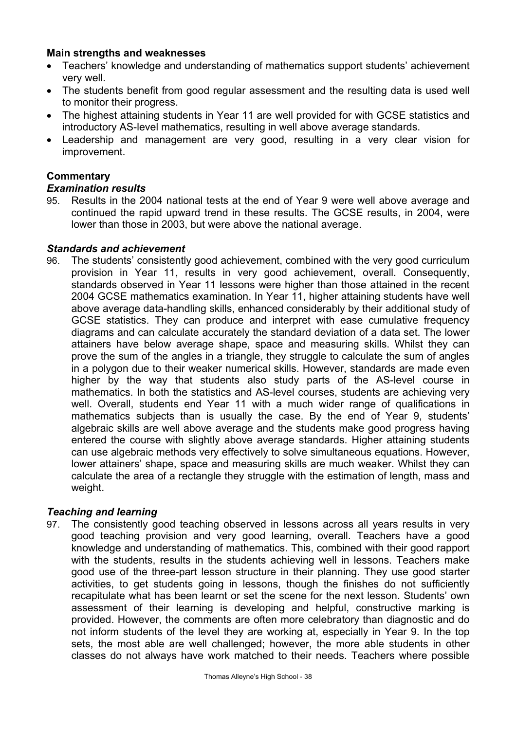## **Main strengths and weaknesses**

- Teachers' knowledge and understanding of mathematics support students' achievement very well.
- The students benefit from good regular assessment and the resulting data is used well to monitor their progress.
- The highest attaining students in Year 11 are well provided for with GCSE statistics and introductory AS-level mathematics, resulting in well above average standards.
- Leadership and management are very good, resulting in a very clear vision for improvement.

### **Commentary**

### *Examination results*

95. Results in the 2004 national tests at the end of Year 9 were well above average and continued the rapid upward trend in these results. The GCSE results, in 2004, were lower than those in 2003, but were above the national average.

#### *Standards and achievement*

96. The students' consistently good achievement, combined with the very good curriculum provision in Year 11, results in very good achievement, overall. Consequently, standards observed in Year 11 lessons were higher than those attained in the recent 2004 GCSE mathematics examination. In Year 11, higher attaining students have well above average data-handling skills, enhanced considerably by their additional study of GCSE statistics. They can produce and interpret with ease cumulative frequency diagrams and can calculate accurately the standard deviation of a data set. The lower attainers have below average shape, space and measuring skills. Whilst they can prove the sum of the angles in a triangle, they struggle to calculate the sum of angles in a polygon due to their weaker numerical skills. However, standards are made even higher by the way that students also study parts of the AS-level course in mathematics. In both the statistics and AS-level courses, students are achieving very well. Overall, students end Year 11 with a much wider range of qualifications in mathematics subjects than is usually the case. By the end of Year 9, students' algebraic skills are well above average and the students make good progress having entered the course with slightly above average standards. Higher attaining students can use algebraic methods very effectively to solve simultaneous equations. However, lower attainers' shape, space and measuring skills are much weaker. Whilst they can calculate the area of a rectangle they struggle with the estimation of length, mass and weight.

## *Teaching and learning*

97. The consistently good teaching observed in lessons across all years results in very good teaching provision and very good learning, overall. Teachers have a good knowledge and understanding of mathematics. This, combined with their good rapport with the students, results in the students achieving well in lessons. Teachers make good use of the three-part lesson structure in their planning. They use good starter activities, to get students going in lessons, though the finishes do not sufficiently recapitulate what has been learnt or set the scene for the next lesson. Students' own assessment of their learning is developing and helpful, constructive marking is provided. However, the comments are often more celebratory than diagnostic and do not inform students of the level they are working at, especially in Year 9. In the top sets, the most able are well challenged; however, the more able students in other classes do not always have work matched to their needs. Teachers where possible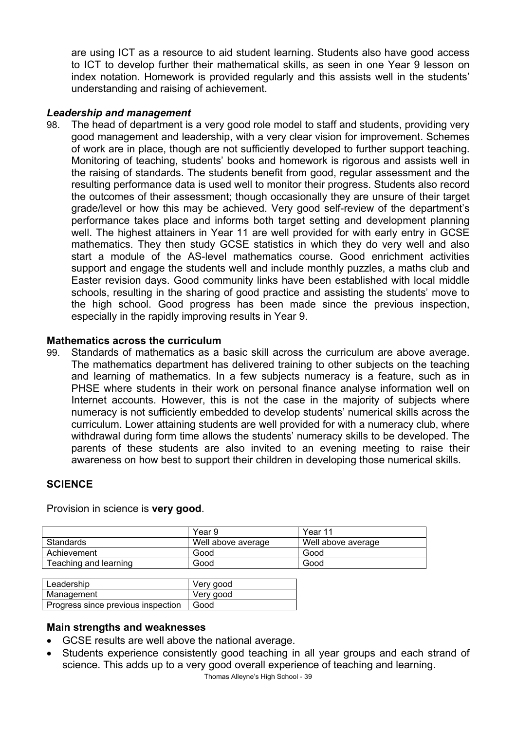are using ICT as a resource to aid student learning. Students also have good access to ICT to develop further their mathematical skills, as seen in one Year 9 lesson on index notation. Homework is provided regularly and this assists well in the students' understanding and raising of achievement.

## *Leadership and management*

98. The head of department is a very good role model to staff and students, providing very good management and leadership, with a very clear vision for improvement. Schemes of work are in place, though are not sufficiently developed to further support teaching. Monitoring of teaching, students' books and homework is rigorous and assists well in the raising of standards. The students benefit from good, regular assessment and the resulting performance data is used well to monitor their progress. Students also record the outcomes of their assessment; though occasionally they are unsure of their target grade/level or how this may be achieved. Very good self-review of the department's performance takes place and informs both target setting and development planning well. The highest attainers in Year 11 are well provided for with early entry in GCSE mathematics. They then study GCSE statistics in which they do very well and also start a module of the AS-level mathematics course. Good enrichment activities support and engage the students well and include monthly puzzles, a maths club and Easter revision days. Good community links have been established with local middle schools, resulting in the sharing of good practice and assisting the students' move to the high school. Good progress has been made since the previous inspection, especially in the rapidly improving results in Year 9.

## **Mathematics across the curriculum**

99. Standards of mathematics as a basic skill across the curriculum are above average. The mathematics department has delivered training to other subjects on the teaching and learning of mathematics. In a few subjects numeracy is a feature, such as in PHSE where students in their work on personal finance analyse information well on Internet accounts. However, this is not the case in the majority of subjects where numeracy is not sufficiently embedded to develop students' numerical skills across the curriculum. Lower attaining students are well provided for with a numeracy club, where withdrawal during form time allows the students' numeracy skills to be developed. The parents of these students are also invited to an evening meeting to raise their awareness on how best to support their children in developing those numerical skills.

## **SCIENCE**

|                       | Year 9             | Year 11            |
|-----------------------|--------------------|--------------------|
| Standards             | Well above average | Well above average |
| Achievement           | Good               | Good               |
| Teaching and learning | Good               | Good               |

Provision in science is **very good**.

| Leadership                         | Very good |
|------------------------------------|-----------|
| Management                         | Very good |
| Progress since previous inspection | l Good    |
|                                    |           |

## **Main strengths and weaknesses**

- GCSE results are well above the national average.
- Thomas Alleyne's High School 39 • Students experience consistently good teaching in all year groups and each strand of science. This adds up to a very good overall experience of teaching and learning.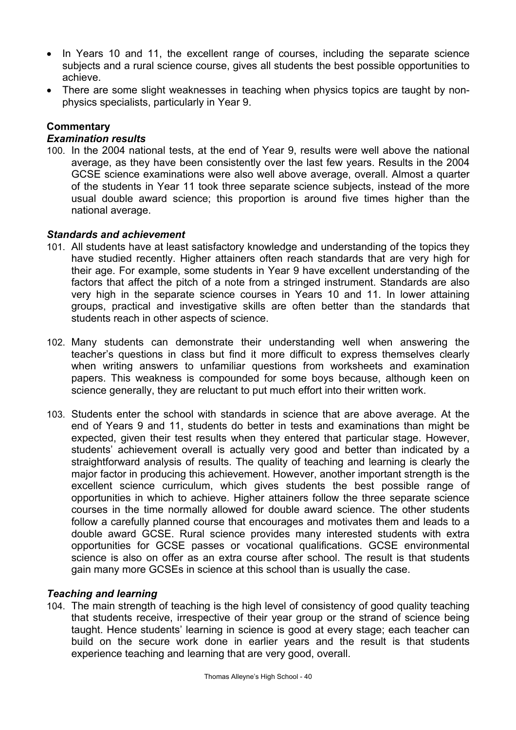- In Years 10 and 11, the excellent range of courses, including the separate science subjects and a rural science course, gives all students the best possible opportunities to achieve.
- There are some slight weaknesses in teaching when physics topics are taught by nonphysics specialists, particularly in Year 9.

## **Commentary**

## *Examination results*

100. In the 2004 national tests, at the end of Year 9, results were well above the national average, as they have been consistently over the last few years. Results in the 2004 GCSE science examinations were also well above average, overall. Almost a quarter of the students in Year 11 took three separate science subjects, instead of the more usual double award science; this proportion is around five times higher than the national average.

### *Standards and achievement*

- 101. All students have at least satisfactory knowledge and understanding of the topics they have studied recently. Higher attainers often reach standards that are very high for their age. For example, some students in Year 9 have excellent understanding of the factors that affect the pitch of a note from a stringed instrument. Standards are also very high in the separate science courses in Years 10 and 11. In lower attaining groups, practical and investigative skills are often better than the standards that students reach in other aspects of science.
- 102. Many students can demonstrate their understanding well when answering the teacher's questions in class but find it more difficult to express themselves clearly when writing answers to unfamiliar questions from worksheets and examination papers. This weakness is compounded for some boys because, although keen on science generally, they are reluctant to put much effort into their written work.
- 103. Students enter the school with standards in science that are above average. At the end of Years 9 and 11, students do better in tests and examinations than might be expected, given their test results when they entered that particular stage. However, students' achievement overall is actually very good and better than indicated by a straightforward analysis of results. The quality of teaching and learning is clearly the major factor in producing this achievement. However, another important strength is the excellent science curriculum, which gives students the best possible range of opportunities in which to achieve. Higher attainers follow the three separate science courses in the time normally allowed for double award science. The other students follow a carefully planned course that encourages and motivates them and leads to a double award GCSE. Rural science provides many interested students with extra opportunities for GCSE passes or vocational qualifications. GCSE environmental science is also on offer as an extra course after school. The result is that students gain many more GCSEs in science at this school than is usually the case.

## *Teaching and learning*

104. The main strength of teaching is the high level of consistency of good quality teaching that students receive, irrespective of their year group or the strand of science being taught. Hence students' learning in science is good at every stage; each teacher can build on the secure work done in earlier years and the result is that students experience teaching and learning that are very good, overall.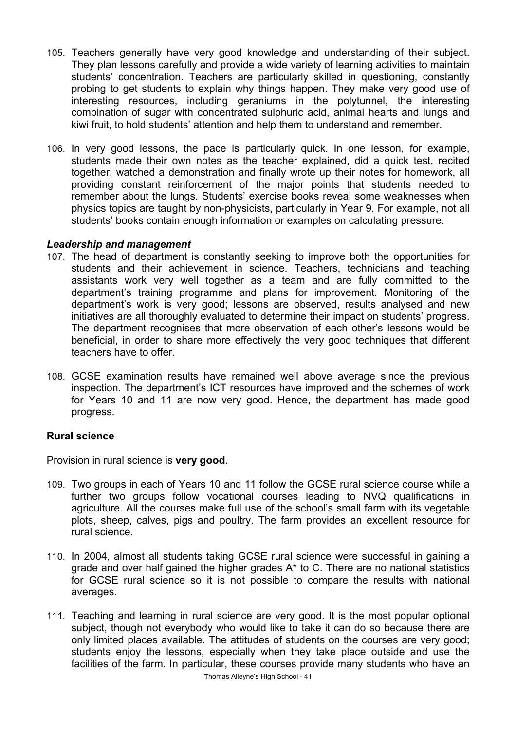- 105. Teachers generally have very good knowledge and understanding of their subject. They plan lessons carefully and provide a wide variety of learning activities to maintain students' concentration. Teachers are particularly skilled in questioning, constantly probing to get students to explain why things happen. They make very good use of interesting resources, including geraniums in the polytunnel, the interesting combination of sugar with concentrated sulphuric acid, animal hearts and lungs and kiwi fruit, to hold students' attention and help them to understand and remember.
- 106. In very good lessons, the pace is particularly quick. In one lesson, for example, students made their own notes as the teacher explained, did a quick test, recited together, watched a demonstration and finally wrote up their notes for homework, all providing constant reinforcement of the major points that students needed to remember about the lungs. Students' exercise books reveal some weaknesses when physics topics are taught by non-physicists, particularly in Year 9. For example, not all students' books contain enough information or examples on calculating pressure.

## *Leadership and management*

- 107. The head of department is constantly seeking to improve both the opportunities for students and their achievement in science. Teachers, technicians and teaching assistants work very well together as a team and are fully committed to the department's training programme and plans for improvement. Monitoring of the department's work is very good; lessons are observed, results analysed and new initiatives are all thoroughly evaluated to determine their impact on students' progress. The department recognises that more observation of each other's lessons would be beneficial, in order to share more effectively the very good techniques that different teachers have to offer.
- 108. GCSE examination results have remained well above average since the previous inspection. The department's ICT resources have improved and the schemes of work for Years 10 and 11 are now very good. Hence, the department has made good progress.

## **Rural science**

Provision in rural science is **very good**.

- 109. Two groups in each of Years 10 and 11 follow the GCSE rural science course while a further two groups follow vocational courses leading to NVQ qualifications in agriculture. All the courses make full use of the school's small farm with its vegetable plots, sheep, calves, pigs and poultry. The farm provides an excellent resource for rural science.
- 110. In 2004, almost all students taking GCSE rural science were successful in gaining a grade and over half gained the higher grades A\* to C. There are no national statistics for GCSE rural science so it is not possible to compare the results with national averages.
- 111. Teaching and learning in rural science are very good. It is the most popular optional subject, though not everybody who would like to take it can do so because there are only limited places available. The attitudes of students on the courses are very good; students enjoy the lessons, especially when they take place outside and use the facilities of the farm. In particular, these courses provide many students who have an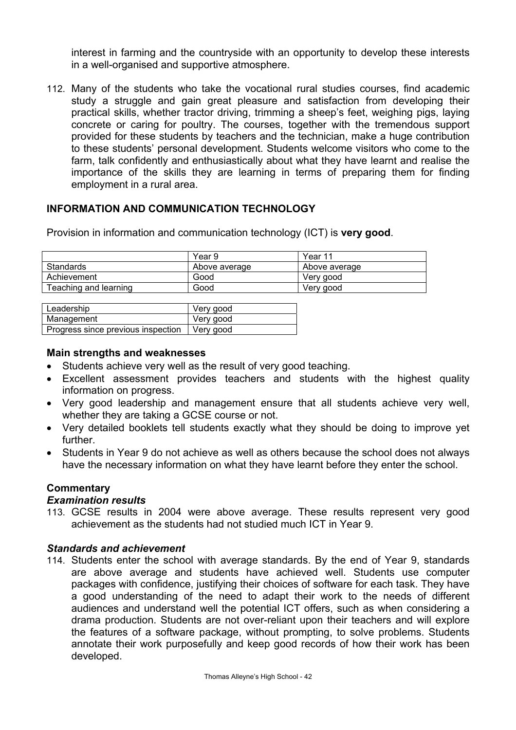interest in farming and the countryside with an opportunity to develop these interests in a well-organised and supportive atmosphere.

112. Many of the students who take the vocational rural studies courses, find academic study a struggle and gain great pleasure and satisfaction from developing their practical skills, whether tractor driving, trimming a sheep's feet, weighing pigs, laying concrete or caring for poultry. The courses, together with the tremendous support provided for these students by teachers and the technician, make a huge contribution to these students' personal development. Students welcome visitors who come to the farm, talk confidently and enthusiastically about what they have learnt and realise the importance of the skills they are learning in terms of preparing them for finding employment in a rural area.

## **INFORMATION AND COMMUNICATION TECHNOLOGY**

Provision in information and communication technology (ICT) is **very good**.

|                       | Year 9        | Year 11       |
|-----------------------|---------------|---------------|
| Standards             | Above average | Above average |
| Achievement           | Good          | Very good     |
| Teaching and learning | Good          | Verv good     |
|                       |               |               |

| Leadership                         | Very good |
|------------------------------------|-----------|
| Management                         | Very good |
| Progress since previous inspection | Very good |
|                                    |           |

### **Main strengths and weaknesses**

- Students achieve very well as the result of very good teaching.
- Excellent assessment provides teachers and students with the highest quality information on progress.
- Very good leadership and management ensure that all students achieve very well, whether they are taking a GCSE course or not.
- Very detailed booklets tell students exactly what they should be doing to improve yet further.
- Students in Year 9 do not achieve as well as others because the school does not always have the necessary information on what they have learnt before they enter the school.

## **Commentary**

## *Examination results*

113. GCSE results in 2004 were above average. These results represent very good achievement as the students had not studied much ICT in Year 9.

## *Standards and achievement*

114. Students enter the school with average standards. By the end of Year 9, standards are above average and students have achieved well. Students use computer packages with confidence, justifying their choices of software for each task. They have a good understanding of the need to adapt their work to the needs of different audiences and understand well the potential ICT offers, such as when considering a drama production. Students are not over-reliant upon their teachers and will explore the features of a software package, without prompting, to solve problems. Students annotate their work purposefully and keep good records of how their work has been developed.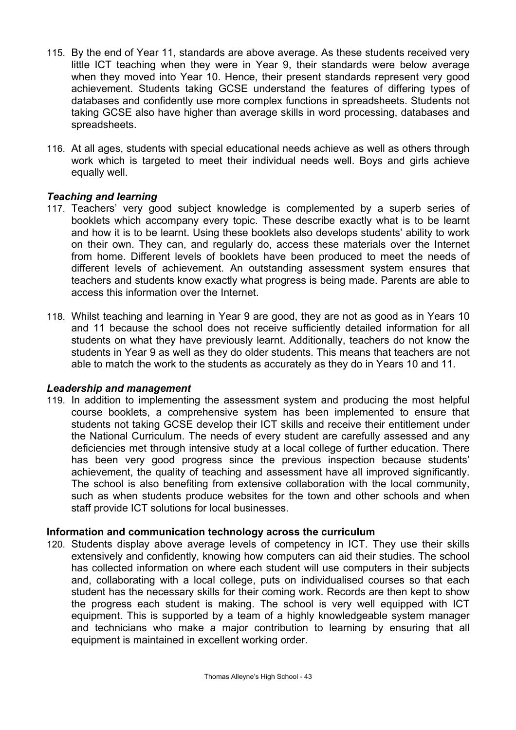- 115. By the end of Year 11, standards are above average. As these students received very little ICT teaching when they were in Year 9, their standards were below average when they moved into Year 10. Hence, their present standards represent very good achievement. Students taking GCSE understand the features of differing types of databases and confidently use more complex functions in spreadsheets. Students not taking GCSE also have higher than average skills in word processing, databases and spreadsheets.
- 116. At all ages, students with special educational needs achieve as well as others through work which is targeted to meet their individual needs well. Boys and girls achieve equally well.

## *Teaching and learning*

- 117. Teachers' very good subject knowledge is complemented by a superb series of booklets which accompany every topic. These describe exactly what is to be learnt and how it is to be learnt. Using these booklets also develops students' ability to work on their own. They can, and regularly do, access these materials over the Internet from home. Different levels of booklets have been produced to meet the needs of different levels of achievement. An outstanding assessment system ensures that teachers and students know exactly what progress is being made. Parents are able to access this information over the Internet.
- 118. Whilst teaching and learning in Year 9 are good, they are not as good as in Years 10 and 11 because the school does not receive sufficiently detailed information for all students on what they have previously learnt. Additionally, teachers do not know the students in Year 9 as well as they do older students. This means that teachers are not able to match the work to the students as accurately as they do in Years 10 and 11.

## *Leadership and management*

119. In addition to implementing the assessment system and producing the most helpful course booklets, a comprehensive system has been implemented to ensure that students not taking GCSE develop their ICT skills and receive their entitlement under the National Curriculum. The needs of every student are carefully assessed and any deficiencies met through intensive study at a local college of further education. There has been very good progress since the previous inspection because students' achievement, the quality of teaching and assessment have all improved significantly. The school is also benefiting from extensive collaboration with the local community, such as when students produce websites for the town and other schools and when staff provide ICT solutions for local businesses.

## **Information and communication technology across the curriculum**

120. Students display above average levels of competency in ICT. They use their skills extensively and confidently, knowing how computers can aid their studies. The school has collected information on where each student will use computers in their subjects and, collaborating with a local college, puts on individualised courses so that each student has the necessary skills for their coming work. Records are then kept to show the progress each student is making. The school is very well equipped with ICT equipment. This is supported by a team of a highly knowledgeable system manager and technicians who make a major contribution to learning by ensuring that all equipment is maintained in excellent working order.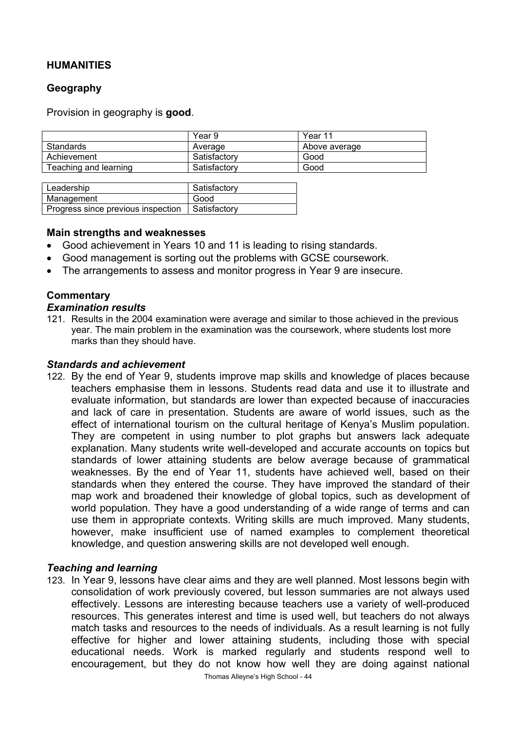## **HUMANITIES**

## **Geography**

Provision in geography is **good**.

|                       | Year 9       | Year 11       |
|-----------------------|--------------|---------------|
| Standards             | Average      | Above average |
| Achievement           | Satisfactory | Good          |
| Teaching and learning | Satisfactory | Good          |
|                       |              |               |

| Leadership                                        | Satisfactory |
|---------------------------------------------------|--------------|
| Management                                        | Good         |
| Progress since previous inspection   Satisfactory |              |

#### **Main strengths and weaknesses**

- Good achievement in Years 10 and 11 is leading to rising standards.
- Good management is sorting out the problems with GCSE coursework.
- The arrangements to assess and monitor progress in Year 9 are insecure.

### **Commentary**

#### *Examination results*

121. Results in the 2004 examination were average and similar to those achieved in the previous year. The main problem in the examination was the coursework, where students lost more marks than they should have.

#### *Standards and achievement*

122. By the end of Year 9, students improve map skills and knowledge of places because teachers emphasise them in lessons. Students read data and use it to illustrate and evaluate information, but standards are lower than expected because of inaccuracies and lack of care in presentation. Students are aware of world issues, such as the effect of international tourism on the cultural heritage of Kenya's Muslim population. They are competent in using number to plot graphs but answers lack adequate explanation. Many students write well-developed and accurate accounts on topics but standards of lower attaining students are below average because of grammatical weaknesses. By the end of Year 11, students have achieved well, based on their standards when they entered the course. They have improved the standard of their map work and broadened their knowledge of global topics, such as development of world population. They have a good understanding of a wide range of terms and can use them in appropriate contexts. Writing skills are much improved. Many students, however, make insufficient use of named examples to complement theoretical knowledge, and question answering skills are not developed well enough.

### *Teaching and learning*

123. In Year 9, lessons have clear aims and they are well planned. Most lessons begin with consolidation of work previously covered, but lesson summaries are not always used effectively. Lessons are interesting because teachers use a variety of well-produced resources. This generates interest and time is used well, but teachers do not always match tasks and resources to the needs of individuals. As a result learning is not fully effective for higher and lower attaining students, including those with special educational needs. Work is marked regularly and students respond well to encouragement, but they do not know how well they are doing against national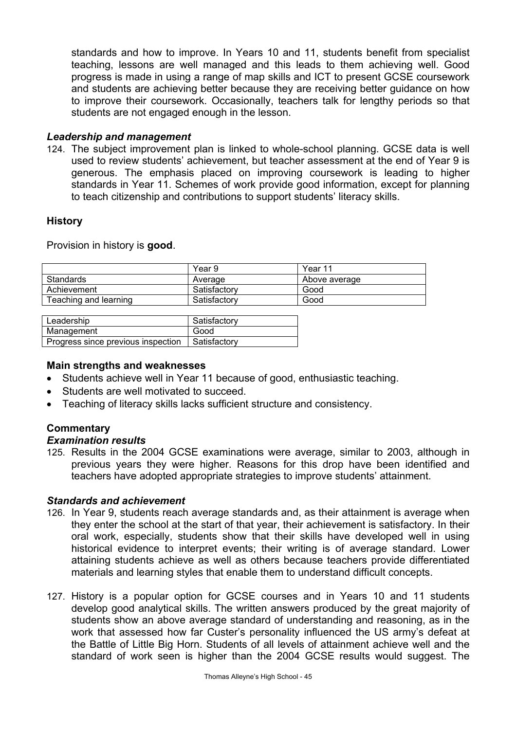standards and how to improve. In Years 10 and 11, students benefit from specialist teaching, lessons are well managed and this leads to them achieving well. Good progress is made in using a range of map skills and ICT to present GCSE coursework and students are achieving better because they are receiving better guidance on how to improve their coursework. Occasionally, teachers talk for lengthy periods so that students are not engaged enough in the lesson.

## *Leadership and management*

124. The subject improvement plan is linked to whole-school planning. GCSE data is well used to review students' achievement, but teacher assessment at the end of Year 9 is generous. The emphasis placed on improving coursework is leading to higher standards in Year 11. Schemes of work provide good information, except for planning to teach citizenship and contributions to support students' literacy skills.

## **History**

Provision in history is **good**.

|                       | Year 9       | Year 11       |
|-----------------------|--------------|---------------|
| Standards             | Average      | Above average |
| Achievement           | Satisfactory | Good          |
| Teaching and learning | Satisfactory | Good          |

| Leadership                                        | Satisfactory |
|---------------------------------------------------|--------------|
| Management                                        | Good         |
| Progress since previous inspection   Satisfactory |              |

## **Main strengths and weaknesses**

- Students achieve well in Year 11 because of good, enthusiastic teaching.
- Students are well motivated to succeed.
- Teaching of literacy skills lacks sufficient structure and consistency.

## **Commentary**

## *Examination results*

125. Results in the 2004 GCSE examinations were average, similar to 2003, although in previous years they were higher. Reasons for this drop have been identified and teachers have adopted appropriate strategies to improve students' attainment.

## *Standards and achievement*

- 126. In Year 9, students reach average standards and, as their attainment is average when they enter the school at the start of that year, their achievement is satisfactory. In their oral work, especially, students show that their skills have developed well in using historical evidence to interpret events; their writing is of average standard. Lower attaining students achieve as well as others because teachers provide differentiated materials and learning styles that enable them to understand difficult concepts.
- 127. History is a popular option for GCSE courses and in Years 10 and 11 students develop good analytical skills. The written answers produced by the great majority of students show an above average standard of understanding and reasoning, as in the work that assessed how far Custer's personality influenced the US army's defeat at the Battle of Little Big Horn. Students of all levels of attainment achieve well and the standard of work seen is higher than the 2004 GCSE results would suggest. The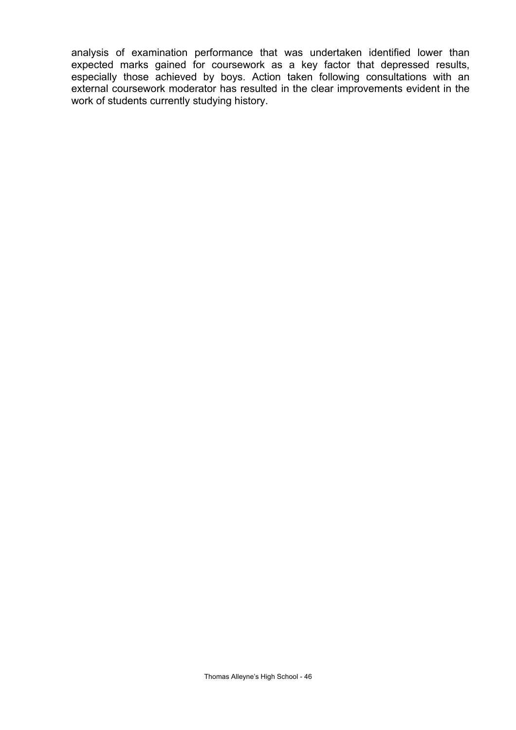analysis of examination performance that was undertaken identified lower than expected marks gained for coursework as a key factor that depressed results, especially those achieved by boys. Action taken following consultations with an external coursework moderator has resulted in the clear improvements evident in the work of students currently studying history.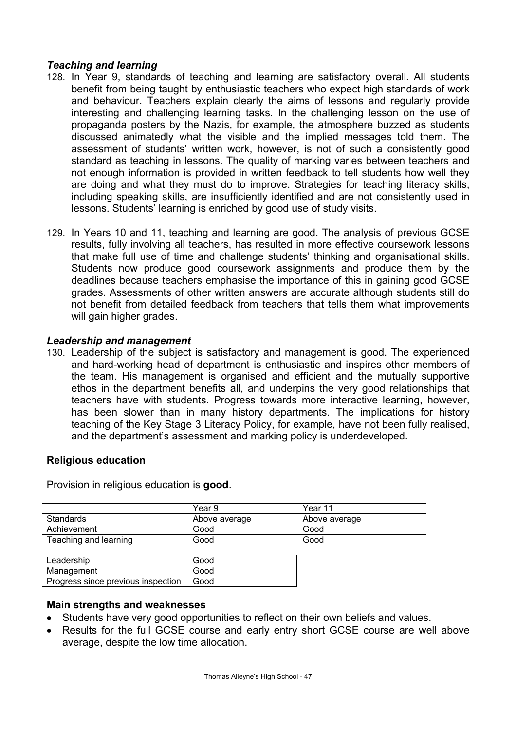## *Teaching and learning*

- 128. In Year 9, standards of teaching and learning are satisfactory overall. All students benefit from being taught by enthusiastic teachers who expect high standards of work and behaviour. Teachers explain clearly the aims of lessons and regularly provide interesting and challenging learning tasks. In the challenging lesson on the use of propaganda posters by the Nazis, for example, the atmosphere buzzed as students discussed animatedly what the visible and the implied messages told them. The assessment of students' written work, however, is not of such a consistently good standard as teaching in lessons. The quality of marking varies between teachers and not enough information is provided in written feedback to tell students how well they are doing and what they must do to improve. Strategies for teaching literacy skills, including speaking skills, are insufficiently identified and are not consistently used in lessons. Students' learning is enriched by good use of study visits.
- 129. In Years 10 and 11, teaching and learning are good. The analysis of previous GCSE results, fully involving all teachers, has resulted in more effective coursework lessons that make full use of time and challenge students' thinking and organisational skills. Students now produce good coursework assignments and produce them by the deadlines because teachers emphasise the importance of this in gaining good GCSE grades. Assessments of other written answers are accurate although students still do not benefit from detailed feedback from teachers that tells them what improvements will gain higher grades.

## *Leadership and management*

130. Leadership of the subject is satisfactory and management is good. The experienced and hard-working head of department is enthusiastic and inspires other members of the team. His management is organised and efficient and the mutually supportive ethos in the department benefits all, and underpins the very good relationships that teachers have with students. Progress towards more interactive learning, however, has been slower than in many history departments. The implications for history teaching of the Key Stage 3 Literacy Policy, for example, have not been fully realised, and the department's assessment and marking policy is underdeveloped.

## **Religious education**

Provision in religious education is **good**.

|                       | Year 9        | Year 11       |
|-----------------------|---------------|---------------|
| Standards             | Above average | Above average |
| Achievement           | Good          | Good          |
| Teaching and learning | Good          | Good          |

| Leadership                         | Good   |
|------------------------------------|--------|
| Management                         | Good   |
| Progress since previous inspection | l Good |

## **Main strengths and weaknesses**

- Students have very good opportunities to reflect on their own beliefs and values.
- Results for the full GCSE course and early entry short GCSE course are well above average, despite the low time allocation.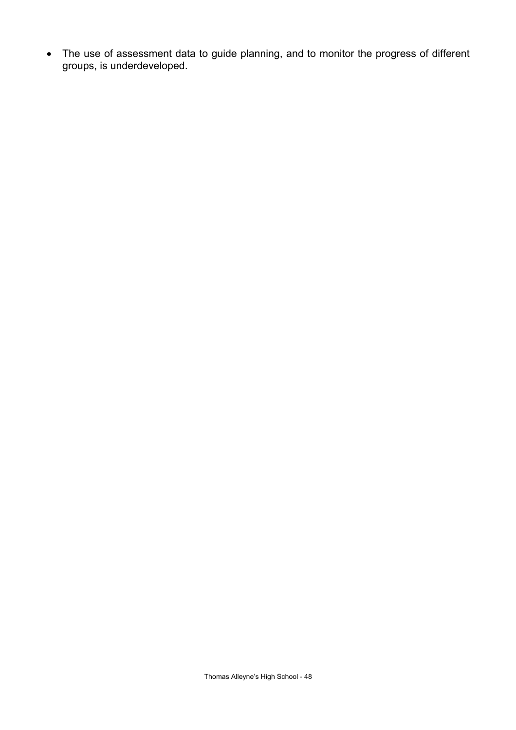• The use of assessment data to guide planning, and to monitor the progress of different groups, is underdeveloped.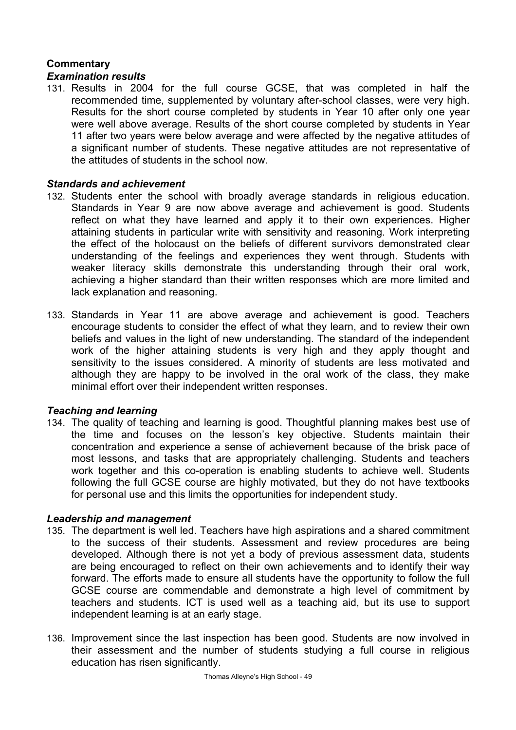## **Commentary**

## *Examination results*

131. Results in 2004 for the full course GCSE, that was completed in half the recommended time, supplemented by voluntary after-school classes, were very high. Results for the short course completed by students in Year 10 after only one year were well above average. Results of the short course completed by students in Year 11 after two years were below average and were affected by the negative attitudes of a significant number of students. These negative attitudes are not representative of the attitudes of students in the school now.

### *Standards and achievement*

- 132. Students enter the school with broadly average standards in religious education. Standards in Year 9 are now above average and achievement is good. Students reflect on what they have learned and apply it to their own experiences. Higher attaining students in particular write with sensitivity and reasoning. Work interpreting the effect of the holocaust on the beliefs of different survivors demonstrated clear understanding of the feelings and experiences they went through. Students with weaker literacy skills demonstrate this understanding through their oral work, achieving a higher standard than their written responses which are more limited and lack explanation and reasoning.
- 133. Standards in Year 11 are above average and achievement is good. Teachers encourage students to consider the effect of what they learn, and to review their own beliefs and values in the light of new understanding. The standard of the independent work of the higher attaining students is very high and they apply thought and sensitivity to the issues considered. A minority of students are less motivated and although they are happy to be involved in the oral work of the class, they make minimal effort over their independent written responses.

## *Teaching and learning*

134. The quality of teaching and learning is good. Thoughtful planning makes best use of the time and focuses on the lesson's key objective. Students maintain their concentration and experience a sense of achievement because of the brisk pace of most lessons, and tasks that are appropriately challenging. Students and teachers work together and this co-operation is enabling students to achieve well. Students following the full GCSE course are highly motivated, but they do not have textbooks for personal use and this limits the opportunities for independent study.

#### *Leadership and management*

- 135. The department is well led. Teachers have high aspirations and a shared commitment to the success of their students. Assessment and review procedures are being developed. Although there is not yet a body of previous assessment data, students are being encouraged to reflect on their own achievements and to identify their way forward. The efforts made to ensure all students have the opportunity to follow the full GCSE course are commendable and demonstrate a high level of commitment by teachers and students. ICT is used well as a teaching aid, but its use to support independent learning is at an early stage.
- 136. Improvement since the last inspection has been good. Students are now involved in their assessment and the number of students studying a full course in religious education has risen significantly.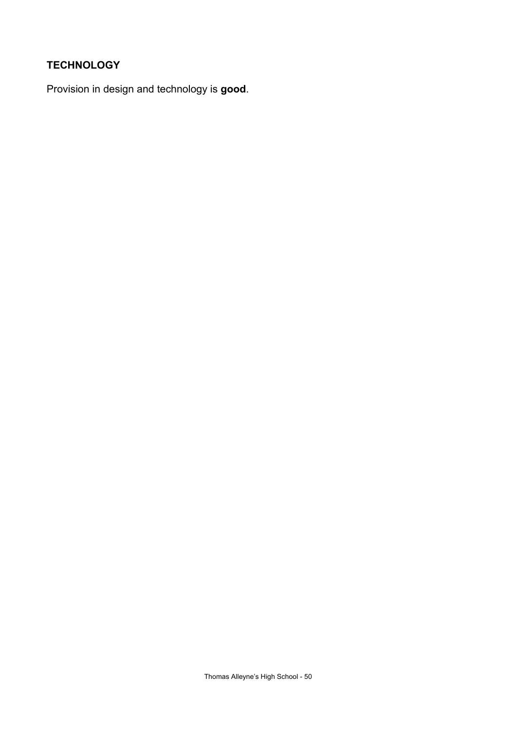# **TECHNOLOGY**

Provision in design and technology is **good**.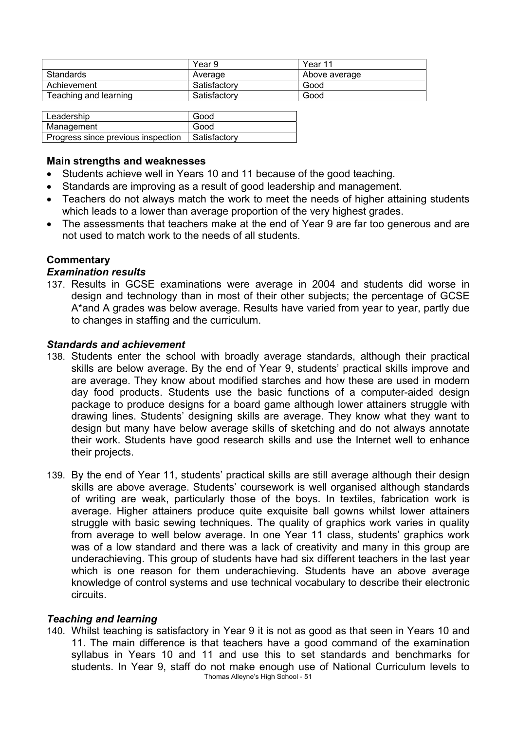|                       | Year 9       | Year 11       |
|-----------------------|--------------|---------------|
| Standards             | Average      | Above average |
| Achievement           | Satisfactory | Good          |
| Teaching and learning | Satisfactory | Good          |

| Leadership                                        | Good |
|---------------------------------------------------|------|
| Management                                        | Good |
| Progress since previous inspection   Satisfactory |      |

### **Main strengths and weaknesses**

- Students achieve well in Years 10 and 11 because of the good teaching.
- Standards are improving as a result of good leadership and management.
- Teachers do not always match the work to meet the needs of higher attaining students which leads to a lower than average proportion of the very highest grades.
- The assessments that teachers make at the end of Year 9 are far too generous and are not used to match work to the needs of all students.

## **Commentary**

### *Examination results*

137. Results in GCSE examinations were average in 2004 and students did worse in design and technology than in most of their other subjects; the percentage of GCSE A\*and A grades was below average. Results have varied from year to year, partly due to changes in staffing and the curriculum.

### *Standards and achievement*

- 138. Students enter the school with broadly average standards, although their practical skills are below average. By the end of Year 9, students' practical skills improve and are average. They know about modified starches and how these are used in modern day food products. Students use the basic functions of a computer-aided design package to produce designs for a board game although lower attainers struggle with drawing lines. Students' designing skills are average. They know what they want to design but many have below average skills of sketching and do not always annotate their work. Students have good research skills and use the Internet well to enhance their projects.
- 139. By the end of Year 11, students' practical skills are still average although their design skills are above average. Students' coursework is well organised although standards of writing are weak, particularly those of the boys. In textiles, fabrication work is average. Higher attainers produce quite exquisite ball gowns whilst lower attainers struggle with basic sewing techniques. The quality of graphics work varies in quality from average to well below average. In one Year 11 class, students' graphics work was of a low standard and there was a lack of creativity and many in this group are underachieving. This group of students have had six different teachers in the last year which is one reason for them underachieving. Students have an above average knowledge of control systems and use technical vocabulary to describe their electronic circuits.

#### *Teaching and learning*

Thomas Alleyne's High School - 51 140. Whilst teaching is satisfactory in Year 9 it is not as good as that seen in Years 10 and 11. The main difference is that teachers have a good command of the examination syllabus in Years 10 and 11 and use this to set standards and benchmarks for students. In Year 9, staff do not make enough use of National Curriculum levels to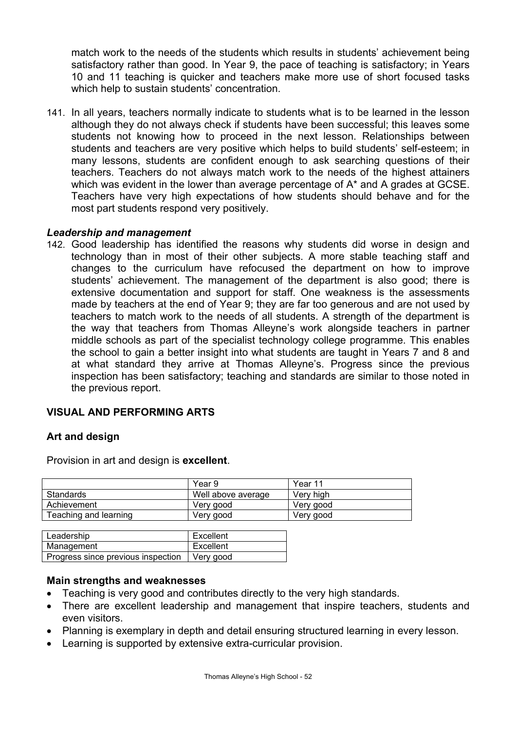match work to the needs of the students which results in students' achievement being satisfactory rather than good. In Year 9, the pace of teaching is satisfactory; in Years 10 and 11 teaching is quicker and teachers make more use of short focused tasks which help to sustain students' concentration.

141. In all years, teachers normally indicate to students what is to be learned in the lesson although they do not always check if students have been successful; this leaves some students not knowing how to proceed in the next lesson. Relationships between students and teachers are very positive which helps to build students' self-esteem; in many lessons, students are confident enough to ask searching questions of their teachers. Teachers do not always match work to the needs of the highest attainers which was evident in the lower than average percentage of A\* and A grades at GCSE. Teachers have very high expectations of how students should behave and for the most part students respond very positively.

## *Leadership and management*

142. Good leadership has identified the reasons why students did worse in design and technology than in most of their other subjects. A more stable teaching staff and changes to the curriculum have refocused the department on how to improve students' achievement. The management of the department is also good; there is extensive documentation and support for staff. One weakness is the assessments made by teachers at the end of Year 9; they are far too generous and are not used by teachers to match work to the needs of all students. A strength of the department is the way that teachers from Thomas Alleyne's work alongside teachers in partner middle schools as part of the specialist technology college programme. This enables the school to gain a better insight into what students are taught in Years 7 and 8 and at what standard they arrive at Thomas Alleyne's. Progress since the previous inspection has been satisfactory; teaching and standards are similar to those noted in the previous report.

## **VISUAL AND PERFORMING ARTS**

## **Art and design**

Provision in art and design is **excellent**.

|                       | Year 9             | Year 11   |
|-----------------------|--------------------|-----------|
| <b>Standards</b>      | Well above average | Very high |
| Achievement           | Very good          | Very good |
| Teaching and learning | Very good          | Very good |

| Leadership                         | Excellent   |
|------------------------------------|-------------|
| Management                         | Excellent   |
| Progress since previous inspection | ∣ Very good |

## **Main strengths and weaknesses**

- Teaching is very good and contributes directly to the very high standards.
- There are excellent leadership and management that inspire teachers, students and even visitors.
- Planning is exemplary in depth and detail ensuring structured learning in every lesson.
- Learning is supported by extensive extra-curricular provision.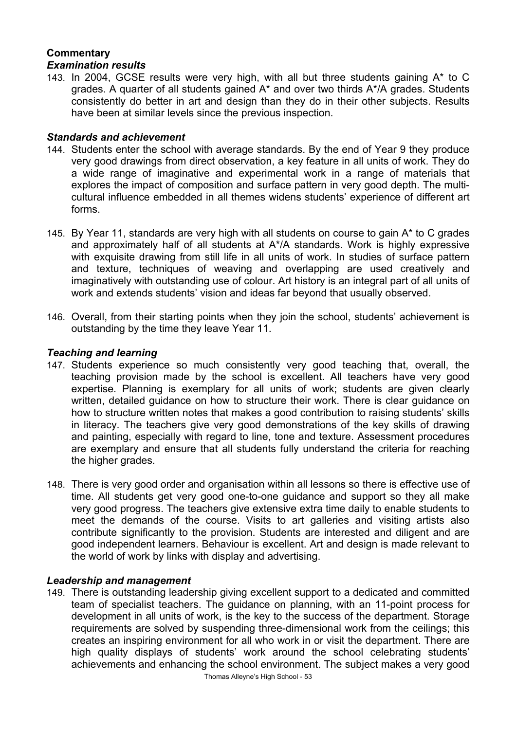# **Commentary**

## *Examination results*

143. In 2004, GCSE results were very high, with all but three students gaining A\* to C grades. A quarter of all students gained A\* and over two thirds A\*/A grades. Students consistently do better in art and design than they do in their other subjects. Results have been at similar levels since the previous inspection.

#### *Standards and achievement*

- 144. Students enter the school with average standards. By the end of Year 9 they produce very good drawings from direct observation, a key feature in all units of work. They do a wide range of imaginative and experimental work in a range of materials that explores the impact of composition and surface pattern in very good depth. The multicultural influence embedded in all themes widens students' experience of different art forms.
- 145. By Year 11, standards are very high with all students on course to gain A\* to C grades and approximately half of all students at A\*/A standards. Work is highly expressive with exquisite drawing from still life in all units of work. In studies of surface pattern and texture, techniques of weaving and overlapping are used creatively and imaginatively with outstanding use of colour. Art history is an integral part of all units of work and extends students' vision and ideas far beyond that usually observed.
- 146. Overall, from their starting points when they join the school, students' achievement is outstanding by the time they leave Year 11.

### *Teaching and learning*

- 147. Students experience so much consistently very good teaching that, overall, the teaching provision made by the school is excellent. All teachers have very good expertise. Planning is exemplary for all units of work; students are given clearly written, detailed guidance on how to structure their work. There is clear guidance on how to structure written notes that makes a good contribution to raising students' skills in literacy. The teachers give very good demonstrations of the key skills of drawing and painting, especially with regard to line, tone and texture. Assessment procedures are exemplary and ensure that all students fully understand the criteria for reaching the higher grades.
- 148. There is very good order and organisation within all lessons so there is effective use of time. All students get very good one-to-one guidance and support so they all make very good progress. The teachers give extensive extra time daily to enable students to meet the demands of the course. Visits to art galleries and visiting artists also contribute significantly to the provision. Students are interested and diligent and are good independent learners. Behaviour is excellent. Art and design is made relevant to the world of work by links with display and advertising.

## *Leadership and management*

149. There is outstanding leadership giving excellent support to a dedicated and committed team of specialist teachers. The guidance on planning, with an 11-point process for development in all units of work, is the key to the success of the department. Storage requirements are solved by suspending three-dimensional work from the ceilings; this creates an inspiring environment for all who work in or visit the department. There are high quality displays of students' work around the school celebrating students' achievements and enhancing the school environment. The subject makes a very good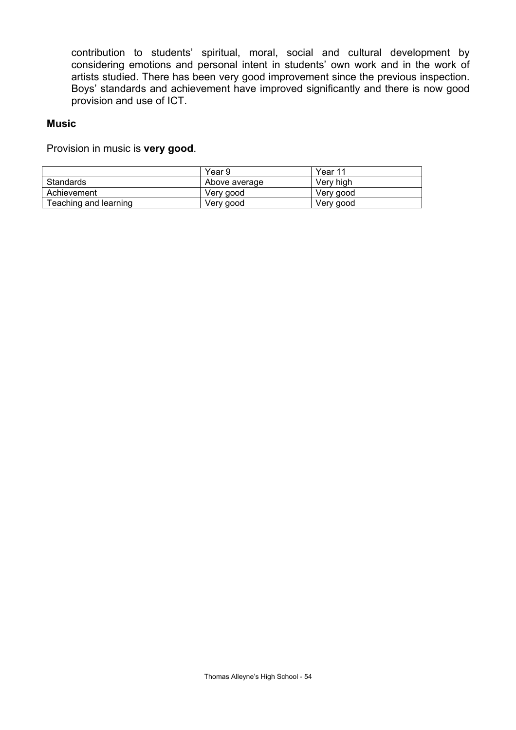contribution to students' spiritual, moral, social and cultural development by considering emotions and personal intent in students' own work and in the work of artists studied. There has been very good improvement since the previous inspection. Boys' standards and achievement have improved significantly and there is now good provision and use of ICT.

#### **Music**

Provision in music is **very good**.

|                       | Year 9        | Year 11   |
|-----------------------|---------------|-----------|
| Standards             | Above average | Very high |
| Achievement           | Very good     | Very good |
| Teaching and learning | Very good     | Very good |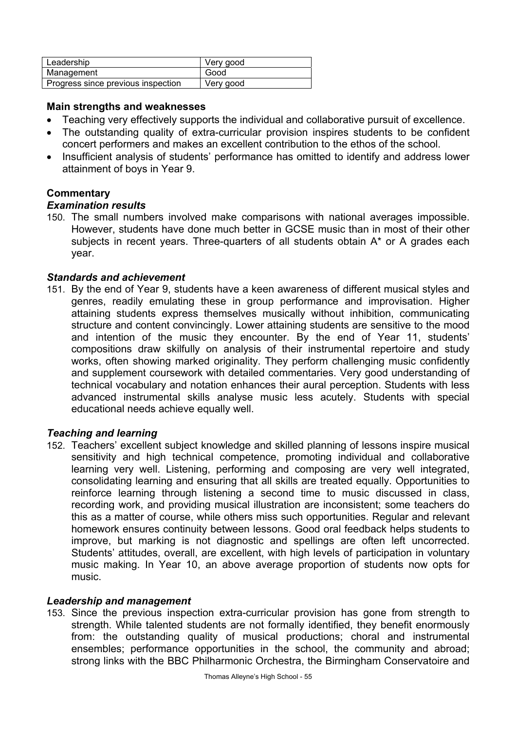| Leadership                         | Very good |
|------------------------------------|-----------|
| Management                         | Good      |
| Progress since previous inspection | Very good |

## **Main strengths and weaknesses**

- Teaching very effectively supports the individual and collaborative pursuit of excellence.
- The outstanding quality of extra-curricular provision inspires students to be confident concert performers and makes an excellent contribution to the ethos of the school.
- Insufficient analysis of students' performance has omitted to identify and address lower attainment of boys in Year 9.

## **Commentary**

## *Examination results*

150. The small numbers involved make comparisons with national averages impossible. However, students have done much better in GCSE music than in most of their other subjects in recent years. Three-quarters of all students obtain A\* or A grades each year.

## *Standards and achievement*

151. By the end of Year 9, students have a keen awareness of different musical styles and genres, readily emulating these in group performance and improvisation. Higher attaining students express themselves musically without inhibition, communicating structure and content convincingly. Lower attaining students are sensitive to the mood and intention of the music they encounter. By the end of Year 11, students' compositions draw skilfully on analysis of their instrumental repertoire and study works, often showing marked originality. They perform challenging music confidently and supplement coursework with detailed commentaries. Very good understanding of technical vocabulary and notation enhances their aural perception. Students with less advanced instrumental skills analyse music less acutely. Students with special educational needs achieve equally well.

## *Teaching and learning*

152. Teachers' excellent subject knowledge and skilled planning of lessons inspire musical sensitivity and high technical competence, promoting individual and collaborative learning very well. Listening, performing and composing are very well integrated, consolidating learning and ensuring that all skills are treated equally. Opportunities to reinforce learning through listening a second time to music discussed in class, recording work, and providing musical illustration are inconsistent; some teachers do this as a matter of course, while others miss such opportunities. Regular and relevant homework ensures continuity between lessons. Good oral feedback helps students to improve, but marking is not diagnostic and spellings are often left uncorrected. Students' attitudes, overall, are excellent, with high levels of participation in voluntary music making. In Year 10, an above average proportion of students now opts for music.

## *Leadership and management*

153. Since the previous inspection extra-curricular provision has gone from strength to strength. While talented students are not formally identified, they benefit enormously from: the outstanding quality of musical productions; choral and instrumental ensembles; performance opportunities in the school, the community and abroad; strong links with the BBC Philharmonic Orchestra, the Birmingham Conservatoire and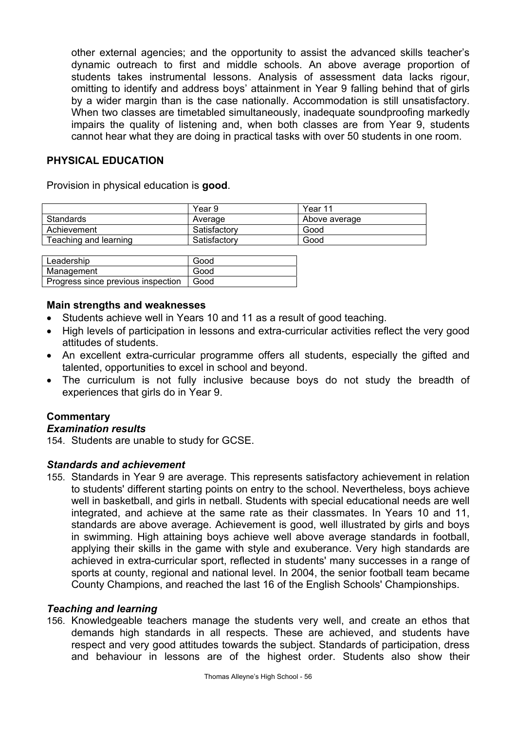other external agencies; and the opportunity to assist the advanced skills teacher's dynamic outreach to first and middle schools. An above average proportion of students takes instrumental lessons. Analysis of assessment data lacks rigour, omitting to identify and address boys' attainment in Year 9 falling behind that of girls by a wider margin than is the case nationally. Accommodation is still unsatisfactory. When two classes are timetabled simultaneously, inadequate soundproofing markedly impairs the quality of listening and, when both classes are from Year 9, students cannot hear what they are doing in practical tasks with over 50 students in one room.

## **PHYSICAL EDUCATION**

Provision in physical education is **good**.

|                       | Year 9       | Year 11       |
|-----------------------|--------------|---------------|
| Standards             | Average      | Above average |
| Achievement           | Satisfactory | Good          |
| Teaching and learning | Satisfactory | Good          |

| Leadership                         | Good   |
|------------------------------------|--------|
| Management                         | Good   |
| Progress since previous inspection | l Good |
|                                    |        |

### **Main strengths and weaknesses**

- Students achieve well in Years 10 and 11 as a result of good teaching.
- High levels of participation in lessons and extra-curricular activities reflect the very good attitudes of students.
- An excellent extra-curricular programme offers all students, especially the gifted and talented, opportunities to excel in school and beyond.
- The curriculum is not fully inclusive because boys do not study the breadth of experiences that girls do in Year 9.

## **Commentary**

## *Examination results*

154. Students are unable to study for GCSE.

## *Standards and achievement*

155. Standards in Year 9 are average. This represents satisfactory achievement in relation to students' different starting points on entry to the school. Nevertheless, boys achieve well in basketball, and girls in netball. Students with special educational needs are well integrated, and achieve at the same rate as their classmates. In Years 10 and 11, standards are above average. Achievement is good, well illustrated by girls and boys in swimming. High attaining boys achieve well above average standards in football, applying their skills in the game with style and exuberance. Very high standards are achieved in extra-curricular sport, reflected in students' many successes in a range of sports at county, regional and national level. In 2004, the senior football team became County Champions, and reached the last 16 of the English Schools' Championships.

#### *Teaching and learning*

156. Knowledgeable teachers manage the students very well, and create an ethos that demands high standards in all respects. These are achieved, and students have respect and very good attitudes towards the subject. Standards of participation, dress and behaviour in lessons are of the highest order. Students also show their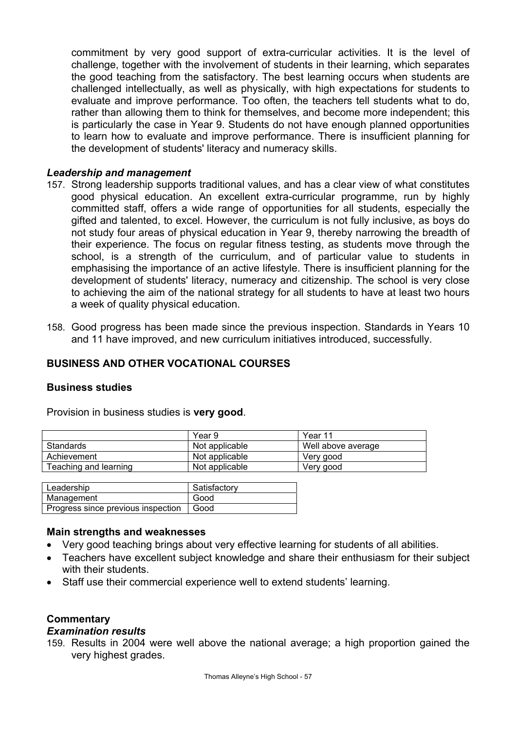commitment by very good support of extra-curricular activities. It is the level of challenge, together with the involvement of students in their learning, which separates the good teaching from the satisfactory. The best learning occurs when students are challenged intellectually, as well as physically, with high expectations for students to evaluate and improve performance. Too often, the teachers tell students what to do, rather than allowing them to think for themselves, and become more independent; this is particularly the case in Year 9. Students do not have enough planned opportunities to learn how to evaluate and improve performance. There is insufficient planning for the development of students' literacy and numeracy skills.

### *Leadership and management*

- 157. Strong leadership supports traditional values, and has a clear view of what constitutes good physical education. An excellent extra-curricular programme, run by highly committed staff, offers a wide range of opportunities for all students, especially the gifted and talented, to excel. However, the curriculum is not fully inclusive, as boys do not study four areas of physical education in Year 9, thereby narrowing the breadth of their experience. The focus on regular fitness testing, as students move through the school, is a strength of the curriculum, and of particular value to students in emphasising the importance of an active lifestyle. There is insufficient planning for the development of students' literacy, numeracy and citizenship. The school is very close to achieving the aim of the national strategy for all students to have at least two hours a week of quality physical education.
- 158. Good progress has been made since the previous inspection. Standards in Years 10 and 11 have improved, and new curriculum initiatives introduced, successfully.

## **BUSINESS AND OTHER VOCATIONAL COURSES**

#### **Business studies**

Provision in business studies is **very good**.

|                       | Year 9         | Year 11            |
|-----------------------|----------------|--------------------|
| Standards             | Not applicable | Well above average |
| Achievement           | Not applicable | Very good          |
| Teaching and learning | Not applicable | Very good          |

| Leadership                         | Satisfactory |
|------------------------------------|--------------|
| Management                         | Good         |
| Progress since previous inspection | l Good       |

#### **Main strengths and weaknesses**

- Very good teaching brings about very effective learning for students of all abilities.
- Teachers have excellent subject knowledge and share their enthusiasm for their subject with their students.
- Staff use their commercial experience well to extend students' learning.

## **Commentary**

#### *Examination results*

159. Results in 2004 were well above the national average; a high proportion gained the very highest grades.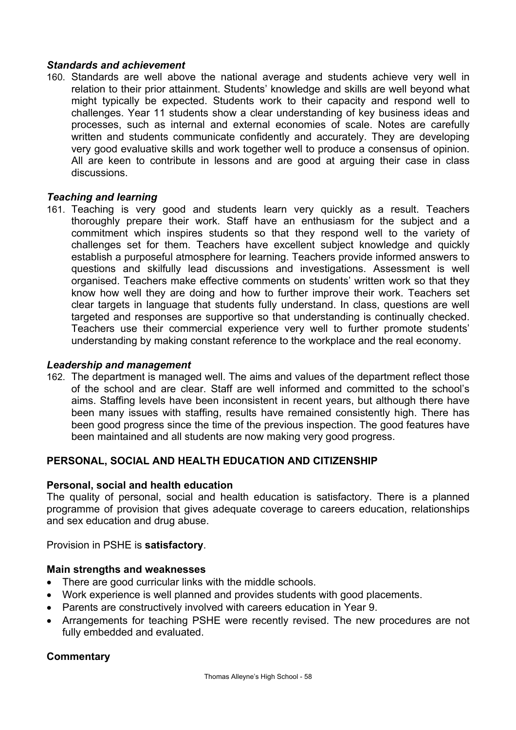### *Standards and achievement*

160. Standards are well above the national average and students achieve very well in relation to their prior attainment. Students' knowledge and skills are well beyond what might typically be expected. Students work to their capacity and respond well to challenges. Year 11 students show a clear understanding of key business ideas and processes, such as internal and external economies of scale. Notes are carefully written and students communicate confidently and accurately. They are developing very good evaluative skills and work together well to produce a consensus of opinion. All are keen to contribute in lessons and are good at arguing their case in class discussions.

### *Teaching and learning*

161. Teaching is very good and students learn very quickly as a result. Teachers thoroughly prepare their work. Staff have an enthusiasm for the subject and a commitment which inspires students so that they respond well to the variety of challenges set for them. Teachers have excellent subject knowledge and quickly establish a purposeful atmosphere for learning. Teachers provide informed answers to questions and skilfully lead discussions and investigations. Assessment is well organised. Teachers make effective comments on students' written work so that they know how well they are doing and how to further improve their work. Teachers set clear targets in language that students fully understand. In class, questions are well targeted and responses are supportive so that understanding is continually checked. Teachers use their commercial experience very well to further promote students' understanding by making constant reference to the workplace and the real economy.

#### *Leadership and management*

162. The department is managed well. The aims and values of the department reflect those of the school and are clear. Staff are well informed and committed to the school's aims. Staffing levels have been inconsistent in recent years, but although there have been many issues with staffing, results have remained consistently high. There has been good progress since the time of the previous inspection. The good features have been maintained and all students are now making very good progress.

## **PERSONAL, SOCIAL AND HEALTH EDUCATION AND CITIZENSHIP**

#### **Personal, social and health education**

The quality of personal, social and health education is satisfactory. There is a planned programme of provision that gives adequate coverage to careers education, relationships and sex education and drug abuse.

Provision in PSHE is **satisfactory**.

#### **Main strengths and weaknesses**

- There are good curricular links with the middle schools.
- Work experience is well planned and provides students with good placements.
- Parents are constructively involved with careers education in Year 9.
- Arrangements for teaching PSHE were recently revised. The new procedures are not fully embedded and evaluated.

## **Commentary**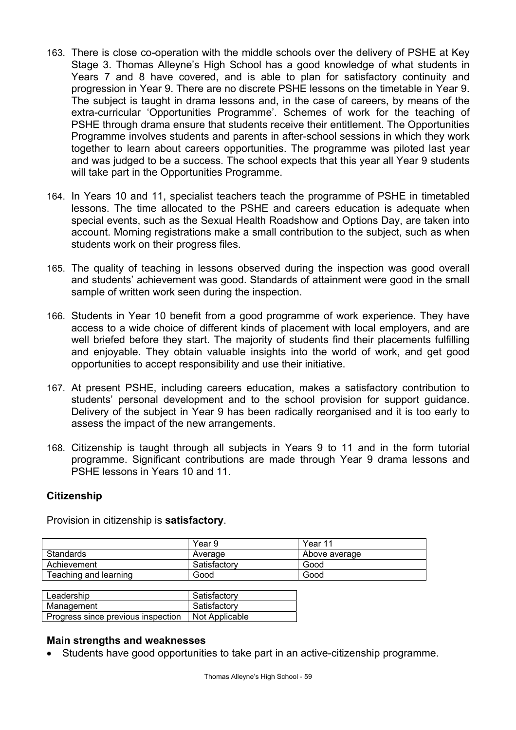- 163. There is close co-operation with the middle schools over the delivery of PSHE at Key Stage 3. Thomas Alleyne's High School has a good knowledge of what students in Years 7 and 8 have covered, and is able to plan for satisfactory continuity and progression in Year 9. There are no discrete PSHE lessons on the timetable in Year 9. The subject is taught in drama lessons and, in the case of careers, by means of the extra-curricular 'Opportunities Programme'. Schemes of work for the teaching of PSHE through drama ensure that students receive their entitlement. The Opportunities Programme involves students and parents in after-school sessions in which they work together to learn about careers opportunities. The programme was piloted last year and was judged to be a success. The school expects that this year all Year 9 students will take part in the Opportunities Programme.
- 164. In Years 10 and 11, specialist teachers teach the programme of PSHE in timetabled lessons. The time allocated to the PSHE and careers education is adequate when special events, such as the Sexual Health Roadshow and Options Day, are taken into account. Morning registrations make a small contribution to the subject, such as when students work on their progress files.
- 165. The quality of teaching in lessons observed during the inspection was good overall and students' achievement was good. Standards of attainment were good in the small sample of written work seen during the inspection.
- 166. Students in Year 10 benefit from a good programme of work experience. They have access to a wide choice of different kinds of placement with local employers, and are well briefed before they start. The majority of students find their placements fulfilling and enjoyable. They obtain valuable insights into the world of work, and get good opportunities to accept responsibility and use their initiative.
- 167. At present PSHE, including careers education, makes a satisfactory contribution to students' personal development and to the school provision for support guidance. Delivery of the subject in Year 9 has been radically reorganised and it is too early to assess the impact of the new arrangements.
- 168. Citizenship is taught through all subjects in Years 9 to 11 and in the form tutorial programme. Significant contributions are made through Year 9 drama lessons and PSHE lessons in Years 10 and 11.

## **Citizenship**

Provision in citizenship is **satisfactory**.

|                       | Year 9       | Year 11       |
|-----------------------|--------------|---------------|
| Standards             | Average      | Above average |
| Achievement           | Satisfactory | Good          |
| Teaching and learning | Good         | Good          |

| Leadership                                          | Satisfactory |
|-----------------------------------------------------|--------------|
|                                                     |              |
| Management                                          | Satisfactory |
|                                                     |              |
| Progress since previous inspection   Not Applicable |              |
|                                                     |              |

## **Main strengths and weaknesses**

• Students have good opportunities to take part in an active-citizenship programme.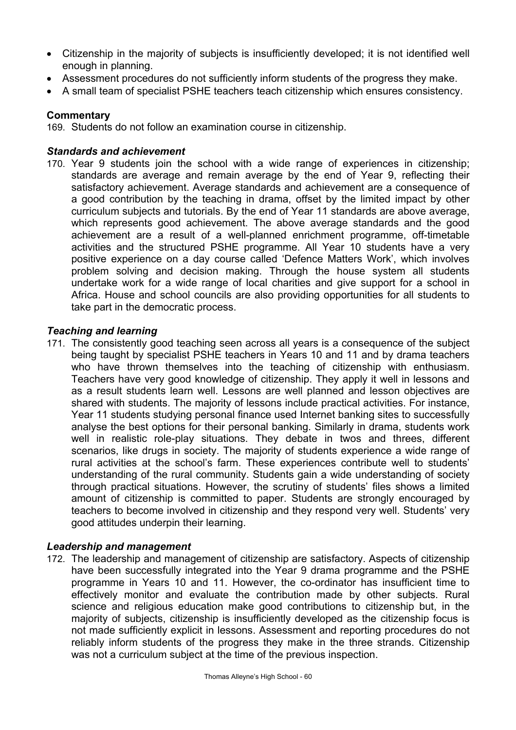- Citizenship in the majority of subjects is insufficiently developed; it is not identified well enough in planning.
- Assessment procedures do not sufficiently inform students of the progress they make.
- A small team of specialist PSHE teachers teach citizenship which ensures consistency.

## **Commentary**

169. Students do not follow an examination course in citizenship.

## *Standards and achievement*

170. Year 9 students join the school with a wide range of experiences in citizenship; standards are average and remain average by the end of Year 9, reflecting their satisfactory achievement. Average standards and achievement are a consequence of a good contribution by the teaching in drama, offset by the limited impact by other curriculum subjects and tutorials. By the end of Year 11 standards are above average, which represents good achievement. The above average standards and the good achievement are a result of a well-planned enrichment programme, off-timetable activities and the structured PSHE programme. All Year 10 students have a very positive experience on a day course called 'Defence Matters Work', which involves problem solving and decision making. Through the house system all students undertake work for a wide range of local charities and give support for a school in Africa. House and school councils are also providing opportunities for all students to take part in the democratic process.

## *Teaching and learning*

171. The consistently good teaching seen across all years is a consequence of the subject being taught by specialist PSHE teachers in Years 10 and 11 and by drama teachers who have thrown themselves into the teaching of citizenship with enthusiasm. Teachers have very good knowledge of citizenship. They apply it well in lessons and as a result students learn well. Lessons are well planned and lesson objectives are shared with students. The majority of lessons include practical activities. For instance, Year 11 students studying personal finance used Internet banking sites to successfully analyse the best options for their personal banking. Similarly in drama, students work well in realistic role-play situations. They debate in twos and threes, different scenarios, like drugs in society. The majority of students experience a wide range of rural activities at the school's farm. These experiences contribute well to students' understanding of the rural community. Students gain a wide understanding of society through practical situations. However, the scrutiny of students' files shows a limited amount of citizenship is committed to paper. Students are strongly encouraged by teachers to become involved in citizenship and they respond very well. Students' very good attitudes underpin their learning.

## *Leadership and management*

172. The leadership and management of citizenship are satisfactory. Aspects of citizenship have been successfully integrated into the Year 9 drama programme and the PSHE programme in Years 10 and 11. However, the co-ordinator has insufficient time to effectively monitor and evaluate the contribution made by other subjects. Rural science and religious education make good contributions to citizenship but, in the majority of subjects, citizenship is insufficiently developed as the citizenship focus is not made sufficiently explicit in lessons. Assessment and reporting procedures do not reliably inform students of the progress they make in the three strands. Citizenship was not a curriculum subject at the time of the previous inspection.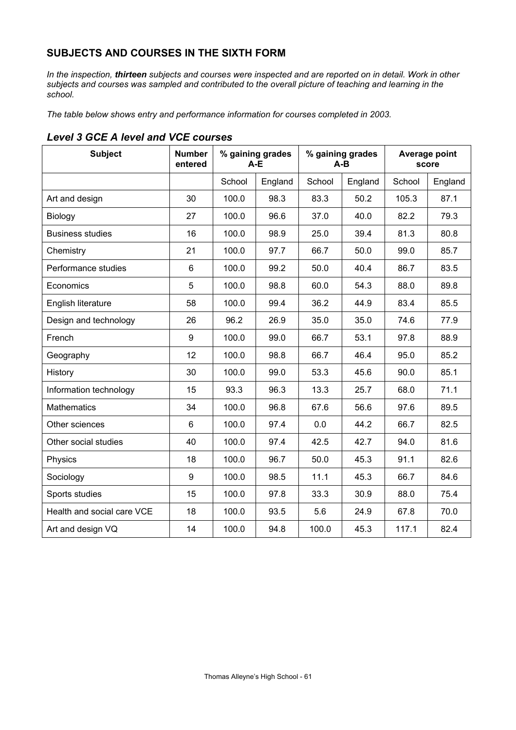## **SUBJECTS AND COURSES IN THE SIXTH FORM**

*In the inspection, thirteen subjects and courses were inspected and are reported on in detail. Work in other subjects and courses was sampled and contributed to the overall picture of teaching and learning in the school.* 

*The table below shows entry and performance information for courses completed in 2003.* 

| <b>Subject</b>             | <b>Number</b><br>entered | % gaining grades<br>$A-E$ |         | % gaining grades<br>$A - B$ |         | Average point<br>score |         |
|----------------------------|--------------------------|---------------------------|---------|-----------------------------|---------|------------------------|---------|
|                            |                          | School                    | England | School                      | England | School                 | England |
| Art and design             | 30                       | 100.0                     | 98.3    | 83.3                        | 50.2    | 105.3                  | 87.1    |
| Biology                    | 27                       | 100.0                     | 96.6    | 37.0                        | 40.0    | 82.2                   | 79.3    |
| <b>Business studies</b>    | 16                       | 100.0                     | 98.9    | 25.0                        | 39.4    | 81.3                   | 80.8    |
| Chemistry                  | 21                       | 100.0                     | 97.7    | 66.7                        | 50.0    | 99.0                   | 85.7    |
| Performance studies        | 6                        | 100.0                     | 99.2    | 50.0                        | 40.4    | 86.7                   | 83.5    |
| Economics                  | 5                        | 100.0                     | 98.8    | 60.0                        | 54.3    | 88.0                   | 89.8    |
| English literature         | 58                       | 100.0                     | 99.4    | 36.2                        | 44.9    | 83.4                   | 85.5    |
| Design and technology      | 26                       | 96.2                      | 26.9    | 35.0                        | 35.0    | 74.6                   | 77.9    |
| French                     | 9                        | 100.0                     | 99.0    | 66.7                        | 53.1    | 97.8                   | 88.9    |
| Geography                  | 12                       | 100.0                     | 98.8    | 66.7                        | 46.4    | 95.0                   | 85.2    |
| History                    | 30                       | 100.0                     | 99.0    | 53.3                        | 45.6    | 90.0                   | 85.1    |
| Information technology     | 15                       | 93.3                      | 96.3    | 13.3                        | 25.7    | 68.0                   | 71.1    |
| <b>Mathematics</b>         | 34                       | 100.0                     | 96.8    | 67.6                        | 56.6    | 97.6                   | 89.5    |
| Other sciences             | 6                        | 100.0                     | 97.4    | 0.0                         | 44.2    | 66.7                   | 82.5    |
| Other social studies       | 40                       | 100.0                     | 97.4    | 42.5                        | 42.7    | 94.0                   | 81.6    |
| Physics                    | 18                       | 100.0                     | 96.7    | 50.0                        | 45.3    | 91.1                   | 82.6    |
| Sociology                  | 9                        | 100.0                     | 98.5    | 11.1                        | 45.3    | 66.7                   | 84.6    |
| Sports studies             | 15                       | 100.0                     | 97.8    | 33.3                        | 30.9    | 88.0                   | 75.4    |
| Health and social care VCE | 18                       | 100.0                     | 93.5    | 5.6                         | 24.9    | 67.8                   | 70.0    |
| Art and design VQ          | 14                       | 100.0                     | 94.8    | 100.0                       | 45.3    | 117.1                  | 82.4    |

## *Level 3 GCE A level and VCE courses*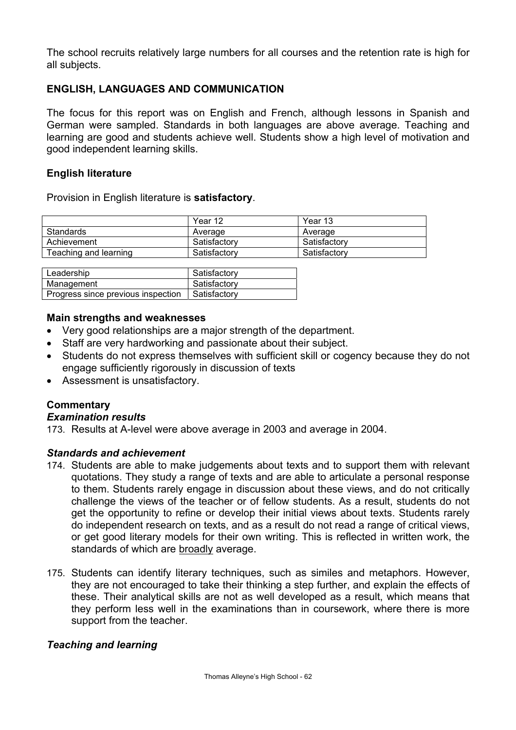The school recruits relatively large numbers for all courses and the retention rate is high for all subjects.

## **ENGLISH, LANGUAGES AND COMMUNICATION**

The focus for this report was on English and French, although lessons in Spanish and German were sampled. Standards in both languages are above average. Teaching and learning are good and students achieve well. Students show a high level of motivation and good independent learning skills.

### **English literature**

Provision in English literature is **satisfactory**.

|                       | Year 12      | Year 13      |
|-----------------------|--------------|--------------|
| Standards             | Average      | Average      |
| Achievement           | Satisfactory | Satisfactory |
| Teaching and learning | Satisfactory | Satisfactory |

| Leadership                         | Satisfactory |
|------------------------------------|--------------|
| Management                         | Satisfactory |
| Progress since previous inspection | Satisfactory |

#### **Main strengths and weaknesses**

- Very good relationships are a major strength of the department.
- Staff are very hardworking and passionate about their subject.
- Students do not express themselves with sufficient skill or cogency because they do not engage sufficiently rigorously in discussion of texts
- Assessment is unsatisfactory.

## **Commentary**

#### *Examination results*

173. Results at A-level were above average in 2003 and average in 2004.

#### *Standards and achievement*

- 174. Students are able to make judgements about texts and to support them with relevant quotations. They study a range of texts and are able to articulate a personal response to them. Students rarely engage in discussion about these views, and do not critically challenge the views of the teacher or of fellow students. As a result, students do not get the opportunity to refine or develop their initial views about texts. Students rarely do independent research on texts, and as a result do not read a range of critical views, or get good literary models for their own writing. This is reflected in written work, the standards of which are broadly average.
- 175. Students can identify literary techniques, such as similes and metaphors. However, they are not encouraged to take their thinking a step further, and explain the effects of these. Their analytical skills are not as well developed as a result, which means that they perform less well in the examinations than in coursework, where there is more support from the teacher.

#### *Teaching and learning*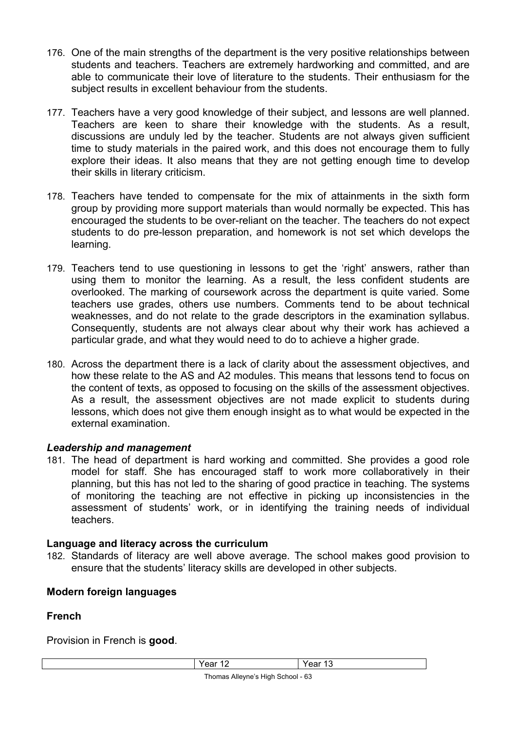- 176. One of the main strengths of the department is the very positive relationships between students and teachers. Teachers are extremely hardworking and committed, and are able to communicate their love of literature to the students. Their enthusiasm for the subject results in excellent behaviour from the students.
- 177. Teachers have a very good knowledge of their subject, and lessons are well planned. Teachers are keen to share their knowledge with the students. As a result, discussions are unduly led by the teacher. Students are not always given sufficient time to study materials in the paired work, and this does not encourage them to fully explore their ideas. It also means that they are not getting enough time to develop their skills in literary criticism.
- 178. Teachers have tended to compensate for the mix of attainments in the sixth form group by providing more support materials than would normally be expected. This has encouraged the students to be over-reliant on the teacher. The teachers do not expect students to do pre-lesson preparation, and homework is not set which develops the learning.
- 179. Teachers tend to use questioning in lessons to get the 'right' answers, rather than using them to monitor the learning. As a result, the less confident students are overlooked. The marking of coursework across the department is quite varied. Some teachers use grades, others use numbers. Comments tend to be about technical weaknesses, and do not relate to the grade descriptors in the examination syllabus. Consequently, students are not always clear about why their work has achieved a particular grade, and what they would need to do to achieve a higher grade.
- 180. Across the department there is a lack of clarity about the assessment objectives, and how these relate to the AS and A2 modules. This means that lessons tend to focus on the content of texts, as opposed to focusing on the skills of the assessment objectives. As a result, the assessment objectives are not made explicit to students during lessons, which does not give them enough insight as to what would be expected in the external examination.

## *Leadership and management*

181. The head of department is hard working and committed. She provides a good role model for staff. She has encouraged staff to work more collaboratively in their planning, but this has not led to the sharing of good practice in teaching. The systems of monitoring the teaching are not effective in picking up inconsistencies in the assessment of students' work, or in identifying the training needs of individual teachers.

## **Language and literacy across the curriculum**

182. Standards of literacy are well above average. The school makes good provision to ensure that the students' literacy skills are developed in other subjects.

## **Modern foreign languages**

## **French**

Provision in French is **good**.

| - -<br>— п.<br>. . | -- |
|--------------------|----|
|                    |    |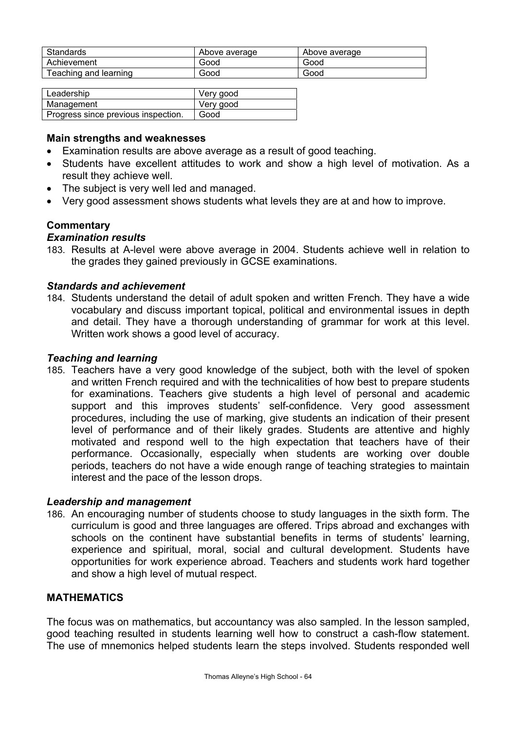| Standards             | Above average | Above average |
|-----------------------|---------------|---------------|
| Achievement           | Good          | Good          |
| Teaching and learning | Good          | Good          |

| Leadership                          | Very good |
|-------------------------------------|-----------|
| Management                          | Very good |
| Progress since previous inspection. | Good      |

### **Main strengths and weaknesses**

- Examination results are above average as a result of good teaching.
- Students have excellent attitudes to work and show a high level of motivation. As a result they achieve well.
- The subject is very well led and managed.
- Very good assessment shows students what levels they are at and how to improve.

## **Commentary**

## *Examination results*

183. Results at A-level were above average in 2004. Students achieve well in relation to the grades they gained previously in GCSE examinations.

### *Standards and achievement*

184. Students understand the detail of adult spoken and written French. They have a wide vocabulary and discuss important topical, political and environmental issues in depth and detail. They have a thorough understanding of grammar for work at this level. Written work shows a good level of accuracy.

### *Teaching and learning*

185. Teachers have a very good knowledge of the subject, both with the level of spoken and written French required and with the technicalities of how best to prepare students for examinations. Teachers give students a high level of personal and academic support and this improves students' self-confidence. Very good assessment procedures, including the use of marking, give students an indication of their present level of performance and of their likely grades. Students are attentive and highly motivated and respond well to the high expectation that teachers have of their performance. Occasionally, especially when students are working over double periods, teachers do not have a wide enough range of teaching strategies to maintain interest and the pace of the lesson drops.

#### *Leadership and management*

186. An encouraging number of students choose to study languages in the sixth form. The curriculum is good and three languages are offered. Trips abroad and exchanges with schools on the continent have substantial benefits in terms of students' learning, experience and spiritual, moral, social and cultural development. Students have opportunities for work experience abroad. Teachers and students work hard together and show a high level of mutual respect.

## **MATHEMATICS**

The focus was on mathematics, but accountancy was also sampled. In the lesson sampled, good teaching resulted in students learning well how to construct a cash-flow statement. The use of mnemonics helped students learn the steps involved. Students responded well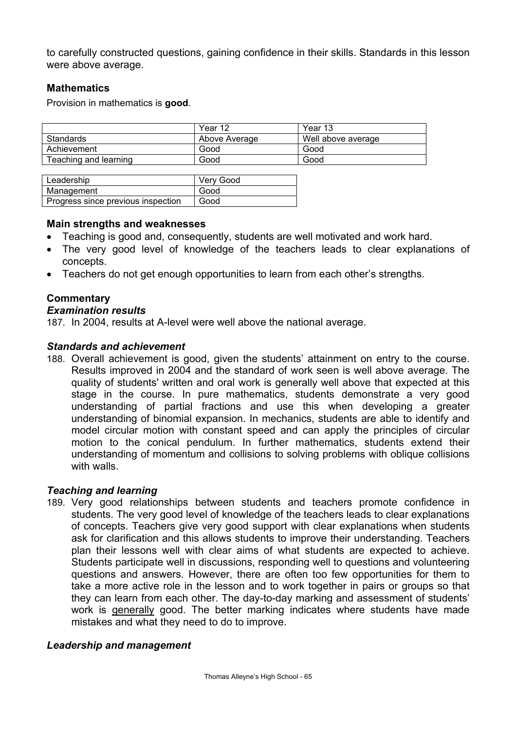to carefully constructed questions, gaining confidence in their skills. Standards in this lesson were above average.

## **Mathematics**

Provision in mathematics is **good**.

|                       | Year 12       | Year 13            |
|-----------------------|---------------|--------------------|
| Standards             | Above Average | Well above average |
| Achievement           | Good          | Good               |
| Teaching and learning | Good          | Good               |

| Leadership                         | Verv Good |
|------------------------------------|-----------|
| Management                         | Good      |
| Progress since previous inspection | Good      |

## **Main strengths and weaknesses**

- Teaching is good and, consequently, students are well motivated and work hard.
- The very good level of knowledge of the teachers leads to clear explanations of concepts.
- Teachers do not get enough opportunities to learn from each other's strengths.

## **Commentary**

## *Examination results*

187. In 2004, results at A-level were well above the national average.

## *Standards and achievement*

188. Overall achievement is good, given the students' attainment on entry to the course. Results improved in 2004 and the standard of work seen is well above average. The quality of students' written and oral work is generally well above that expected at this stage in the course. In pure mathematics, students demonstrate a very good understanding of partial fractions and use this when developing a greater understanding of binomial expansion. In mechanics, students are able to identify and model circular motion with constant speed and can apply the principles of circular motion to the conical pendulum. In further mathematics, students extend their understanding of momentum and collisions to solving problems with oblique collisions with walls.

## *Teaching and learning*

189. Very good relationships between students and teachers promote confidence in students. The very good level of knowledge of the teachers leads to clear explanations of concepts. Teachers give very good support with clear explanations when students ask for clarification and this allows students to improve their understanding. Teachers plan their lessons well with clear aims of what students are expected to achieve. Students participate well in discussions, responding well to questions and volunteering questions and answers. However, there are often too few opportunities for them to take a more active role in the lesson and to work together in pairs or groups so that they can learn from each other. The day-to-day marking and assessment of students' work is generally good. The better marking indicates where students have made mistakes and what they need to do to improve.

## *Leadership and management*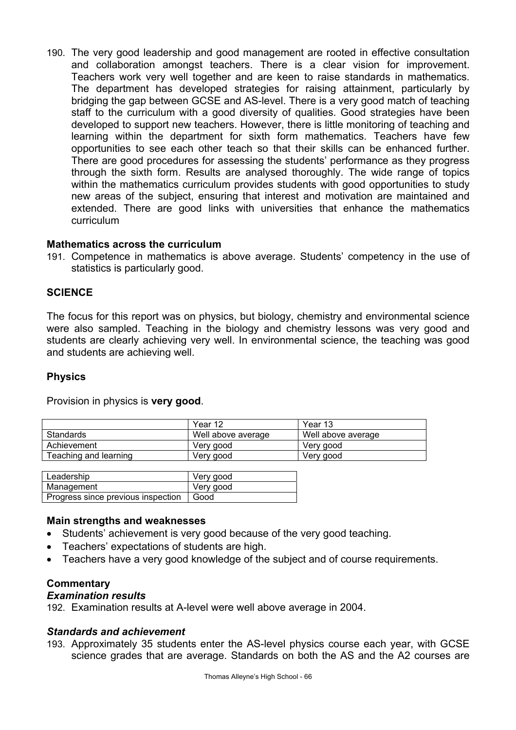190. The very good leadership and good management are rooted in effective consultation and collaboration amongst teachers. There is a clear vision for improvement. Teachers work very well together and are keen to raise standards in mathematics. The department has developed strategies for raising attainment, particularly by bridging the gap between GCSE and AS-level. There is a very good match of teaching staff to the curriculum with a good diversity of qualities. Good strategies have been developed to support new teachers. However, there is little monitoring of teaching and learning within the department for sixth form mathematics. Teachers have few opportunities to see each other teach so that their skills can be enhanced further. There are good procedures for assessing the students' performance as they progress through the sixth form. Results are analysed thoroughly. The wide range of topics within the mathematics curriculum provides students with good opportunities to study new areas of the subject, ensuring that interest and motivation are maintained and extended. There are good links with universities that enhance the mathematics curriculum

### **Mathematics across the curriculum**

191. Competence in mathematics is above average. Students' competency in the use of statistics is particularly good.

## **SCIENCE**

The focus for this report was on physics, but biology, chemistry and environmental science were also sampled. Teaching in the biology and chemistry lessons was very good and students are clearly achieving very well. In environmental science, the teaching was good and students are achieving well.

## **Physics**

Provision in physics is **very good**.

|                       | Year 12            | Year 13            |
|-----------------------|--------------------|--------------------|
| Standards             | Well above average | Well above average |
| Achievement           | Very good          | Very good          |
| Teaching and learning | Very good          | Very good          |

| Leadership                         | Very good |
|------------------------------------|-----------|
| Management                         | Very good |
| Progress since previous inspection | l Good    |
|                                    |           |

## **Main strengths and weaknesses**

- Students' achievement is very good because of the very good teaching.
- Teachers' expectations of students are high.
- Teachers have a very good knowledge of the subject and of course requirements.

## **Commentary**

### *Examination results*

192. Examination results at A-level were well above average in 2004.

#### *Standards and achievement*

193. Approximately 35 students enter the AS-level physics course each year, with GCSE science grades that are average. Standards on both the AS and the A2 courses are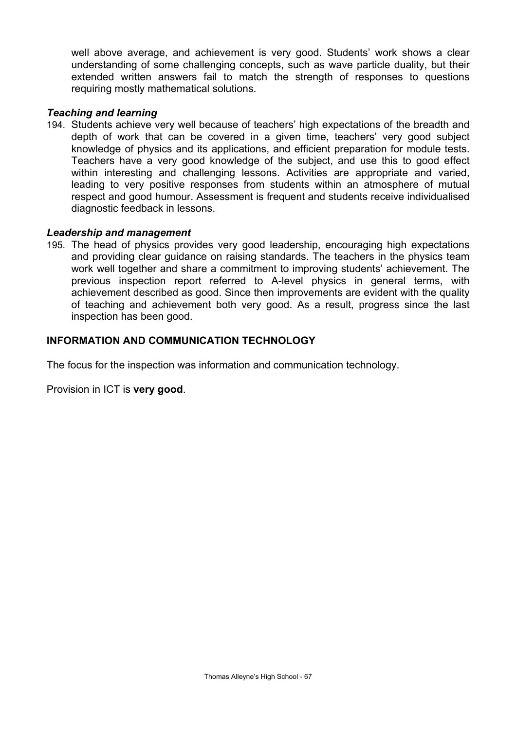well above average, and achievement is very good. Students' work shows a clear understanding of some challenging concepts, such as wave particle duality, but their extended written answers fail to match the strength of responses to questions requiring mostly mathematical solutions.

## *Teaching and learning*

194. Students achieve very well because of teachers' high expectations of the breadth and depth of work that can be covered in a given time, teachers' very good subject knowledge of physics and its applications, and efficient preparation for module tests. Teachers have a very good knowledge of the subject, and use this to good effect within interesting and challenging lessons. Activities are appropriate and varied, leading to very positive responses from students within an atmosphere of mutual respect and good humour. Assessment is frequent and students receive individualised diagnostic feedback in lessons.

## *Leadership and management*

195. The head of physics provides very good leadership, encouraging high expectations and providing clear guidance on raising standards. The teachers in the physics team work well together and share a commitment to improving students' achievement. The previous inspection report referred to A-level physics in general terms, with achievement described as good. Since then improvements are evident with the quality of teaching and achievement both very good. As a result, progress since the last inspection has been good.

## **INFORMATION AND COMMUNICATION TECHNOLOGY**

The focus for the inspection was information and communication technology.

Provision in ICT is **very good**.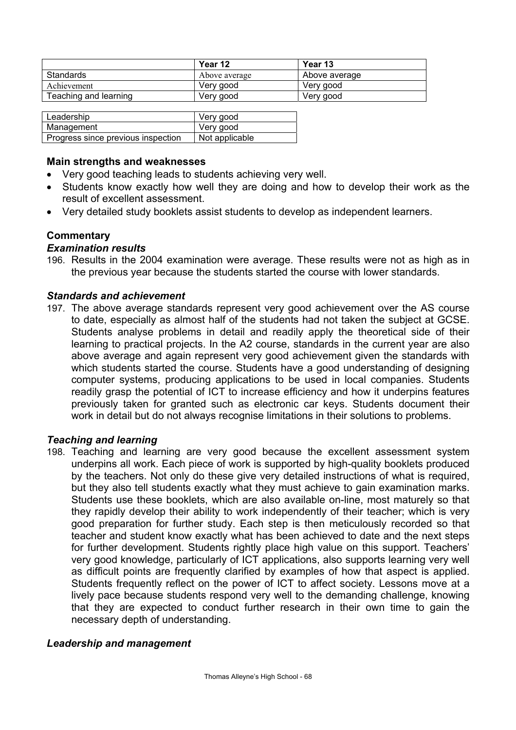|                       | Year 12       | Year 13       |
|-----------------------|---------------|---------------|
| Standards             | Above average | Above average |
| Achievement           | Very good     | Very good     |
| Teaching and learning | Very good     | Very good     |

| Leadership                         | Very good      |
|------------------------------------|----------------|
| Management                         | Very good      |
| Progress since previous inspection | Not applicable |

### **Main strengths and weaknesses**

- Very good teaching leads to students achieving very well.
- Students know exactly how well they are doing and how to develop their work as the result of excellent assessment.
- Very detailed study booklets assist students to develop as independent learners.

## **Commentary**

## *Examination results*

196. Results in the 2004 examination were average. These results were not as high as in the previous year because the students started the course with lower standards.

### *Standards and achievement*

197. The above average standards represent very good achievement over the AS course to date, especially as almost half of the students had not taken the subject at GCSE. Students analyse problems in detail and readily apply the theoretical side of their learning to practical projects. In the A2 course, standards in the current year are also above average and again represent very good achievement given the standards with which students started the course. Students have a good understanding of designing computer systems, producing applications to be used in local companies. Students readily grasp the potential of ICT to increase efficiency and how it underpins features previously taken for granted such as electronic car keys. Students document their work in detail but do not always recognise limitations in their solutions to problems.

## *Teaching and learning*

198. Teaching and learning are very good because the excellent assessment system underpins all work. Each piece of work is supported by high-quality booklets produced by the teachers. Not only do these give very detailed instructions of what is required, but they also tell students exactly what they must achieve to gain examination marks. Students use these booklets, which are also available on-line, most maturely so that they rapidly develop their ability to work independently of their teacher; which is very good preparation for further study. Each step is then meticulously recorded so that teacher and student know exactly what has been achieved to date and the next steps for further development. Students rightly place high value on this support. Teachers' very good knowledge, particularly of ICT applications, also supports learning very well as difficult points are frequently clarified by examples of how that aspect is applied. Students frequently reflect on the power of ICT to affect society. Lessons move at a lively pace because students respond very well to the demanding challenge, knowing that they are expected to conduct further research in their own time to gain the necessary depth of understanding.

## *Leadership and management*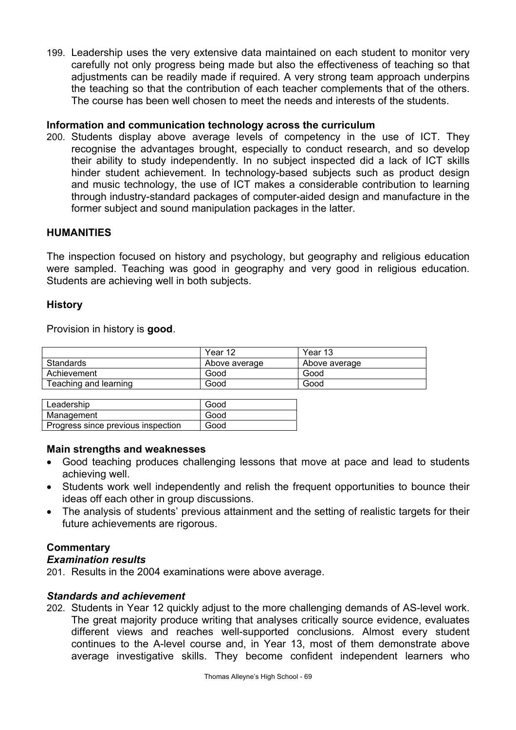199. Leadership uses the very extensive data maintained on each student to monitor very carefully not only progress being made but also the effectiveness of teaching so that adjustments can be readily made if required. A very strong team approach underpins the teaching so that the contribution of each teacher complements that of the others. The course has been well chosen to meet the needs and interests of the students.

### **Information and communication technology across the curriculum**

200. Students display above average levels of competency in the use of ICT. They recognise the advantages brought, especially to conduct research, and so develop their ability to study independently. In no subject inspected did a lack of ICT skills hinder student achievement. In technology-based subjects such as product design and music technology, the use of ICT makes a considerable contribution to learning through industry-standard packages of computer-aided design and manufacture in the former subject and sound manipulation packages in the latter.

## **HUMANITIES**

The inspection focused on history and psychology, but geography and religious education were sampled. Teaching was good in geography and very good in religious education. Students are achieving well in both subjects.

### **History**

Provision in history is **good**.

|                       | Year 12       | Year 13       |
|-----------------------|---------------|---------------|
| Standards             | Above average | Above average |
| Achievement           | Good          | Good          |
| Teaching and learning | Good          | Good          |

| Leadership                         | Good |
|------------------------------------|------|
| Management                         | Good |
| Progress since previous inspection | Good |

## **Main strengths and weaknesses**

- Good teaching produces challenging lessons that move at pace and lead to students achieving well.
- Students work well independently and relish the frequent opportunities to bounce their ideas off each other in group discussions.
- The analysis of students' previous attainment and the setting of realistic targets for their future achievements are rigorous.

## **Commentary**

#### *Examination results*

201. Results in the 2004 examinations were above average.

## *Standards and achievement*

202. Students in Year 12 quickly adjust to the more challenging demands of AS-level work. The great majority produce writing that analyses critically source evidence, evaluates different views and reaches well-supported conclusions. Almost every student continues to the A-level course and, in Year 13, most of them demonstrate above average investigative skills. They become confident independent learners who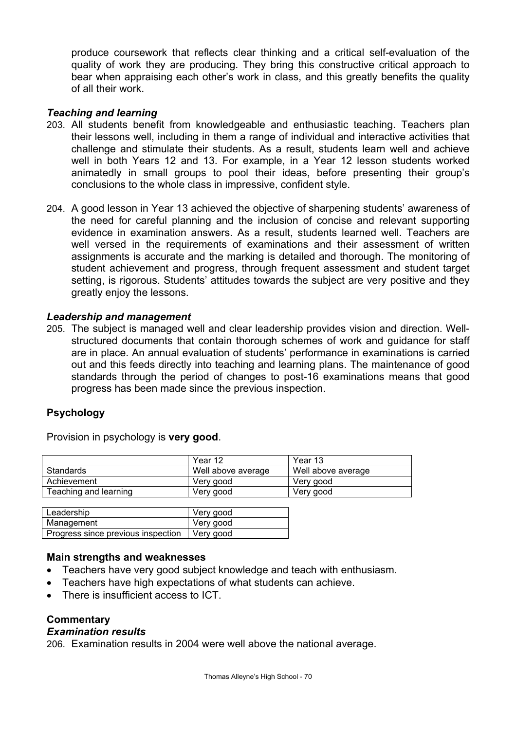produce coursework that reflects clear thinking and a critical self-evaluation of the quality of work they are producing. They bring this constructive critical approach to bear when appraising each other's work in class, and this greatly benefits the quality of all their work.

## *Teaching and learning*

- 203. All students benefit from knowledgeable and enthusiastic teaching. Teachers plan their lessons well, including in them a range of individual and interactive activities that challenge and stimulate their students. As a result, students learn well and achieve well in both Years 12 and 13. For example, in a Year 12 lesson students worked animatedly in small groups to pool their ideas, before presenting their group's conclusions to the whole class in impressive, confident style.
- 204. A good lesson in Year 13 achieved the objective of sharpening students' awareness of the need for careful planning and the inclusion of concise and relevant supporting evidence in examination answers. As a result, students learned well. Teachers are well versed in the requirements of examinations and their assessment of written assignments is accurate and the marking is detailed and thorough. The monitoring of student achievement and progress, through frequent assessment and student target setting, is rigorous. Students' attitudes towards the subject are very positive and they greatly enjoy the lessons.

## *Leadership and management*

205. The subject is managed well and clear leadership provides vision and direction. Wellstructured documents that contain thorough schemes of work and guidance for staff are in place. An annual evaluation of students' performance in examinations is carried out and this feeds directly into teaching and learning plans. The maintenance of good standards through the period of changes to post-16 examinations means that good progress has been made since the previous inspection.

## **Psychology**

Provision in psychology is **very good**.

|                       | Year 12            | Year 13            |
|-----------------------|--------------------|--------------------|
| <b>Standards</b>      | Well above average | Well above average |
| Achievement           | Very good          | Very good          |
| Teaching and learning | Very good          | Very good          |

| Leadership                         | Very good |
|------------------------------------|-----------|
| Management                         | Very good |
| Progress since previous inspection | Very good |

## **Main strengths and weaknesses**

- Teachers have very good subject knowledge and teach with enthusiasm.
- Teachers have high expectations of what students can achieve.
- There is insufficient access to ICT.

#### **Commentary**  *Examination results*

206. Examination results in 2004 were well above the national average.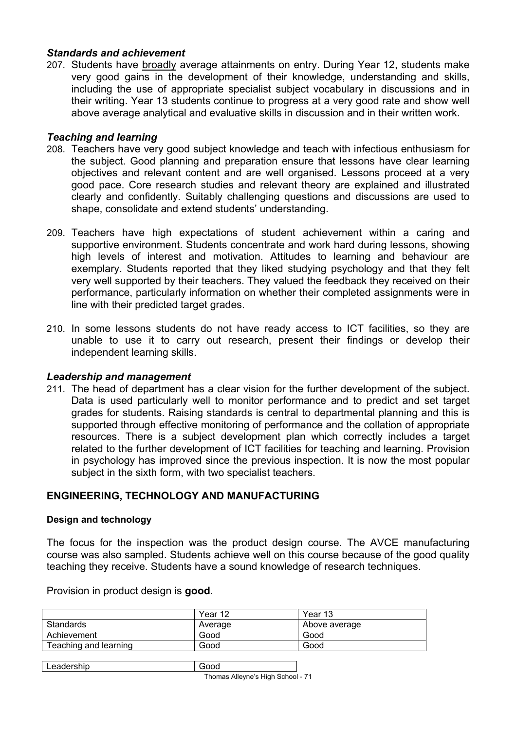### *Standards and achievement*

207. Students have broadly average attainments on entry. During Year 12, students make very good gains in the development of their knowledge, understanding and skills, including the use of appropriate specialist subject vocabulary in discussions and in their writing. Year 13 students continue to progress at a very good rate and show well above average analytical and evaluative skills in discussion and in their written work.

### *Teaching and learning*

- 208. Teachers have very good subject knowledge and teach with infectious enthusiasm for the subject. Good planning and preparation ensure that lessons have clear learning objectives and relevant content and are well organised. Lessons proceed at a very good pace. Core research studies and relevant theory are explained and illustrated clearly and confidently. Suitably challenging questions and discussions are used to shape, consolidate and extend students' understanding.
- 209. Teachers have high expectations of student achievement within a caring and supportive environment. Students concentrate and work hard during lessons, showing high levels of interest and motivation. Attitudes to learning and behaviour are exemplary. Students reported that they liked studying psychology and that they felt very well supported by their teachers. They valued the feedback they received on their performance, particularly information on whether their completed assignments were in line with their predicted target grades.
- 210. In some lessons students do not have ready access to ICT facilities, so they are unable to use it to carry out research, present their findings or develop their independent learning skills.

## *Leadership and management*

211. The head of department has a clear vision for the further development of the subject. Data is used particularly well to monitor performance and to predict and set target grades for students. Raising standards is central to departmental planning and this is supported through effective monitoring of performance and the collation of appropriate resources. There is a subject development plan which correctly includes a target related to the further development of ICT facilities for teaching and learning. Provision in psychology has improved since the previous inspection. It is now the most popular subject in the sixth form, with two specialist teachers.

## **ENGINEERING, TECHNOLOGY AND MANUFACTURING**

#### **Design and technology**

The focus for the inspection was the product design course. The AVCE manufacturing course was also sampled. Students achieve well on this course because of the good quality teaching they receive. Students have a sound knowledge of research techniques.

Year 12 Year 13 Standards **Average** Above average Above average Achievement Good Good Good Teaching and learning **Good** Good Good Leadership Good

Provision in product design is **good**.

Thomas Alleyne's High School - 71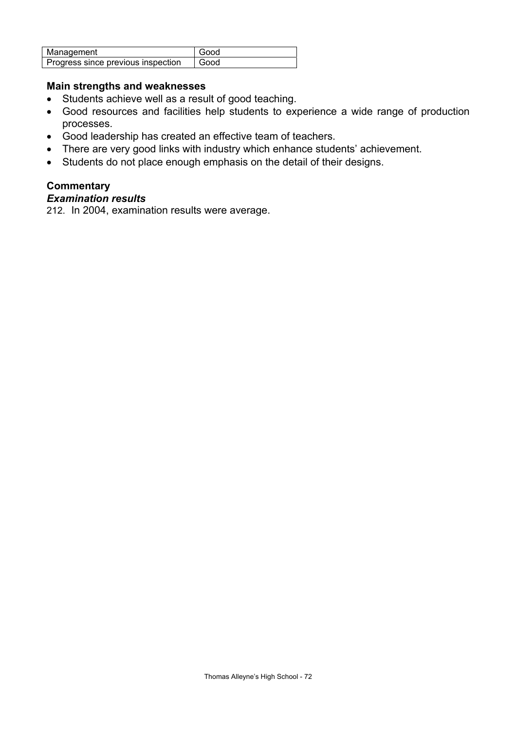| Management                         | Good |
|------------------------------------|------|
| Progress since previous inspection | Good |

## **Main strengths and weaknesses**

- Students achieve well as a result of good teaching.
- Good resources and facilities help students to experience a wide range of production processes.
- Good leadership has created an effective team of teachers.
- There are very good links with industry which enhance students' achievement.
- Students do not place enough emphasis on the detail of their designs.

## **Commentary**

## *Examination results*

212. In 2004, examination results were average.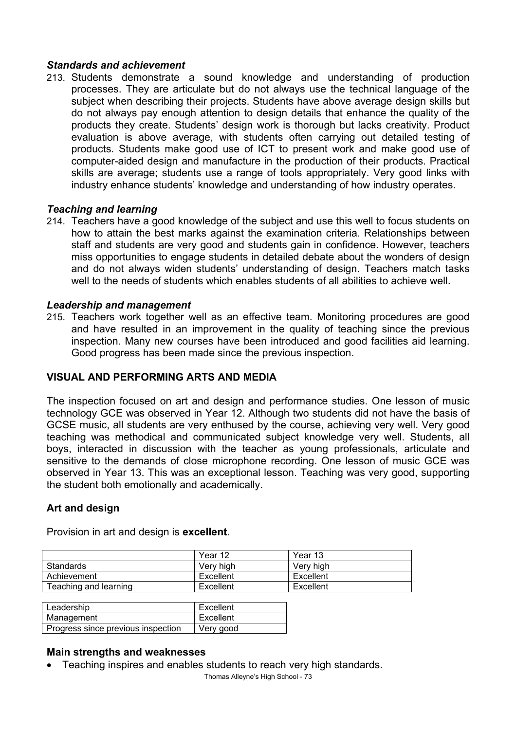#### *Standards and achievement*

213. Students demonstrate a sound knowledge and understanding of production processes. They are articulate but do not always use the technical language of the subject when describing their projects. Students have above average design skills but do not always pay enough attention to design details that enhance the quality of the products they create. Students' design work is thorough but lacks creativity. Product evaluation is above average, with students often carrying out detailed testing of products. Students make good use of ICT to present work and make good use of computer-aided design and manufacture in the production of their products. Practical skills are average; students use a range of tools appropriately. Very good links with industry enhance students' knowledge and understanding of how industry operates.

# *Teaching and learning*

214. Teachers have a good knowledge of the subject and use this well to focus students on how to attain the best marks against the examination criteria. Relationships between staff and students are very good and students gain in confidence. However, teachers miss opportunities to engage students in detailed debate about the wonders of design and do not always widen students' understanding of design. Teachers match tasks well to the needs of students which enables students of all abilities to achieve well.

#### *Leadership and management*

215. Teachers work together well as an effective team. Monitoring procedures are good and have resulted in an improvement in the quality of teaching since the previous inspection. Many new courses have been introduced and good facilities aid learning. Good progress has been made since the previous inspection.

# **VISUAL AND PERFORMING ARTS AND MEDIA**

The inspection focused on art and design and performance studies. One lesson of music technology GCE was observed in Year 12. Although two students did not have the basis of GCSE music, all students are very enthused by the course, achieving very well. Very good teaching was methodical and communicated subject knowledge very well. Students, all boys, interacted in discussion with the teacher as young professionals, articulate and sensitive to the demands of close microphone recording. One lesson of music GCE was observed in Year 13. This was an exceptional lesson. Teaching was very good, supporting the student both emotionally and academically.

# **Art and design**

|                       | Year 12   | Year 13   |
|-----------------------|-----------|-----------|
| Standards             | Very high | Very high |
| Achievement           | Excellent | Excellent |
| Teaching and learning | Excellent | Excellent |

Provision in art and design is **excellent**.

| Leadership                         | Excellent |
|------------------------------------|-----------|
| Management                         | Excellent |
| Progress since previous inspection | Very good |
|                                    |           |

#### **Main strengths and weaknesses**

• Teaching inspires and enables students to reach very high standards.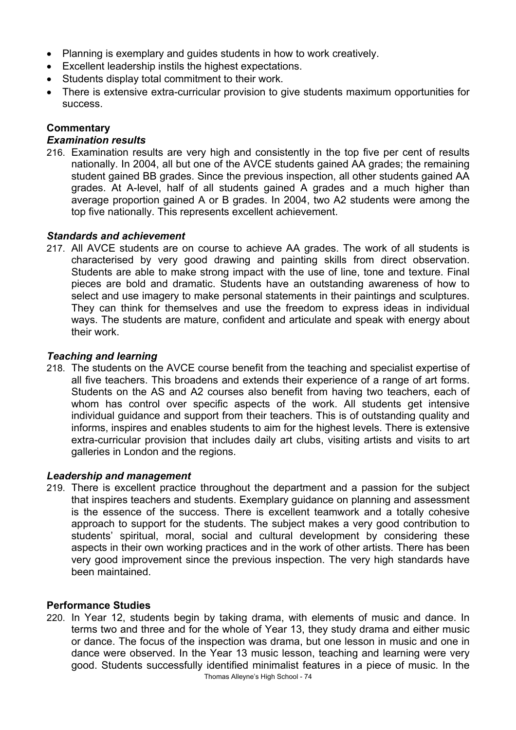- Planning is exemplary and guides students in how to work creatively.
- Excellent leadership instils the highest expectations.
- Students display total commitment to their work.
- There is extensive extra-curricular provision to give students maximum opportunities for success.

# **Commentary**

# *Examination results*

216. Examination results are very high and consistently in the top five per cent of results nationally. In 2004, all but one of the AVCE students gained AA grades; the remaining student gained BB grades. Since the previous inspection, all other students gained AA grades. At A-level, half of all students gained A grades and a much higher than average proportion gained A or B grades. In 2004, two A2 students were among the top five nationally. This represents excellent achievement.

# *Standards and achievement*

217. All AVCE students are on course to achieve AA grades. The work of all students is characterised by very good drawing and painting skills from direct observation. Students are able to make strong impact with the use of line, tone and texture. Final pieces are bold and dramatic. Students have an outstanding awareness of how to select and use imagery to make personal statements in their paintings and sculptures. They can think for themselves and use the freedom to express ideas in individual ways. The students are mature, confident and articulate and speak with energy about their work.

# *Teaching and learning*

218. The students on the AVCE course benefit from the teaching and specialist expertise of all five teachers. This broadens and extends their experience of a range of art forms. Students on the AS and A2 courses also benefit from having two teachers, each of whom has control over specific aspects of the work. All students get intensive individual guidance and support from their teachers. This is of outstanding quality and informs, inspires and enables students to aim for the highest levels. There is extensive extra-curricular provision that includes daily art clubs, visiting artists and visits to art galleries in London and the regions.

# *Leadership and management*

219. There is excellent practice throughout the department and a passion for the subject that inspires teachers and students. Exemplary guidance on planning and assessment is the essence of the success. There is excellent teamwork and a totally cohesive approach to support for the students. The subject makes a very good contribution to students' spiritual, moral, social and cultural development by considering these aspects in their own working practices and in the work of other artists. There has been very good improvement since the previous inspection. The very high standards have been maintained.

# **Performance Studies**

Thomas Alleyne's High School - 74 220. In Year 12, students begin by taking drama, with elements of music and dance. In terms two and three and for the whole of Year 13, they study drama and either music or dance. The focus of the inspection was drama, but one lesson in music and one in dance were observed. In the Year 13 music lesson, teaching and learning were very good. Students successfully identified minimalist features in a piece of music. In the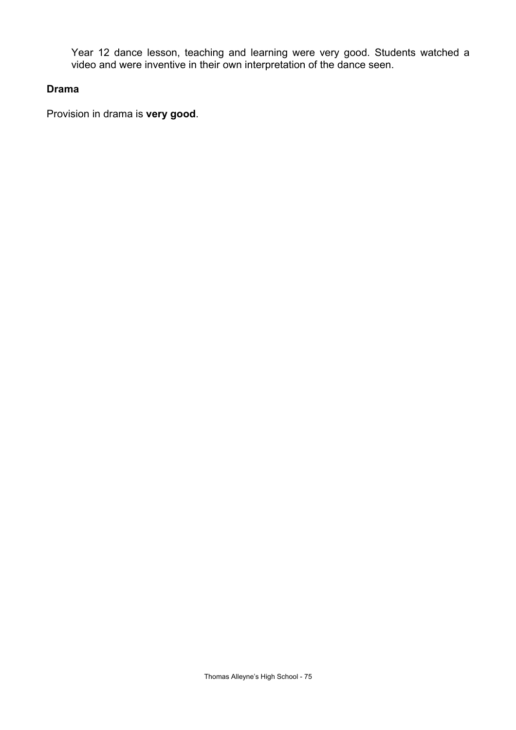Year 12 dance lesson, teaching and learning were very good. Students watched a video and were inventive in their own interpretation of the dance seen.

# **Drama**

Provision in drama is **very good**.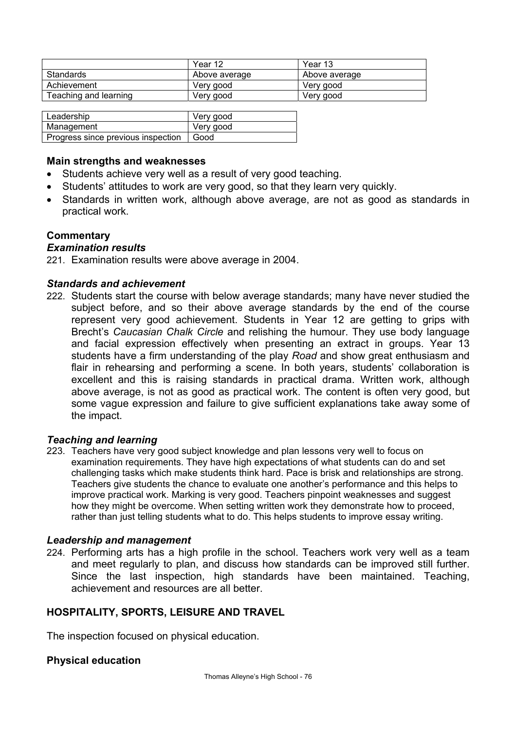|                       | Year 12       | Year 13       |
|-----------------------|---------------|---------------|
| Standards             | Above average | Above average |
| Achievement           | Very good     | Very good     |
| Teaching and learning | Very good     | Very good     |

| Leadership                         | Very good |
|------------------------------------|-----------|
| Management                         | Very good |
| Progress since previous inspection | l Good    |

#### **Main strengths and weaknesses**

- Students achieve very well as a result of very good teaching.
- Students' attitudes to work are very good, so that they learn very quickly.
- Standards in written work, although above average, are not as good as standards in practical work.

#### **Commentary**

#### *Examination results*

221. Examination results were above average in 2004.

#### *Standards and achievement*

222. Students start the course with below average standards; many have never studied the subject before, and so their above average standards by the end of the course represent very good achievement. Students in Year 12 are getting to grips with Brecht's *Caucasian Chalk Circle* and relishing the humour. They use body language and facial expression effectively when presenting an extract in groups. Year 13 students have a firm understanding of the play *Road* and show great enthusiasm and flair in rehearsing and performing a scene. In both years, students' collaboration is excellent and this is raising standards in practical drama. Written work, although above average, is not as good as practical work. The content is often very good, but some vague expression and failure to give sufficient explanations take away some of the impact.

#### *Teaching and learning*

223. Teachers have very good subject knowledge and plan lessons very well to focus on examination requirements. They have high expectations of what students can do and set challenging tasks which make students think hard. Pace is brisk and relationships are strong. Teachers give students the chance to evaluate one another's performance and this helps to improve practical work. Marking is very good. Teachers pinpoint weaknesses and suggest how they might be overcome. When setting written work they demonstrate how to proceed, rather than just telling students what to do. This helps students to improve essay writing.

# *Leadership and management*

224. Performing arts has a high profile in the school. Teachers work very well as a team and meet regularly to plan, and discuss how standards can be improved still further. Since the last inspection, high standards have been maintained. Teaching, achievement and resources are all better.

# **HOSPITALITY, SPORTS, LEISURE AND TRAVEL**

The inspection focused on physical education.

# **Physical education**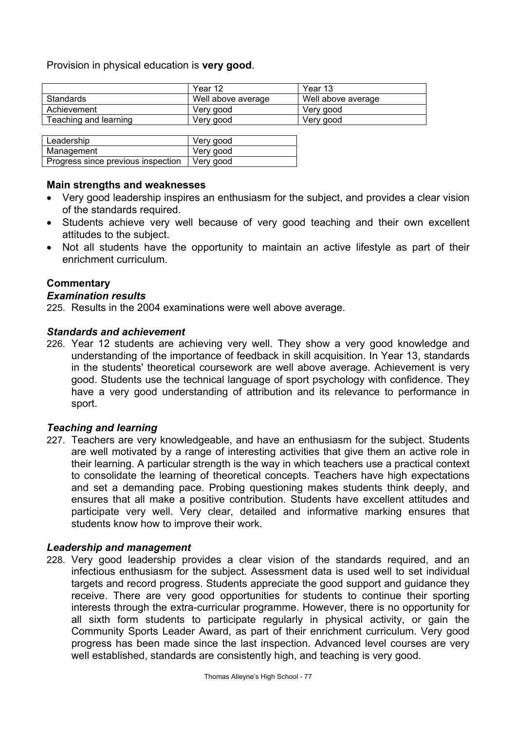Provision in physical education is **very good**.

|                       | Year 12            | Year 13            |
|-----------------------|--------------------|--------------------|
| Standards             | Well above average | Well above average |
| Achievement           | Very good          | Very good          |
| Teaching and learning | Very good          | Very good          |

| Leadership                         | Very good |
|------------------------------------|-----------|
| Management                         | Very good |
| Progress since previous inspection | Very good |

#### **Main strengths and weaknesses**

- Very good leadership inspires an enthusiasm for the subject, and provides a clear vision of the standards required.
- Students achieve very well because of very good teaching and their own excellent attitudes to the subject.
- Not all students have the opportunity to maintain an active lifestyle as part of their enrichment curriculum.

# **Commentary**

#### *Examination results*

225. Results in the 2004 examinations were well above average.

#### *Standards and achievement*

226. Year 12 students are achieving very well. They show a very good knowledge and understanding of the importance of feedback in skill acquisition. In Year 13, standards in the students' theoretical coursework are well above average. Achievement is very good. Students use the technical language of sport psychology with confidence. They have a very good understanding of attribution and its relevance to performance in sport.

#### *Teaching and learning*

227. Teachers are very knowledgeable, and have an enthusiasm for the subject. Students are well motivated by a range of interesting activities that give them an active role in their learning. A particular strength is the way in which teachers use a practical context to consolidate the learning of theoretical concepts. Teachers have high expectations and set a demanding pace. Probing questioning makes students think deeply, and ensures that all make a positive contribution. Students have excellent attitudes and participate very well. Very clear, detailed and informative marking ensures that students know how to improve their work.

#### *Leadership and management*

228. Very good leadership provides a clear vision of the standards required, and an infectious enthusiasm for the subject. Assessment data is used well to set individual targets and record progress. Students appreciate the good support and guidance they receive. There are very good opportunities for students to continue their sporting interests through the extra-curricular programme. However, there is no opportunity for all sixth form students to participate regularly in physical activity, or gain the Community Sports Leader Award, as part of their enrichment curriculum. Very good progress has been made since the last inspection. Advanced level courses are very well established, standards are consistently high, and teaching is very good.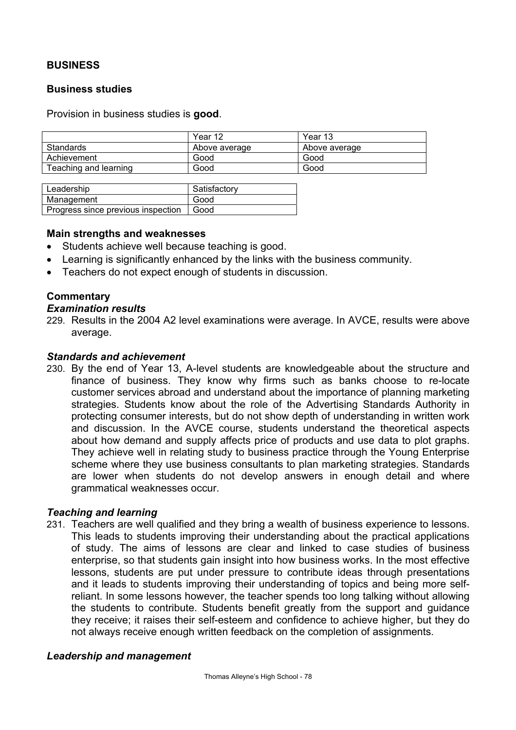# **BUSINESS**

# **Business studies**

Provision in business studies is **good**.

|                       | Year 12       | Year 13       |
|-----------------------|---------------|---------------|
| Standards             | Above average | Above average |
| Achievement           | Good          | Good          |
| Teaching and learning | Good          | Good          |
|                       |               |               |

| Leadership                                | Satisfactory |
|-------------------------------------------|--------------|
| Management                                | Good         |
| Progress since previous inspection   Good |              |

#### **Main strengths and weaknesses**

- Students achieve well because teaching is good.
- Learning is significantly enhanced by the links with the business community.
- Teachers do not expect enough of students in discussion.

# **Commentary**

#### *Examination results*

229. Results in the 2004 A2 level examinations were average. In AVCE, results were above average.

# *Standards and achievement*

230. By the end of Year 13, A-level students are knowledgeable about the structure and finance of business. They know why firms such as banks choose to re-locate customer services abroad and understand about the importance of planning marketing strategies. Students know about the role of the Advertising Standards Authority in protecting consumer interests, but do not show depth of understanding in written work and discussion. In the AVCE course, students understand the theoretical aspects about how demand and supply affects price of products and use data to plot graphs. They achieve well in relating study to business practice through the Young Enterprise scheme where they use business consultants to plan marketing strategies. Standards are lower when students do not develop answers in enough detail and where grammatical weaknesses occur.

# *Teaching and learning*

231. Teachers are well qualified and they bring a wealth of business experience to lessons. This leads to students improving their understanding about the practical applications of study. The aims of lessons are clear and linked to case studies of business enterprise, so that students gain insight into how business works. In the most effective lessons, students are put under pressure to contribute ideas through presentations and it leads to students improving their understanding of topics and being more selfreliant. In some lessons however, the teacher spends too long talking without allowing the students to contribute. Students benefit greatly from the support and guidance they receive; it raises their self-esteem and confidence to achieve higher, but they do not always receive enough written feedback on the completion of assignments.

# *Leadership and management*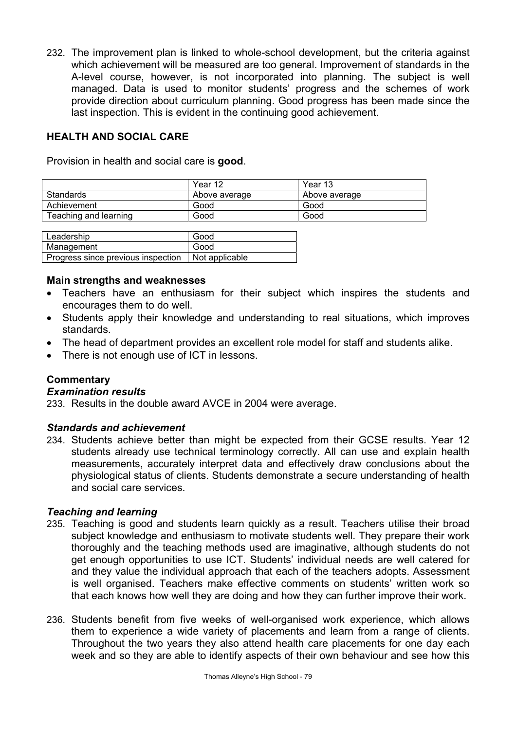232. The improvement plan is linked to whole-school development, but the criteria against which achievement will be measured are too general. Improvement of standards in the A-level course, however, is not incorporated into planning. The subject is well managed. Data is used to monitor students' progress and the schemes of work provide direction about curriculum planning. Good progress has been made since the last inspection. This is evident in the continuing good achievement.

# **HEALTH AND SOCIAL CARE**

Provision in health and social care is **good**.

|                       | Year 12       | Year 13       |
|-----------------------|---------------|---------------|
| Standards             | Above average | Above average |
| Achievement           | Good          | Good          |
| Teaching and learning | Good          | Good          |

| Leadership                                          | Good |
|-----------------------------------------------------|------|
| Management                                          | Good |
| Progress since previous inspection   Not applicable |      |

#### **Main strengths and weaknesses**

- Teachers have an enthusiasm for their subject which inspires the students and encourages them to do well.
- Students apply their knowledge and understanding to real situations, which improves standards.
- The head of department provides an excellent role model for staff and students alike.
- There is not enough use of ICT in lessons.

# **Commentary**

# *Examination results*

233. Results in the double award AVCE in 2004 were average.

# *Standards and achievement*

234. Students achieve better than might be expected from their GCSE results. Year 12 students already use technical terminology correctly. All can use and explain health measurements, accurately interpret data and effectively draw conclusions about the physiological status of clients. Students demonstrate a secure understanding of health and social care services.

# *Teaching and learning*

- 235. Teaching is good and students learn quickly as a result. Teachers utilise their broad subject knowledge and enthusiasm to motivate students well. They prepare their work thoroughly and the teaching methods used are imaginative, although students do not get enough opportunities to use ICT. Students' individual needs are well catered for and they value the individual approach that each of the teachers adopts. Assessment is well organised. Teachers make effective comments on students' written work so that each knows how well they are doing and how they can further improve their work.
- 236. Students benefit from five weeks of well-organised work experience, which allows them to experience a wide variety of placements and learn from a range of clients. Throughout the two years they also attend health care placements for one day each week and so they are able to identify aspects of their own behaviour and see how this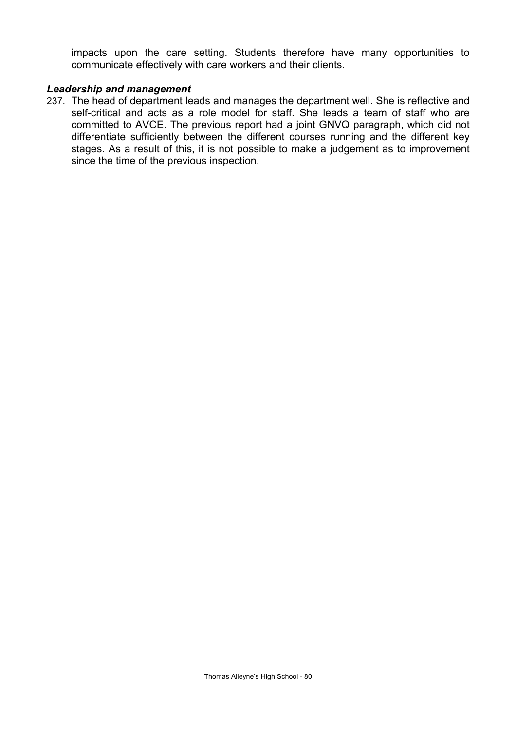impacts upon the care setting. Students therefore have many opportunities to communicate effectively with care workers and their clients.

#### *Leadership and management*

237. The head of department leads and manages the department well. She is reflective and self-critical and acts as a role model for staff. She leads a team of staff who are committed to AVCE. The previous report had a joint GNVQ paragraph, which did not differentiate sufficiently between the different courses running and the different key stages. As a result of this, it is not possible to make a judgement as to improvement since the time of the previous inspection.